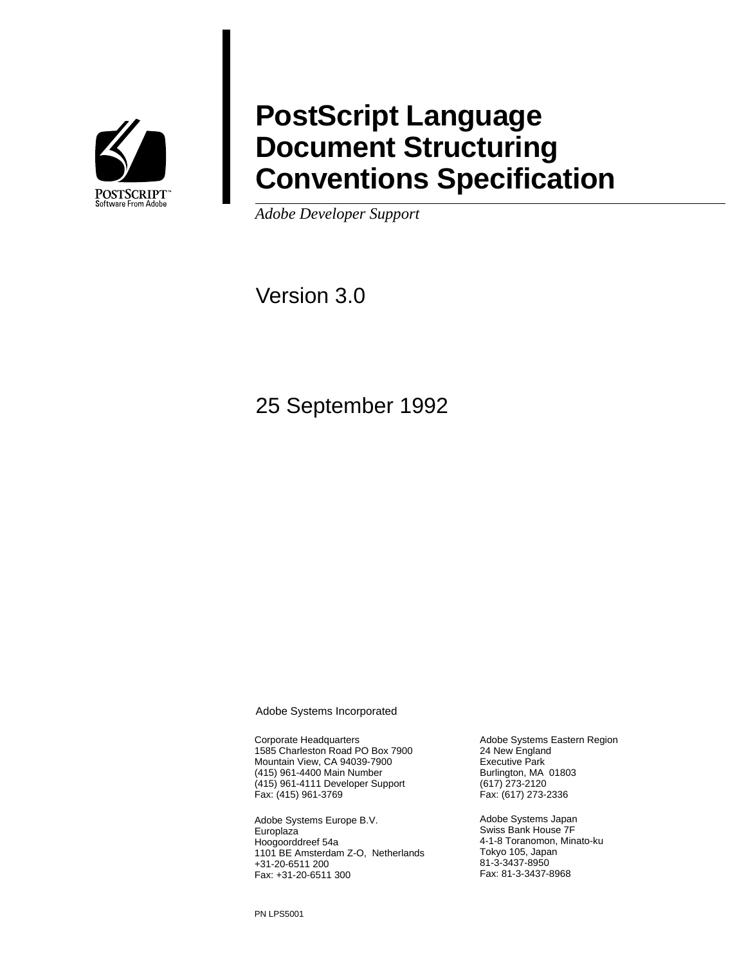

# **PostScript Language Document Structuring Conventions Specification**

*Adobe Developer Support*

Version 3.0

25 September 1992

Adobe Systems Incorporated

Corporate Headquarters 1585 Charleston Road PO Box 7900 Mountain View, CA 94039-7900 (415) 961-4400 Main Number (415) 961-4111 Developer Support Fax: (415) 961-3769

Adobe Systems Europe B.V. Europlaza Hoogoorddreef 54a 1101 BE Amsterdam Z-O, Netherlands +31-20-6511 200 Fax: +31-20-6511 300

Adobe Systems Eastern Region 24 New England Executive Park Burlington, MA 01803 (617) 273-2120 Fax: (617) 273-2336

Adobe Systems Japan Swiss Bank House 7F 4-1-8 Toranomon, Minato-ku Tokyo 105, Japan 81-3-3437-8950 Fax: 81-3-3437-8968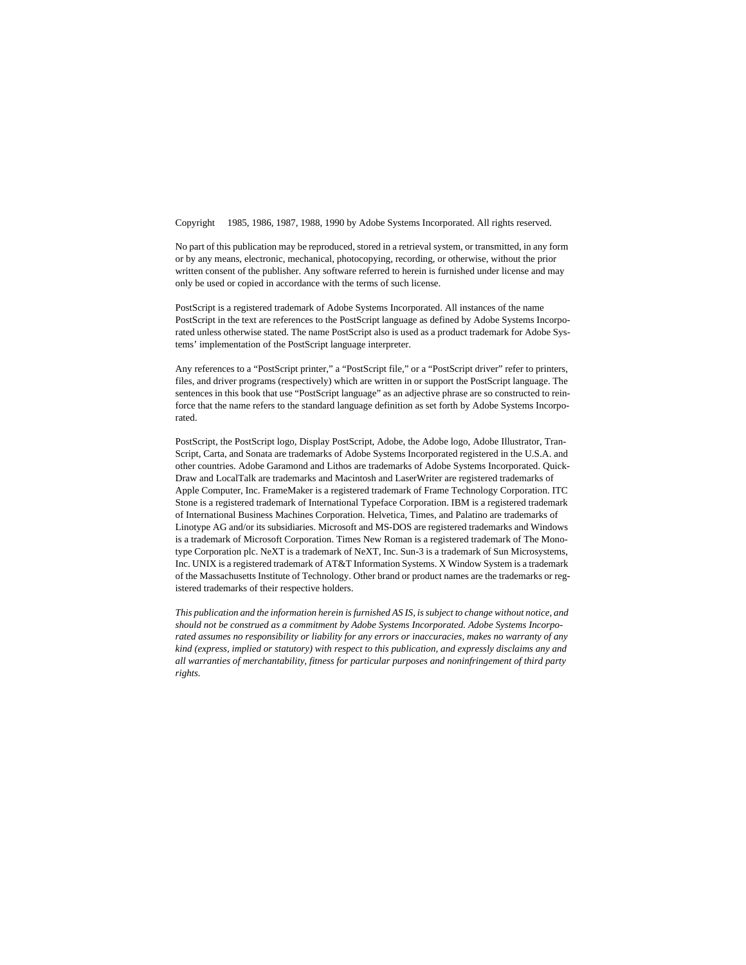Copyright © 1985, 1986, 1987, 1988, 1990 by Adobe Systems Incorporated. All rights reserved.

No part of this publication may be reproduced, stored in a retrieval system, or transmitted, in any form or by any means, electronic, mechanical, photocopying, recording, or otherwise, without the prior written consent of the publisher. Any software referred to herein is furnished under license and may only be used or copied in accordance with the terms of such license.

PostScript is a registered trademark of Adobe Systems Incorporated. All instances of the name PostScript in the text are references to the PostScript language as defined by Adobe Systems Incorporated unless otherwise stated. The name PostScript also is used as a product trademark for Adobe Systems' implementation of the PostScript language interpreter.

Any references to a "PostScript printer," a "PostScript file," or a "PostScript driver" refer to printers, files, and driver programs (respectively) which are written in or support the PostScript language. The sentences in this book that use "PostScript language" as an adjective phrase are so constructed to reinforce that the name refers to the standard language definition as set forth by Adobe Systems Incorporated.

PostScript, the PostScript logo, Display PostScript, Adobe, the Adobe logo, Adobe Illustrator, Tran-Script, Carta, and Sonata are trademarks of Adobe Systems Incorporated registered in the U.S.A. and other countries. Adobe Garamond and Lithos are trademarks of Adobe Systems Incorporated. Quick-Draw and LocalTalk are trademarks and Macintosh and LaserWriter are registered trademarks of Apple Computer, Inc. FrameMaker is a registered trademark of Frame Technology Corporation. ITC Stone is a registered trademark of International Typeface Corporation. IBM is a registered trademark of International Business Machines Corporation. Helvetica, Times, and Palatino are trademarks of Linotype AG and/or its subsidiaries. Microsoft and MS-DOS are registered trademarks and Windows is a trademark of Microsoft Corporation. Times New Roman is a registered trademark of The Monotype Corporation plc. NeXT is a trademark of NeXT, Inc. Sun-3 is a trademark of Sun Microsystems, Inc. UNIX is a registered trademark of AT&T Information Systems. X Window System is a trademark of the Massachusetts Institute of Technology. Other brand or product names are the trademarks or registered trademarks of their respective holders.

*This publication and the information herein is furnished AS IS, is subject to change without notice, and should not be construed as a commitment by Adobe Systems Incorporated. Adobe Systems Incorporated assumes no responsibility or liability for any errors or inaccuracies, makes no warranty of any kind (express, implied or statutory) with respect to this publication, and expressly disclaims any and all warranties of merchantability, fitness for particular purposes and noninfringement of third party rights.*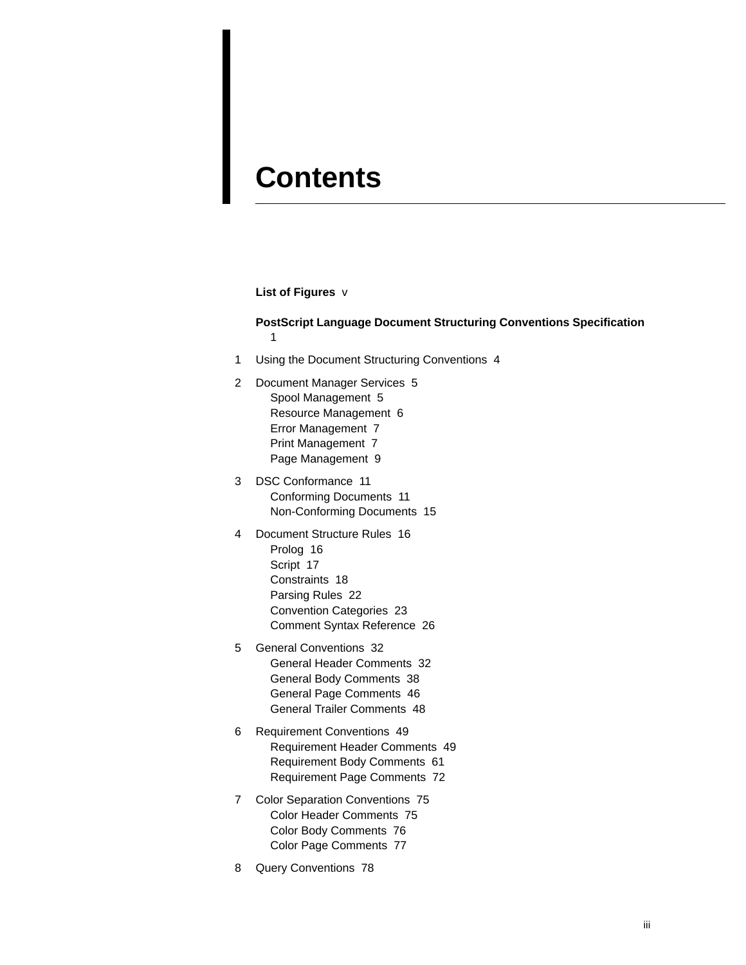# **Contents**

**List of Figures** v

**PostScript Language Document Structuring Conventions Specification** 1

- 1 Using the Document Structuring Conventions 4
- 2 Document Manager Services 5 Spool Management 5 Resource Management 6 Error Management 7 Print Management 7 Page Management 9
- 3 DSC Conformance 11 Conforming Documents 11 Non-Conforming Documents 15
- 4 Document Structure Rules 16 Prolog 16 Script 17 Constraints 18 Parsing Rules 22 Convention Categories 23 Comment Syntax Reference 26
- 5 General Conventions 32 General Header Comments 32 General Body Comments 38 General Page Comments 46 General Trailer Comments 48
- 6 Requirement Conventions 49 Requirement Header Comments 49 Requirement Body Comments 61 Requirement Page Comments 72
- 7 Color Separation Conventions 75 Color Header Comments 75 Color Body Comments 76 Color Page Comments 77
- 8 Query Conventions 78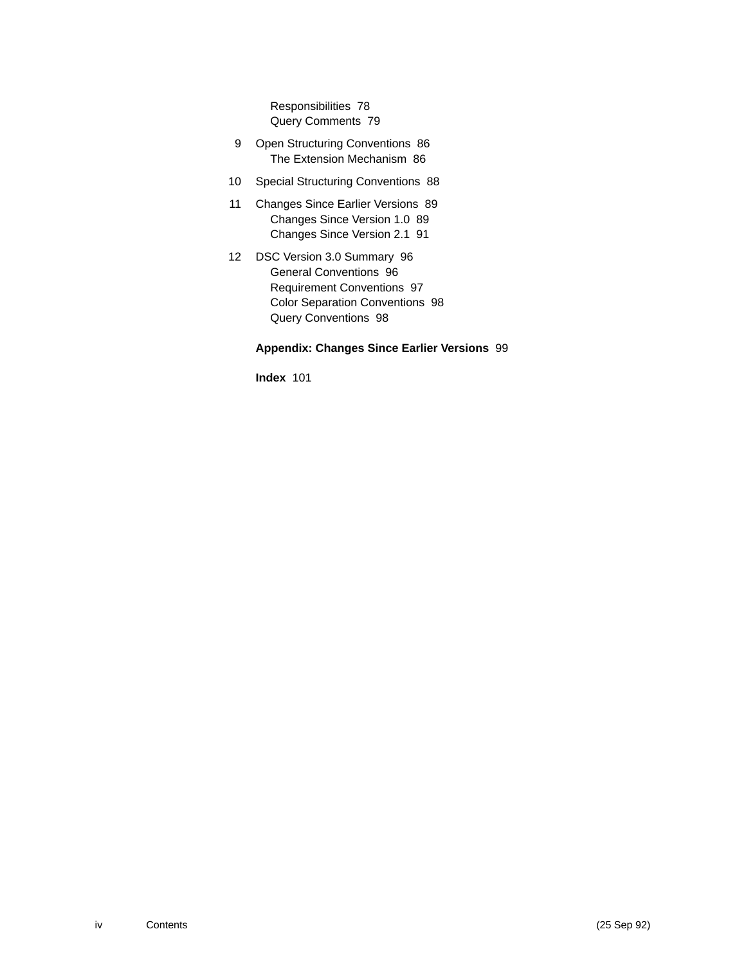Responsibilities 78 Query Comments 79

- 9 Open Structuring Conventions 86 The Extension Mechanism 86
- 10 Special Structuring Conventions 88
- 11 Changes Since Earlier Versions 89 Changes Since Version 1.0 89 Changes Since Version 2.1 91
- 12 DSC Version 3.0 Summary 96 General Conventions 96 Requirement Conventions 97 Color Separation Conventions 98 Query Conventions 98

# **Appendix: Changes Since Earlier Versions** 99

**Index** 101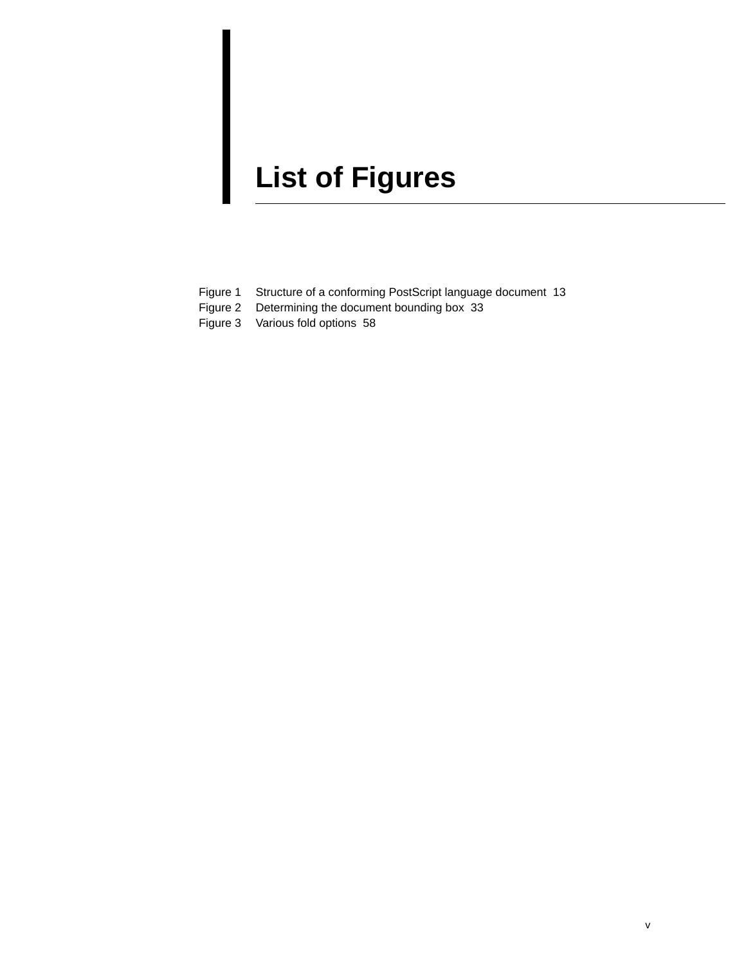# **List of Figures**

- Figure 1 Structure of a conforming PostScript language document 13
- Figure 2 Determining the document bounding box 33
- Figure 3 Various fold options 58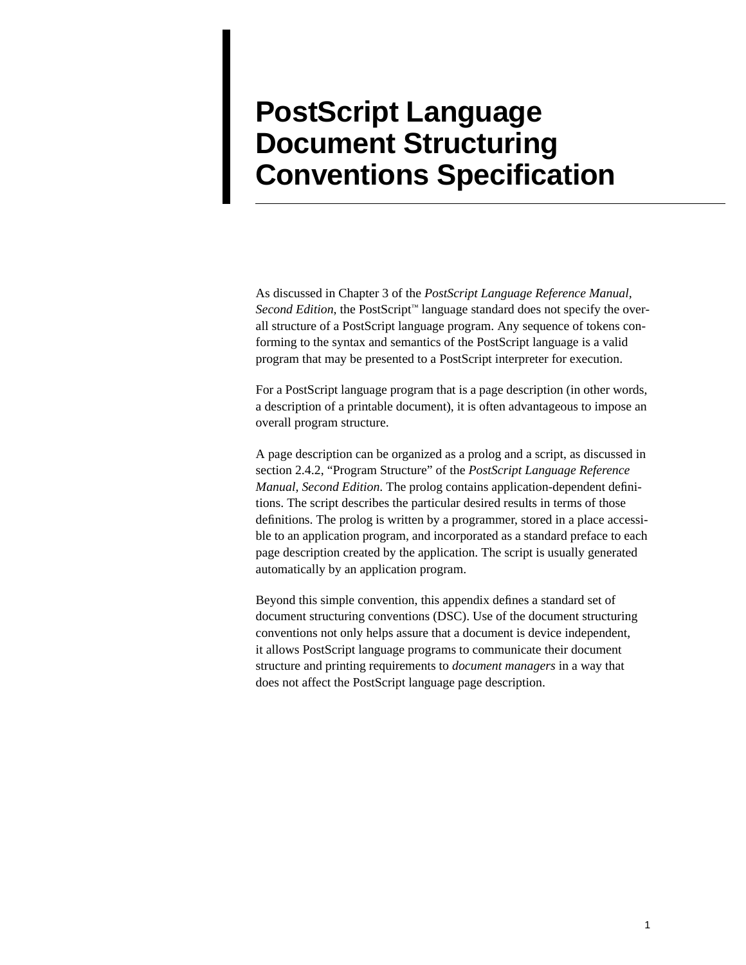# **PostScript Language Document Structuring Conventions Specification**

As discussed in Chapter 3 of the *PostScript Language Reference Manual, Second Edition*, the PostScript<sup>™</sup> language standard does not specify the overall structure of a PostScript language program. Any sequence of tokens conforming to the syntax and semantics of the PostScript language is a valid program that may be presented to a PostScript interpreter for execution.

For a PostScript language program that is a page description (in other words, a description of a printable document), it is often advantageous to impose an overall program structure.

A page description can be organized as a prolog and a script, as discussed in section 2.4.2, "Program Structure" of the *PostScript Language Reference Manual, Second Edition*. The prolog contains application-dependent definitions. The script describes the particular desired results in terms of those definitions. The prolog is written by a programmer, stored in a place accessible to an application program, and incorporated as a standard preface to each page description created by the application. The script is usually generated automatically by an application program.

Beyond this simple convention, this appendix defines a standard set of document structuring conventions (DSC). Use of the document structuring conventions not only helps assure that a document is device independent, it allows PostScript language programs to communicate their document structure and printing requirements to *document managers* in a way that does not affect the PostScript language page description.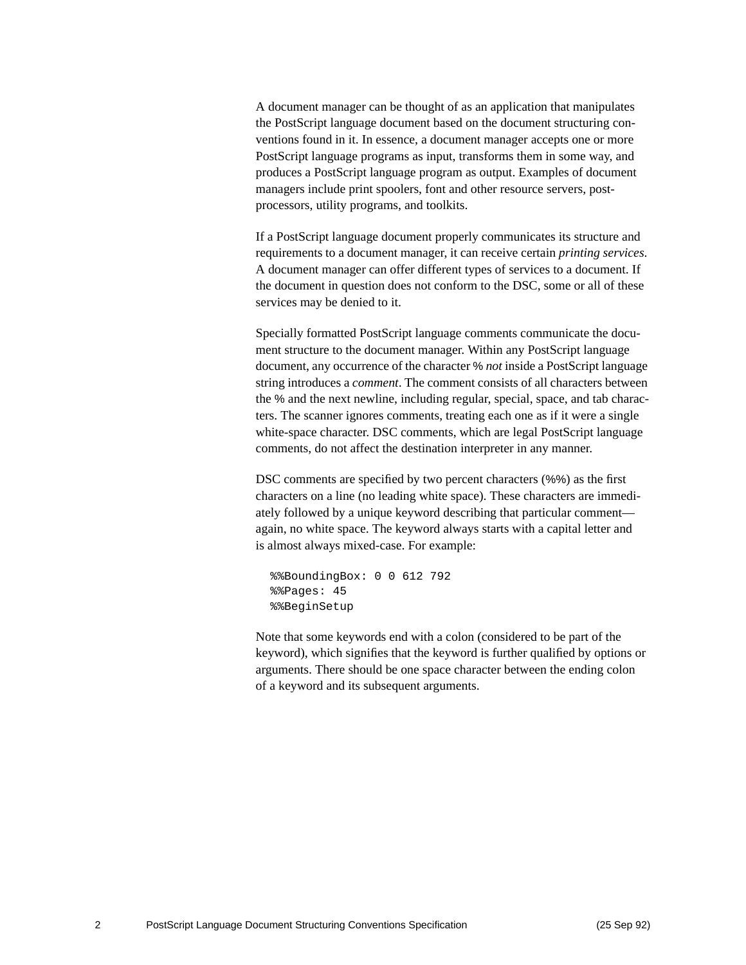A document manager can be thought of as an application that manipulates the PostScript language document based on the document structuring conventions found in it. In essence, a document manager accepts one or more PostScript language programs as input, transforms them in some way, and produces a PostScript language program as output. Examples of document managers include print spoolers, font and other resource servers, postprocessors, utility programs, and toolkits.

If a PostScript language document properly communicates its structure and requirements to a document manager, it can receive certain *printing services*. A document manager can offer different types of services to a document. If the document in question does not conform to the DSC, some or all of these services may be denied to it.

Specially formatted PostScript language comments communicate the document structure to the document manager. Within any PostScript language document, any occurrence of the character % *not* inside a PostScript language string introduces a *comment*. The comment consists of all characters between the % and the next newline, including regular, special, space, and tab characters. The scanner ignores comments, treating each one as if it were a single white-space character. DSC comments, which are legal PostScript language comments, do not affect the destination interpreter in any manner.

DSC comments are specified by two percent characters (%%) as the first characters on a line (no leading white space). These characters are immediately followed by a unique keyword describing that particular comment again, no white space. The keyword always starts with a capital letter and is almost always mixed-case. For example:

```
%%BoundingBox: 0 0 612 792
%%Pages: 45
%%BeginSetup
```
Note that some keywords end with a colon (considered to be part of the keyword), which signifies that the keyword is further qualified by options or arguments. There should be one space character between the ending colon of a keyword and its subsequent arguments.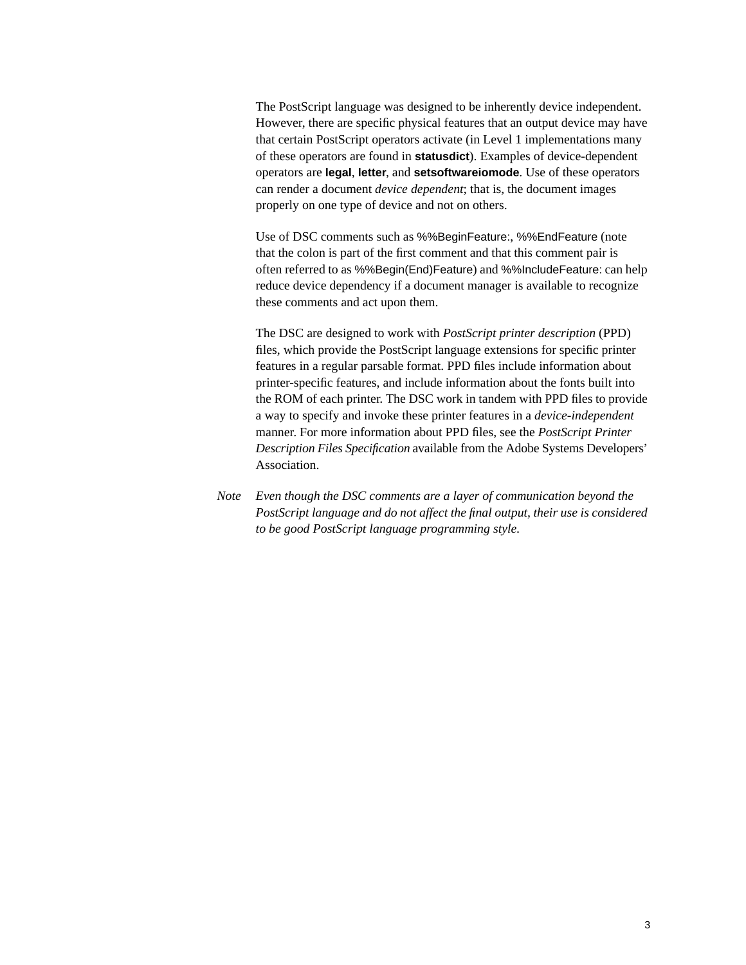The PostScript language was designed to be inherently device independent. However, there are specific physical features that an output device may have that certain PostScript operators activate (in Level 1 implementations many of these operators are found in **statusdict**). Examples of device-dependent operators are **legal**, **letter**, and **setsoftwareiomode**. Use of these operators can render a document *device dependent*; that is, the document images properly on one type of device and not on others.

Use of DSC comments such as %%BeginFeature:, %%EndFeature (note that the colon is part of the first comment and that this comment pair is often referred to as %%Begin(End)Feature) and %%IncludeFeature: can help reduce device dependency if a document manager is available to recognize these comments and act upon them.

The DSC are designed to work with *PostScript printer description* (PPD) files, which provide the PostScript language extensions for specific printer features in a regular parsable format. PPD files include information about printer-specific features, and include information about the fonts built into the ROM of each printer. The DSC work in tandem with PPD files to provide a way to specify and invoke these printer features in a *device-independent* manner. For more information about PPD files, see the *PostScript Printer Description Files Specification* available from the Adobe Systems Developers' Association.

*Note Even though the DSC comments are a layer of communication beyond the PostScript language and do not affect the final output, their use is considered to be good PostScript language programming style.*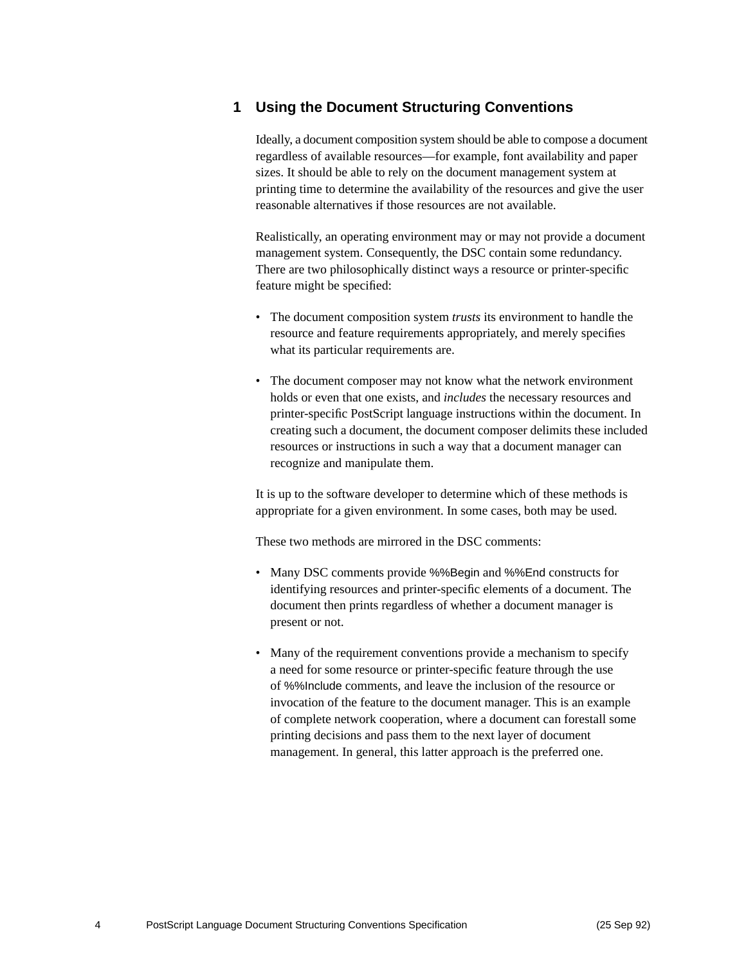# **1 Using the Document Structuring Conventions**

Ideally, a document composition system should be able to compose a document regardless of available resources—for example, font availability and paper sizes. It should be able to rely on the document management system at printing time to determine the availability of the resources and give the user reasonable alternatives if those resources are not available.

Realistically, an operating environment may or may not provide a document management system. Consequently, the DSC contain some redundancy. There are two philosophically distinct ways a resource or printer-specific feature might be specified:

- The document composition system *trusts* its environment to handle the resource and feature requirements appropriately, and merely specifies what its particular requirements are.
- The document composer may not know what the network environment holds or even that one exists, and *includes* the necessary resources and printer-specific PostScript language instructions within the document. In creating such a document, the document composer delimits these included resources or instructions in such a way that a document manager can recognize and manipulate them.

It is up to the software developer to determine which of these methods is appropriate for a given environment. In some cases, both may be used.

These two methods are mirrored in the DSC comments:

- Many DSC comments provide %%Begin and %%End constructs for identifying resources and printer-specific elements of a document. The document then prints regardless of whether a document manager is present or not.
- Many of the requirement conventions provide a mechanism to specify a need for some resource or printer-specific feature through the use of %%Include comments, and leave the inclusion of the resource or invocation of the feature to the document manager. This is an example of complete network cooperation, where a document can forestall some printing decisions and pass them to the next layer of document management. In general, this latter approach is the preferred one.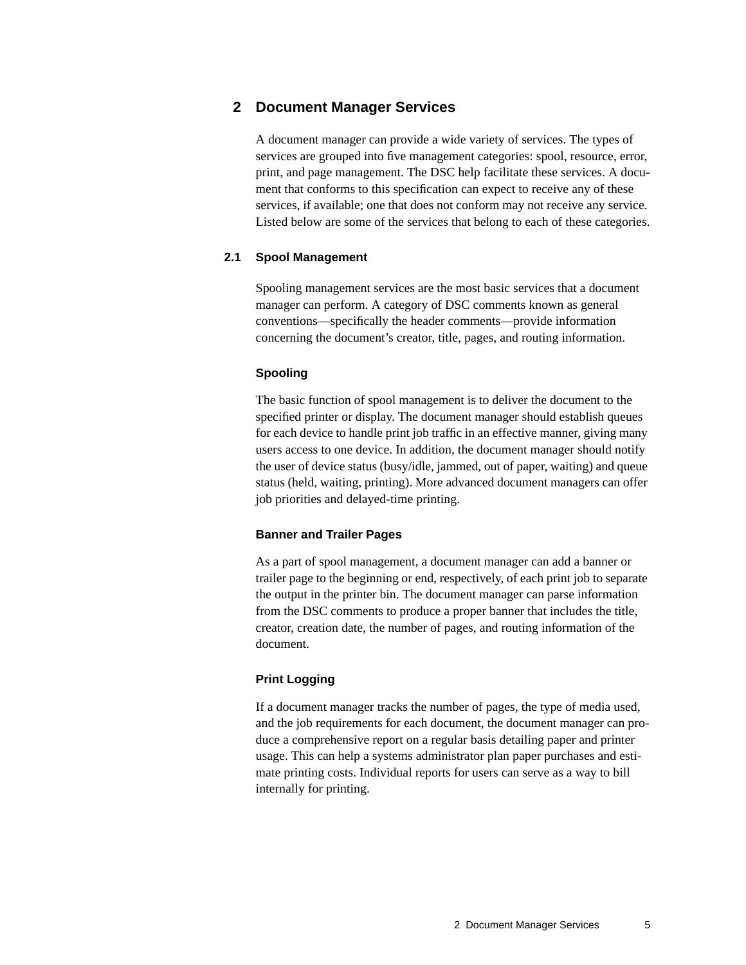# **2 Document Manager Services**

A document manager can provide a wide variety of services. The types of services are grouped into five management categories: spool, resource, error, print, and page management. The DSC help facilitate these services. A document that conforms to this specification can expect to receive any of these services, if available; one that does not conform may not receive any service. Listed below are some of the services that belong to each of these categories.

# **2.1 Spool Management**

Spooling management services are the most basic services that a document manager can perform. A category of DSC comments known as general conventions—specifically the header comments—provide information concerning the document's creator, title, pages, and routing information.

#### **Spooling**

The basic function of spool management is to deliver the document to the specified printer or display. The document manager should establish queues for each device to handle print job traffic in an effective manner, giving many users access to one device. In addition, the document manager should notify the user of device status (busy/idle, jammed, out of paper, waiting) and queue status (held, waiting, printing). More advanced document managers can offer job priorities and delayed-time printing.

#### **Banner and Trailer Pages**

As a part of spool management, a document manager can add a banner or trailer page to the beginning or end, respectively, of each print job to separate the output in the printer bin. The document manager can parse information from the DSC comments to produce a proper banner that includes the title, creator, creation date, the number of pages, and routing information of the document.

# **Print Logging**

If a document manager tracks the number of pages, the type of media used, and the job requirements for each document, the document manager can produce a comprehensive report on a regular basis detailing paper and printer usage. This can help a systems administrator plan paper purchases and estimate printing costs. Individual reports for users can serve as a way to bill internally for printing.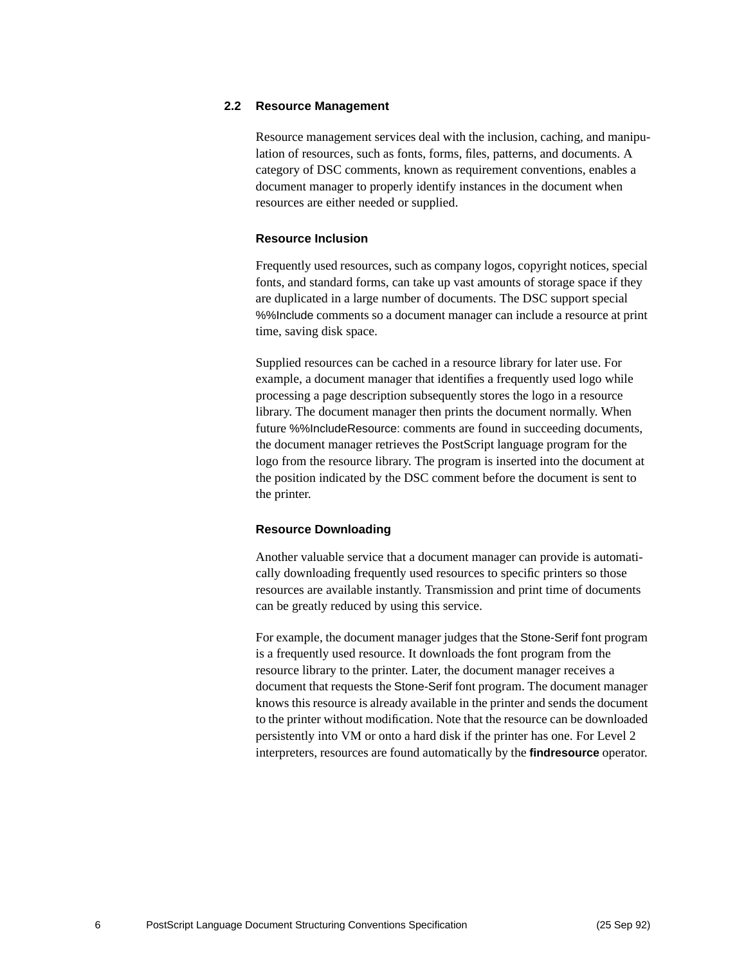# **2.2 Resource Management**

Resource management services deal with the inclusion, caching, and manipulation of resources, such as fonts, forms, files, patterns, and documents. A category of DSC comments, known as requirement conventions, enables a document manager to properly identify instances in the document when resources are either needed or supplied.

# **Resource Inclusion**

Frequently used resources, such as company logos, copyright notices, special fonts, and standard forms, can take up vast amounts of storage space if they are duplicated in a large number of documents. The DSC support special %%Include comments so a document manager can include a resource at print time, saving disk space.

Supplied resources can be cached in a resource library for later use. For example, a document manager that identifies a frequently used logo while processing a page description subsequently stores the logo in a resource library. The document manager then prints the document normally. When future %%IncludeResource: comments are found in succeeding documents, the document manager retrieves the PostScript language program for the logo from the resource library. The program is inserted into the document at the position indicated by the DSC comment before the document is sent to the printer.

# **Resource Downloading**

Another valuable service that a document manager can provide is automatically downloading frequently used resources to specific printers so those resources are available instantly. Transmission and print time of documents can be greatly reduced by using this service.

For example, the document manager judges that the Stone-Serif font program is a frequently used resource. It downloads the font program from the resource library to the printer. Later, the document manager receives a document that requests the Stone-Serif font program. The document manager knows this resource is already available in the printer and sends the document to the printer without modification. Note that the resource can be downloaded persistently into VM or onto a hard disk if the printer has one. For Level 2 interpreters, resources are found automatically by the **findresource** operator.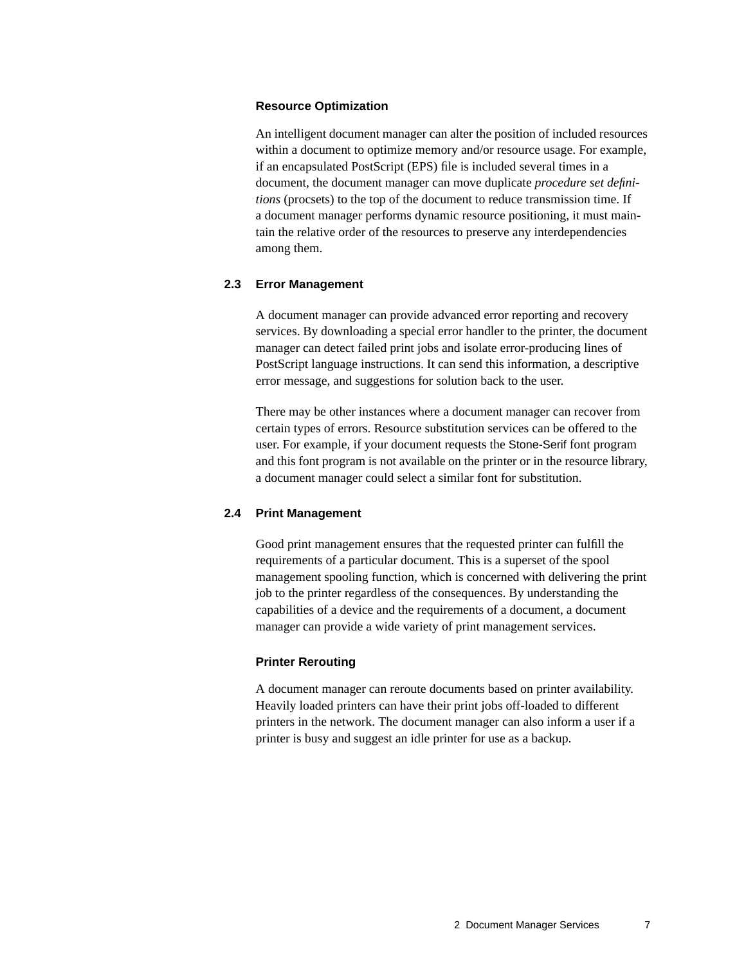#### **Resource Optimization**

An intelligent document manager can alter the position of included resources within a document to optimize memory and/or resource usage. For example, if an encapsulated PostScript (EPS) file is included several times in a document, the document manager can move duplicate *procedure set definitions* (procsets) to the top of the document to reduce transmission time. If a document manager performs dynamic resource positioning, it must maintain the relative order of the resources to preserve any interdependencies among them.

# **2.3 Error Management**

A document manager can provide advanced error reporting and recovery services. By downloading a special error handler to the printer, the document manager can detect failed print jobs and isolate error-producing lines of PostScript language instructions. It can send this information, a descriptive error message, and suggestions for solution back to the user.

There may be other instances where a document manager can recover from certain types of errors. Resource substitution services can be offered to the user. For example, if your document requests the Stone-Serif font program and this font program is not available on the printer or in the resource library, a document manager could select a similar font for substitution.

# **2.4 Print Management**

Good print management ensures that the requested printer can fulfill the requirements of a particular document. This is a superset of the spool management spooling function, which is concerned with delivering the print job to the printer regardless of the consequences. By understanding the capabilities of a device and the requirements of a document, a document manager can provide a wide variety of print management services.

#### **Printer Rerouting**

A document manager can reroute documents based on printer availability. Heavily loaded printers can have their print jobs off-loaded to different printers in the network. The document manager can also inform a user if a printer is busy and suggest an idle printer for use as a backup.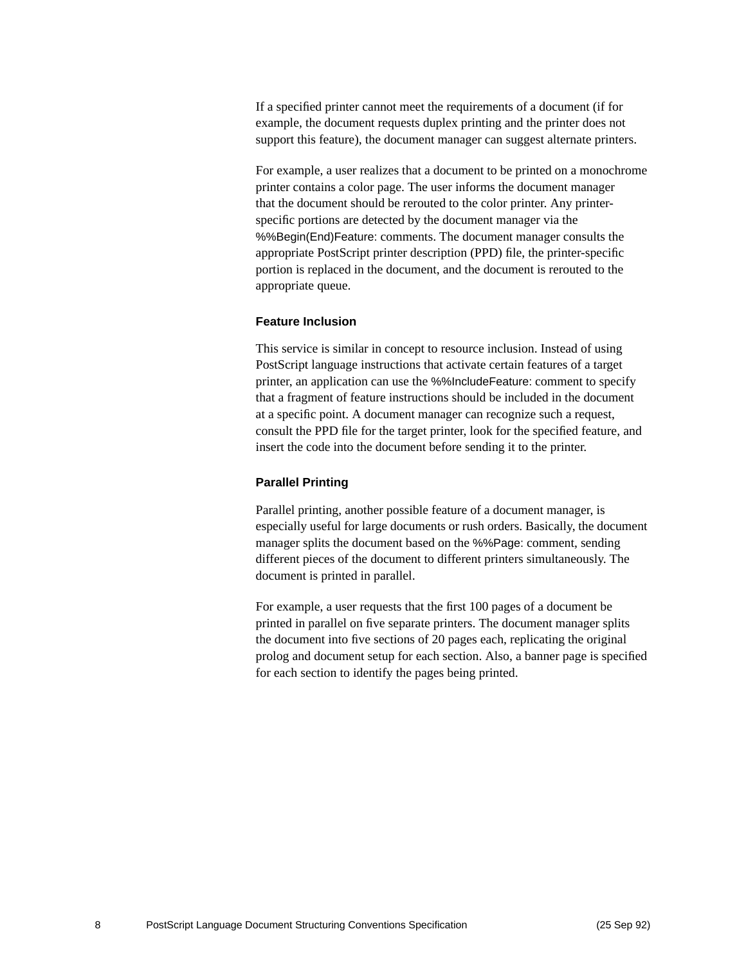If a specified printer cannot meet the requirements of a document (if for example, the document requests duplex printing and the printer does not support this feature), the document manager can suggest alternate printers.

For example, a user realizes that a document to be printed on a monochrome printer contains a color page. The user informs the document manager that the document should be rerouted to the color printer. Any printerspecific portions are detected by the document manager via the %%Begin(End)Feature: comments. The document manager consults the appropriate PostScript printer description (PPD) file, the printer-specific portion is replaced in the document, and the document is rerouted to the appropriate queue.

# **Feature Inclusion**

This service is similar in concept to resource inclusion. Instead of using PostScript language instructions that activate certain features of a target printer, an application can use the %%IncludeFeature: comment to specify that a fragment of feature instructions should be included in the document at a specific point. A document manager can recognize such a request, consult the PPD file for the target printer, look for the specified feature, and insert the code into the document before sending it to the printer.

# **Parallel Printing**

Parallel printing, another possible feature of a document manager, is especially useful for large documents or rush orders. Basically, the document manager splits the document based on the %%Page: comment, sending different pieces of the document to different printers simultaneously. The document is printed in parallel.

For example, a user requests that the first 100 pages of a document be printed in parallel on five separate printers. The document manager splits the document into five sections of 20 pages each, replicating the original prolog and document setup for each section. Also, a banner page is specified for each section to identify the pages being printed.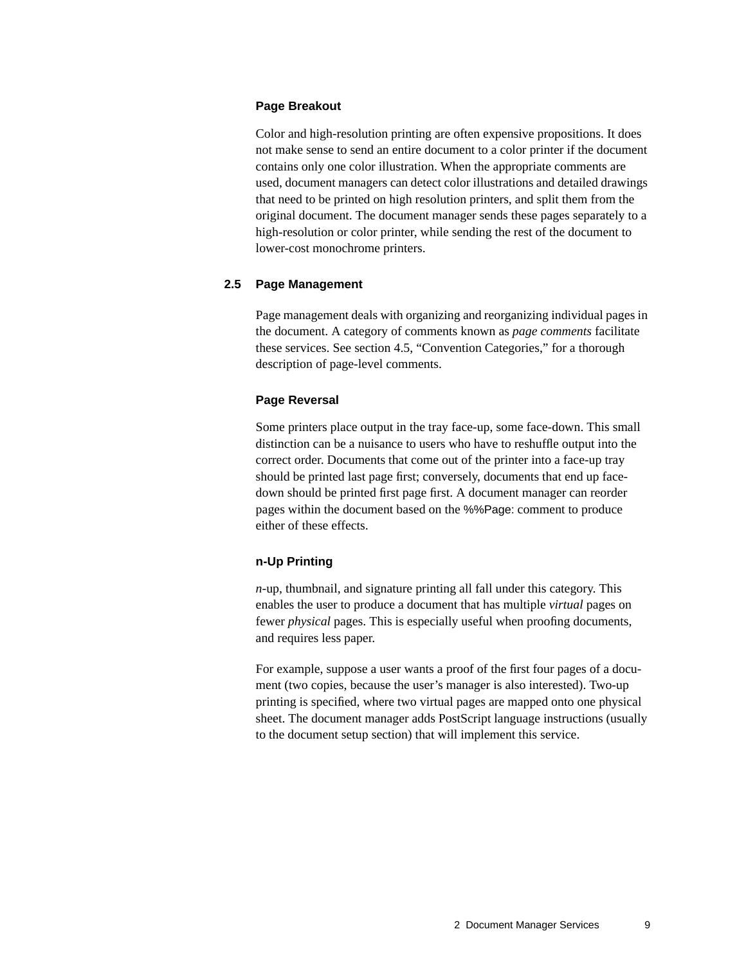#### **Page Breakout**

Color and high-resolution printing are often expensive propositions. It does not make sense to send an entire document to a color printer if the document contains only one color illustration. When the appropriate comments are used, document managers can detect color illustrations and detailed drawings that need to be printed on high resolution printers, and split them from the original document. The document manager sends these pages separately to a high-resolution or color printer, while sending the rest of the document to lower-cost monochrome printers.

# **2.5 Page Management**

Page management deals with organizing and reorganizing individual pages in the document. A category of comments known as *page comments* facilitate these services. See section 4.5, "Convention Categories," for a thorough description of page-level comments.

# **Page Reversal**

Some printers place output in the tray face-up, some face-down. This small distinction can be a nuisance to users who have to reshuffle output into the correct order. Documents that come out of the printer into a face-up tray should be printed last page first; conversely, documents that end up facedown should be printed first page first. A document manager can reorder pages within the document based on the %%Page: comment to produce either of these effects.

# **n-Up Printing**

*n*-up, thumbnail, and signature printing all fall under this category. This enables the user to produce a document that has multiple *virtual* pages on fewer *physical* pages. This is especially useful when proofing documents, and requires less paper.

For example, suppose a user wants a proof of the first four pages of a document (two copies, because the user's manager is also interested). Two-up printing is specified, where two virtual pages are mapped onto one physical sheet. The document manager adds PostScript language instructions (usually to the document setup section) that will implement this service.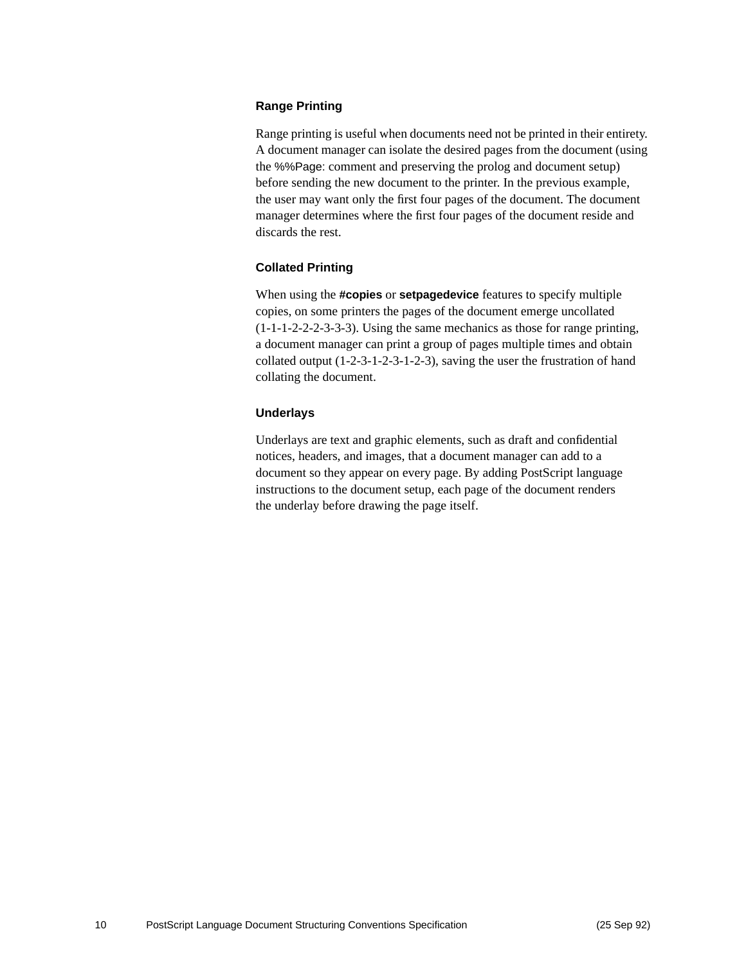# **Range Printing**

Range printing is useful when documents need not be printed in their entirety. A document manager can isolate the desired pages from the document (using the %%Page: comment and preserving the prolog and document setup) before sending the new document to the printer. In the previous example, the user may want only the first four pages of the document. The document manager determines where the first four pages of the document reside and discards the rest.

# **Collated Printing**

When using the **#copies** or **setpagedevice** features to specify multiple copies, on some printers the pages of the document emerge uncollated (1-1-1-2-2-2-3-3-3). Using the same mechanics as those for range printing, a document manager can print a group of pages multiple times and obtain collated output (1-2-3-1-2-3-1-2-3), saving the user the frustration of hand collating the document.

# **Underlays**

Underlays are text and graphic elements, such as draft and confidential notices, headers, and images, that a document manager can add to a document so they appear on every page. By adding PostScript language instructions to the document setup, each page of the document renders the underlay before drawing the page itself.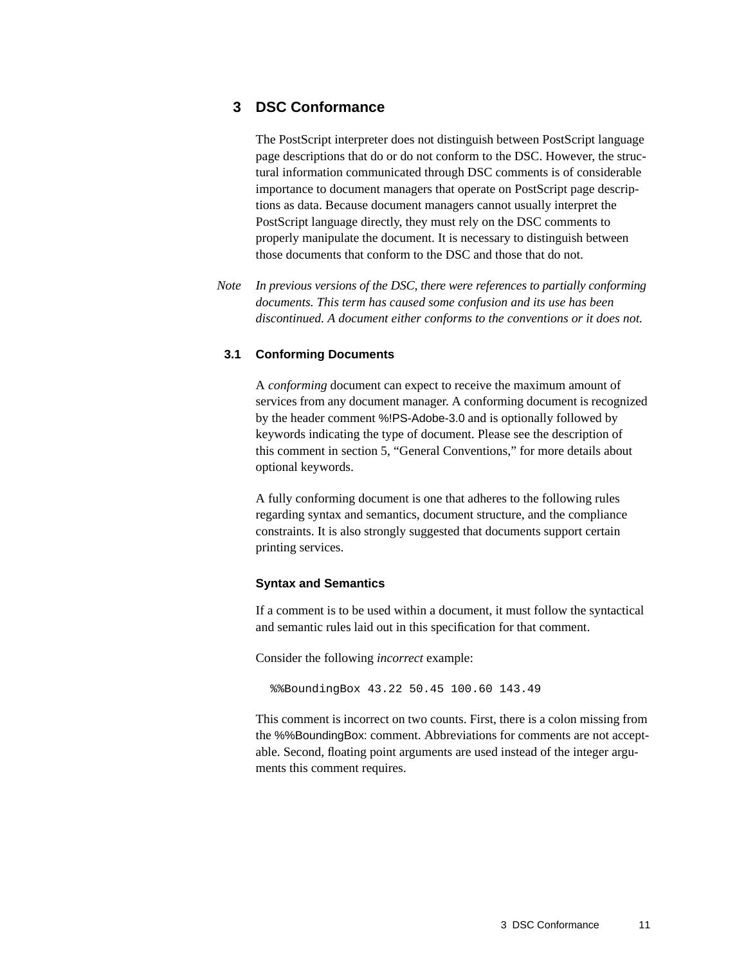# **3 DSC Conformance**

The PostScript interpreter does not distinguish between PostScript language page descriptions that do or do not conform to the DSC. However, the structural information communicated through DSC comments is of considerable importance to document managers that operate on PostScript page descriptions as data. Because document managers cannot usually interpret the PostScript language directly, they must rely on the DSC comments to properly manipulate the document. It is necessary to distinguish between those documents that conform to the DSC and those that do not.

*Note In previous versions of the DSC, there were references to partially conforming documents. This term has caused some confusion and its use has been discontinued. A document either conforms to the conventions or it does not.*

# **3.1 Conforming Documents**

A *conforming* document can expect to receive the maximum amount of services from any document manager. A conforming document is recognized by the header comment %!PS-Adobe-3.0 and is optionally followed by keywords indicating the type of document. Please see the description of this comment in section 5, "General Conventions," for more details about optional keywords.

A fully conforming document is one that adheres to the following rules regarding syntax and semantics, document structure, and the compliance constraints. It is also strongly suggested that documents support certain printing services.

# **Syntax and Semantics**

If a comment is to be used within a document, it must follow the syntactical and semantic rules laid out in this specification for that comment.

Consider the following *incorrect* example:

%%BoundingBox 43.22 50.45 100.60 143.49

This comment is incorrect on two counts. First, there is a colon missing from the %%BoundingBox: comment. Abbreviations for comments are not acceptable. Second, floating point arguments are used instead of the integer arguments this comment requires.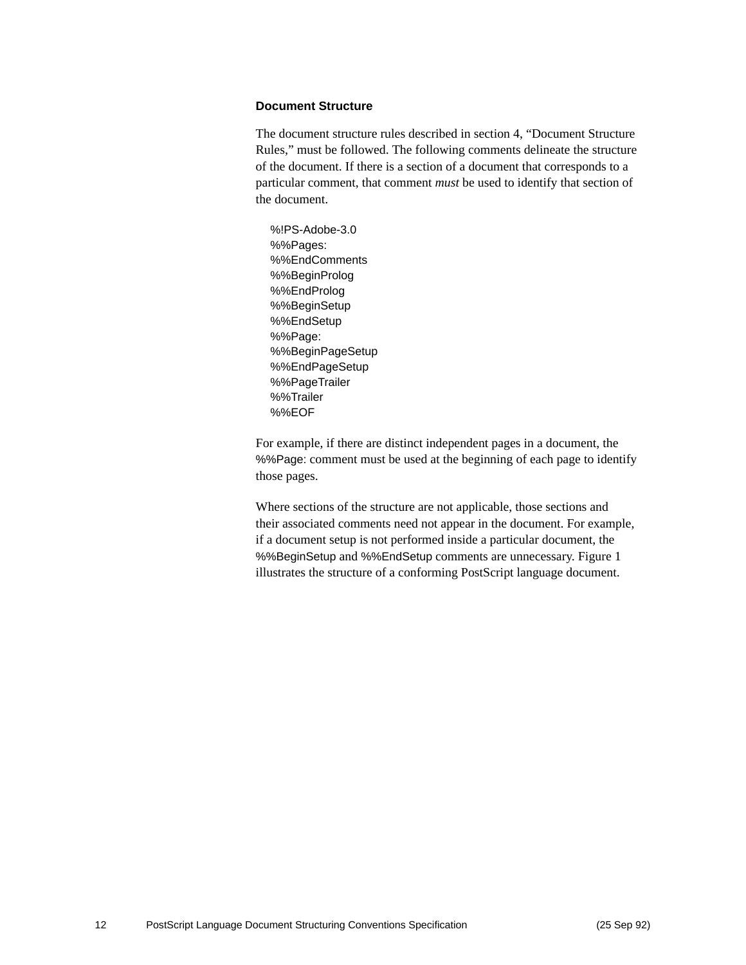#### **Document Structure**

The document structure rules described in section 4, "Document Structure Rules," must be followed. The following comments delineate the structure of the document. If there is a section of a document that corresponds to a particular comment, that comment *must* be used to identify that section of the document.

%!PS-Adobe-3.0 %%Pages: %%EndComments %%BeginProlog %%EndProlog %%BeginSetup %%EndSetup %%Page: %%BeginPageSetup %%EndPageSetup %%PageTrailer %%Trailer %%EOF

For example, if there are distinct independent pages in a document, the %%Page: comment must be used at the beginning of each page to identify those pages.

Where sections of the structure are not applicable, those sections and their associated comments need not appear in the document. For example, if a document setup is not performed inside a particular document, the %%BeginSetup and %%EndSetup comments are unnecessary. Figure 1 illustrates the structure of a conforming PostScript language document.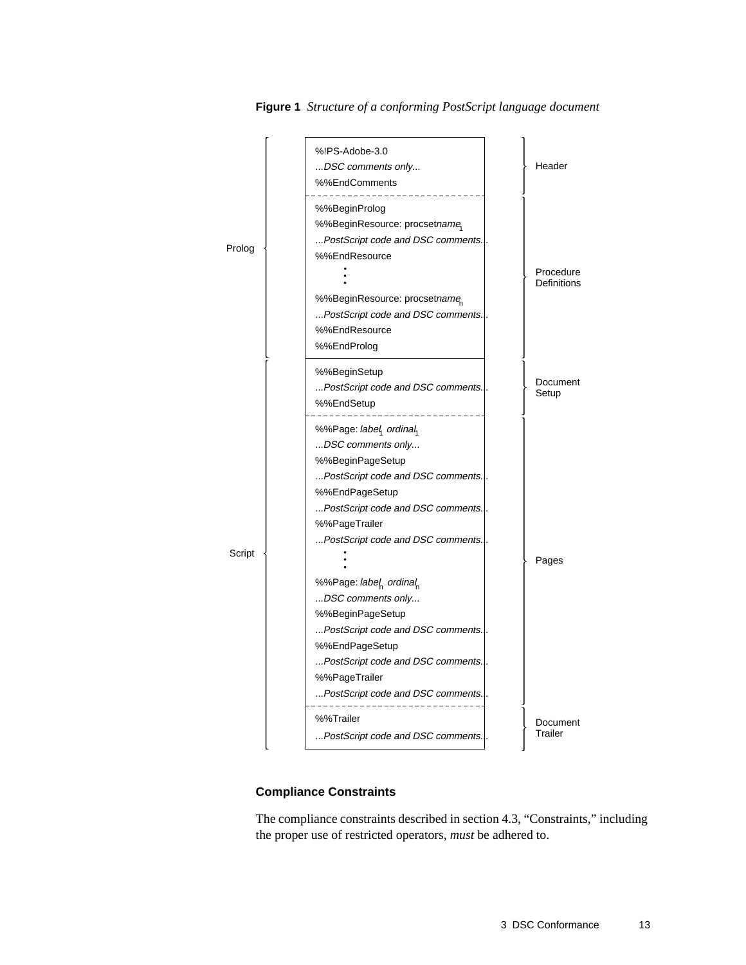

**Figure 1** *Structure of a conforming PostScript language document*

# **Compliance Constraints**

The compliance constraints described in section 4.3, "Constraints," including the proper use of restricted operators*, must* be adhered to.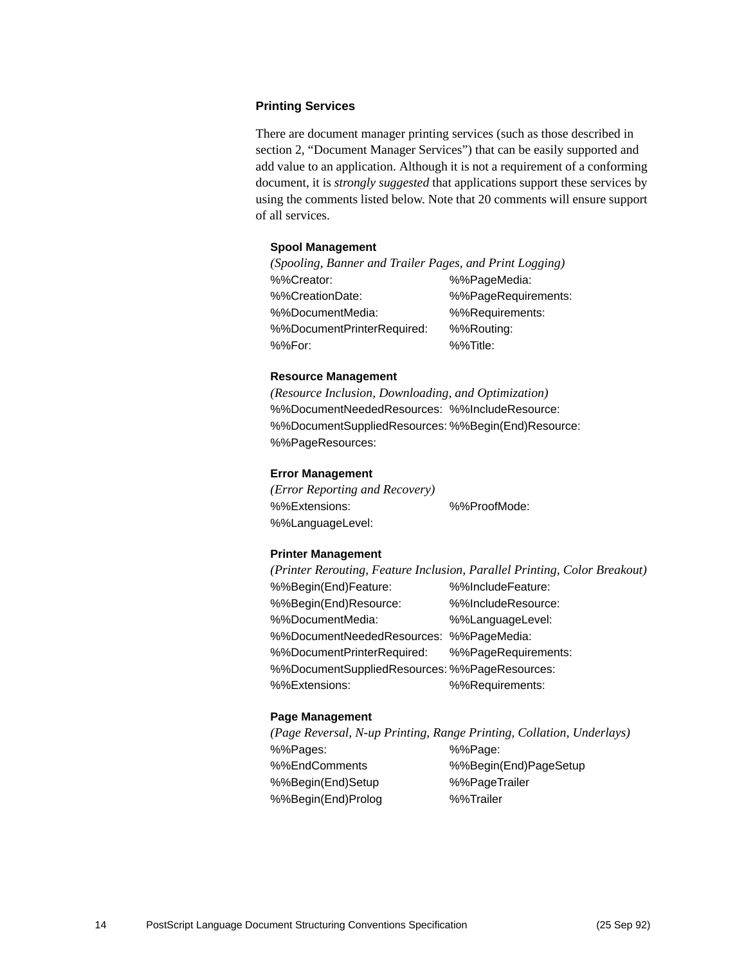#### **Printing Services**

There are document manager printing services (such as those described in section 2, "Document Manager Services") that can be easily supported and add value to an application. Although it is not a requirement of a conforming document, it is *strongly suggested* that applications support these services by using the comments listed below. Note that 20 comments will ensure support of all services.

#### **Spool Management**

| (Spooling, Banner and Trailer Pages, and Print Logging) |                     |
|---------------------------------------------------------|---------------------|
| %%Creator:                                              | %%PageMedia:        |
| %%CreationDate:                                         | %%PageRequirements: |
| %%DocumentMedia:                                        | %%Requirements:     |
| %%DocumentPrinterRequired:                              | %%Routing:          |
| %%For:                                                  | %%Title:            |

#### **Resource Management**

*(Resource Inclusion, Downloading, and Optimization)* %%DocumentNeededResources: %%IncludeResource: %%DocumentSuppliedResources: %%Begin(End)Resource: %%PageResources:

#### **Error Management**

*(Error Reporting and Recovery)* %%Extensions: %%ProofMode: %%LanguageLevel:

#### **Printer Management**

*(Printer Rerouting, Feature Inclusion, Parallel Printing, Color Breakout)* %%Begin(End)Feature: %%IncludeFeature: %%Begin(End)Resource: %%IncludeResource: %%DocumentMedia: %%LanguageLevel: %%DocumentNeededResources: %%PageMedia: %%DocumentPrinterRequired: %%PageRequirements: %%DocumentSuppliedResources: %%PageResources: %%Extensions: %%Requirements:

#### **Page Management**

*(Page Reversal, N-up Printing, Range Printing, Collation, Underlays)* %%Pages: %%Page: %%EndComments %%Begin(End)PageSetup %%Begin(End)Setup %%PageTrailer %%Begin(End)Prolog %%Trailer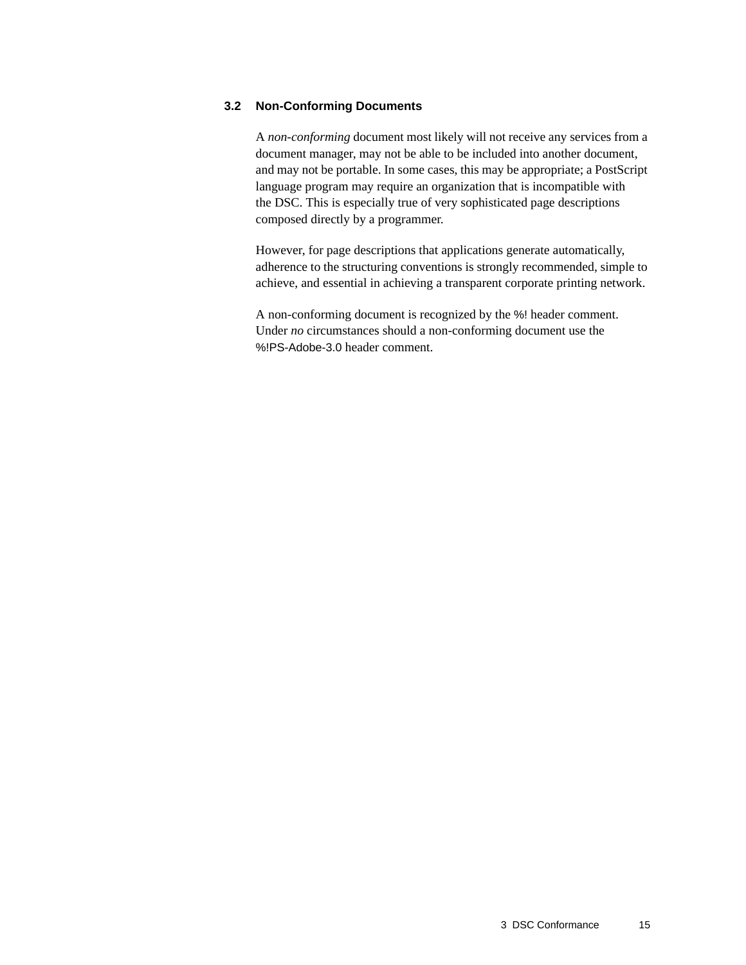# **3.2 Non-Conforming Documents**

A *non-conforming* document most likely will not receive any services from a document manager, may not be able to be included into another document, and may not be portable. In some cases, this may be appropriate; a PostScript language program may require an organization that is incompatible with the DSC. This is especially true of very sophisticated page descriptions composed directly by a programmer.

However, for page descriptions that applications generate automatically, adherence to the structuring conventions is strongly recommended, simple to achieve, and essential in achieving a transparent corporate printing network.

A non-conforming document is recognized by the %! header comment. Under *no* circumstances should a non-conforming document use the %!PS-Adobe-3.0 header comment.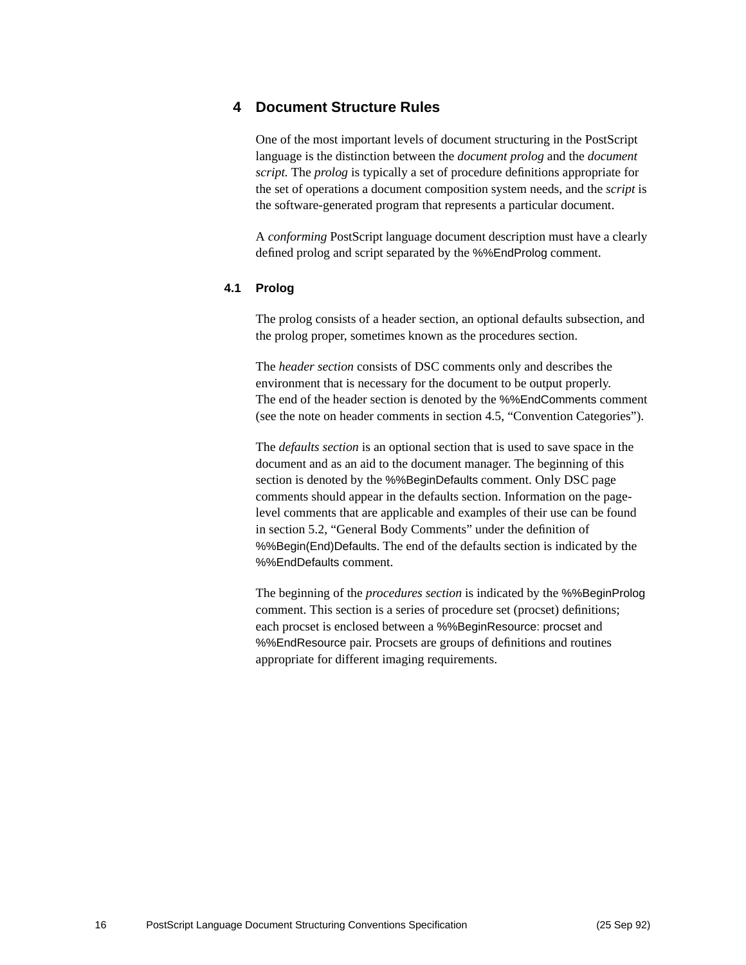# **4 Document Structure Rules**

One of the most important levels of document structuring in the PostScript language is the distinction between the *document prolog* and the *document script.* The *prolog* is typically a set of procedure definitions appropriate for the set of operations a document composition system needs, and the *script* is the software-generated program that represents a particular document.

A *conforming* PostScript language document description must have a clearly defined prolog and script separated by the %%EndProlog comment.

# **4.1 Prolog**

The prolog consists of a header section, an optional defaults subsection, and the prolog proper, sometimes known as the procedures section.

The *header section* consists of DSC comments only and describes the environment that is necessary for the document to be output properly. The end of the header section is denoted by the %%EndComments comment (see the note on header comments in section 4.5, "Convention Categories").

The *defaults section* is an optional section that is used to save space in the document and as an aid to the document manager. The beginning of this section is denoted by the %%BeginDefaults comment. Only DSC page comments should appear in the defaults section. Information on the pagelevel comments that are applicable and examples of their use can be found in section 5.2, "General Body Comments" under the definition of %%Begin(End)Defaults. The end of the defaults section is indicated by the %%EndDefaults comment.

The beginning of the *procedures section* is indicated by the %%BeginProlog comment. This section is a series of procedure set (procset) definitions; each procset is enclosed between a %%BeginResource: procset and %%EndResource pair. Procsets are groups of definitions and routines appropriate for different imaging requirements.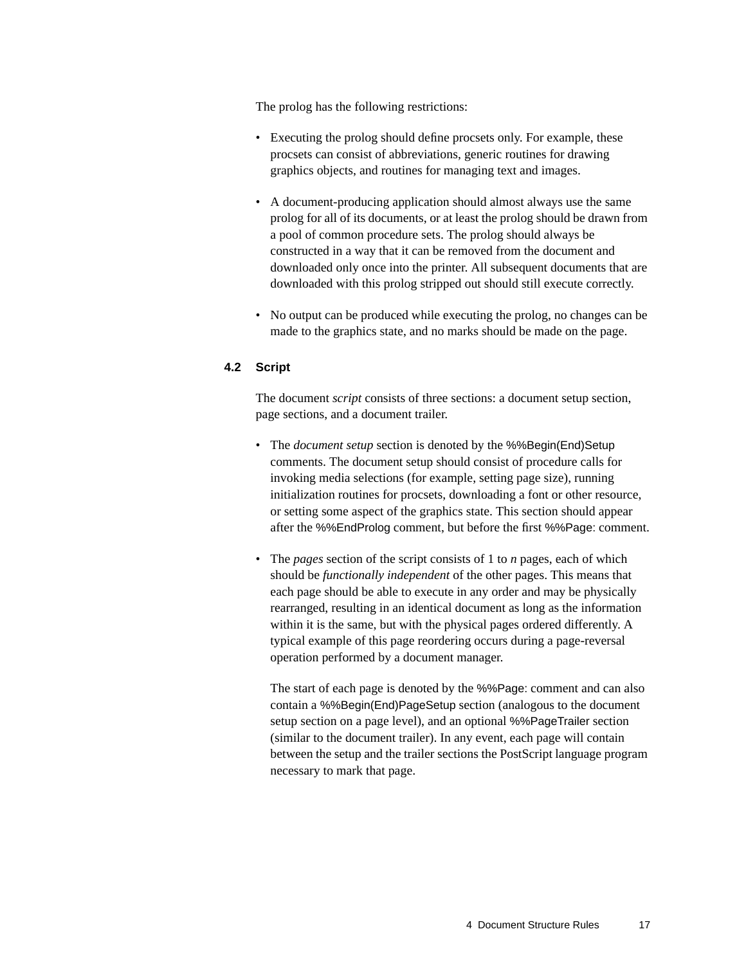The prolog has the following restrictions:

- Executing the prolog should define procsets only. For example, these procsets can consist of abbreviations, generic routines for drawing graphics objects, and routines for managing text and images.
- A document-producing application should almost always use the same prolog for all of its documents, or at least the prolog should be drawn from a pool of common procedure sets. The prolog should always be constructed in a way that it can be removed from the document and downloaded only once into the printer. All subsequent documents that are downloaded with this prolog stripped out should still execute correctly.
- No output can be produced while executing the prolog, no changes can be made to the graphics state, and no marks should be made on the page.

#### **4.2 Script**

The document *script* consists of three sections: a document setup section, page sections, and a document trailer.

- The *document setup* section is denoted by the %%Begin(End)Setup comments. The document setup should consist of procedure calls for invoking media selections (for example, setting page size), running initialization routines for procsets, downloading a font or other resource, or setting some aspect of the graphics state. This section should appear after the %%EndProlog comment, but before the first %%Page: comment.
- The *pages* section of the script consists of 1 to *n* pages, each of which should be *functionally independent* of the other pages. This means that each page should be able to execute in any order and may be physically rearranged, resulting in an identical document as long as the information within it is the same, but with the physical pages ordered differently. A typical example of this page reordering occurs during a page-reversal operation performed by a document manager.

The start of each page is denoted by the %%Page: comment and can also contain a %%Begin(End)PageSetup section (analogous to the document setup section on a page level), and an optional %%PageTrailer section (similar to the document trailer). In any event, each page will contain between the setup and the trailer sections the PostScript language program necessary to mark that page.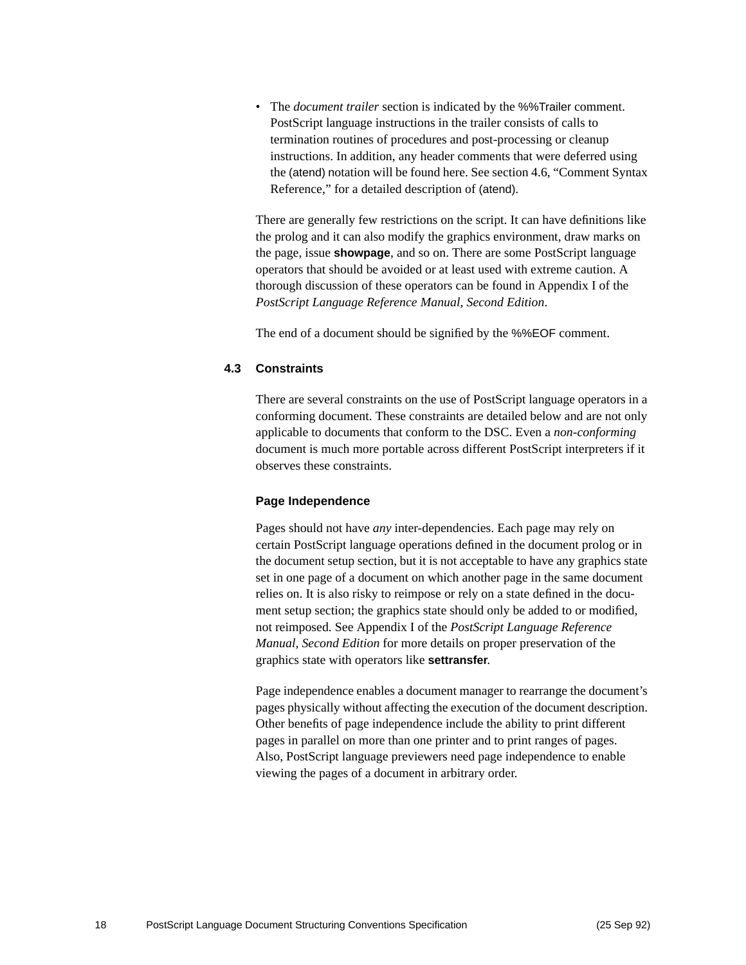• The *document trailer* section is indicated by the %%Trailer comment. PostScript language instructions in the trailer consists of calls to termination routines of procedures and post-processing or cleanup instructions. In addition, any header comments that were deferred using the (atend) notation will be found here. See section 4.6, "Comment Syntax Reference," for a detailed description of (atend).

There are generally few restrictions on the script. It can have definitions like the prolog and it can also modify the graphics environment, draw marks on the page, issue **showpage**, and so on. There are some PostScript language operators that should be avoided or at least used with extreme caution. A thorough discussion of these operators can be found in Appendix I of the *PostScript Language Reference Manual, Second Edition*.

The end of a document should be signified by the %%EOF comment.

# **4.3 Constraints**

There are several constraints on the use of PostScript language operators in a conforming document. These constraints are detailed below and are not only applicable to documents that conform to the DSC. Even a *non-conforming* document is much more portable across different PostScript interpreters if it observes these constraints.

# **Page Independence**

Pages should not have *any* inter-dependencies. Each page may rely on certain PostScript language operations defined in the document prolog or in the document setup section, but it is not acceptable to have any graphics state set in one page of a document on which another page in the same document relies on. It is also risky to reimpose or rely on a state defined in the document setup section; the graphics state should only be added to or modified, not reimposed. See Appendix I of the *PostScript Language Reference Manual, Second Edition* for more details on proper preservation of the graphics state with operators like **settransfer**.

Page independence enables a document manager to rearrange the document's pages physically without affecting the execution of the document description. Other benefits of page independence include the ability to print different pages in parallel on more than one printer and to print ranges of pages. Also, PostScript language previewers need page independence to enable viewing the pages of a document in arbitrary order.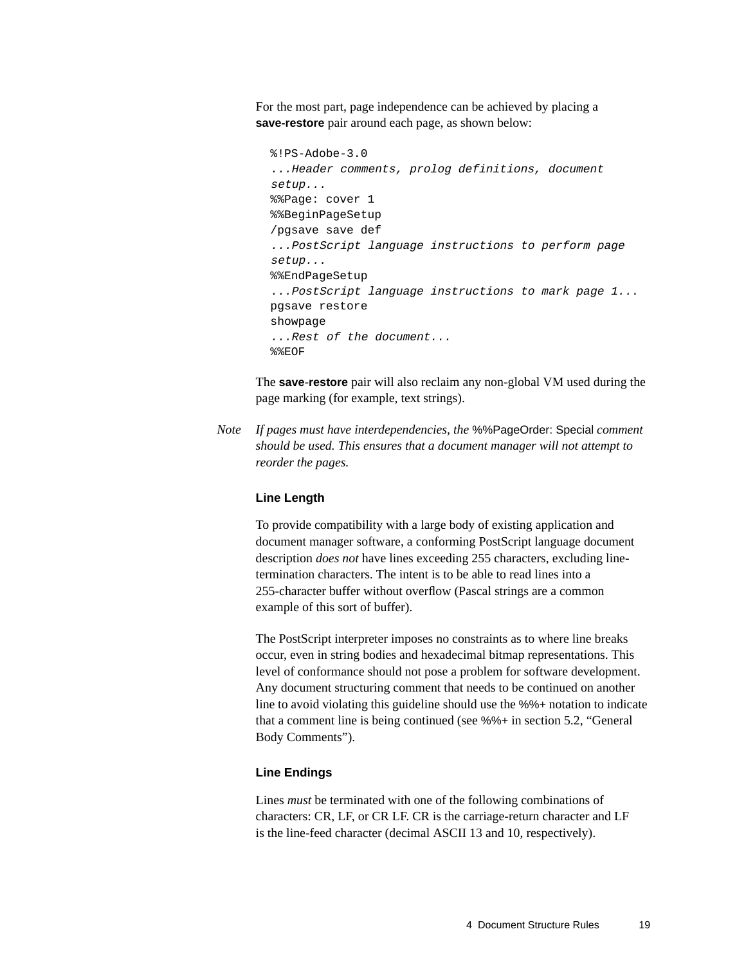For the most part, page independence can be achieved by placing a **save-restore** pair around each page, as shown below:

```
%!PS-Adobe-3.0
...Header comments, prolog definitions, document
setup...
%%Page: cover 1
%%BeginPageSetup
/pgsave save def
...PostScript language instructions to perform page
setup...
%%EndPageSetup
...PostScript language instructions to mark page 1...
pgsave restore
showpage
...Rest of the document...
%%EOF
```
The **save**-**restore** pair will also reclaim any non-global VM used during the page marking (for example, text strings).

*Note If pages must have interdependencies, the* %%PageOrder: Special *comment should be used. This ensures that a document manager will not attempt to reorder the pages.*

#### **Line Length**

To provide compatibility with a large body of existing application and document manager software, a conforming PostScript language document description *does not* have lines exceeding 255 characters, excluding linetermination characters. The intent is to be able to read lines into a 255-character buffer without overflow (Pascal strings are a common example of this sort of buffer).

The PostScript interpreter imposes no constraints as to where line breaks occur, even in string bodies and hexadecimal bitmap representations. This level of conformance should not pose a problem for software development. Any document structuring comment that needs to be continued on another line to avoid violating this guideline should use the %%+ notation to indicate that a comment line is being continued (see %%+ in section 5.2, "General Body Comments").

#### **Line Endings**

Lines *must* be terminated with one of the following combinations of characters: CR, LF, or CR LF. CR is the carriage-return character and LF is the line-feed character (decimal ASCII 13 and 10, respectively).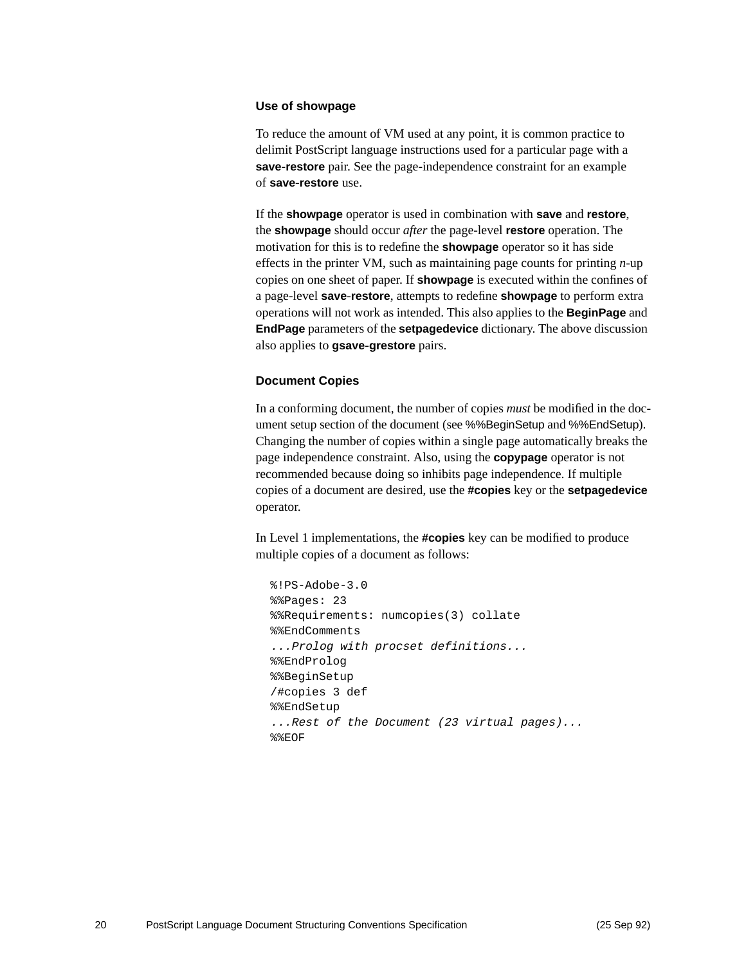#### **Use of showpage**

To reduce the amount of VM used at any point, it is common practice to delimit PostScript language instructions used for a particular page with a **save**-**restore** pair. See the page-independence constraint for an example of **save**-**restore** use.

If the **showpage** operator is used in combination with **save** and **restore**, the **showpage** should occur *after* the page-level **restore** operation. The motivation for this is to redefine the **showpage** operator so it has side effects in the printer VM, such as maintaining page counts for printing *n-*up copies on one sheet of paper. If **showpage** is executed within the confines of a page-level **save**-**restore**, attempts to redefine **showpage** to perform extra operations will not work as intended. This also applies to the **BeginPage** and **EndPage** parameters of the **setpagedevice** dictionary. The above discussion also applies to **gsave**-**grestore** pairs.

# **Document Copies**

In a conforming document, the number of copies *must* be modified in the document setup section of the document (see %%BeginSetup and %%EndSetup). Changing the number of copies within a single page automatically breaks the page independence constraint. Also, using the **copypage** operator is not recommended because doing so inhibits page independence. If multiple copies of a document are desired, use the **#copies** key or the **setpagedevice** operator.

In Level 1 implementations, the **#copies** key can be modified to produce multiple copies of a document as follows:

```
%!PS-Adobe-3.0
%%Pages: 23
%%Requirements: numcopies(3) collate
%%EndComments
...Prolog with procset definitions...
%%EndProlog
%%BeginSetup
/#copies 3 def
%%EndSetup
...Rest of the Document (23 virtual pages)...
%%EOF
```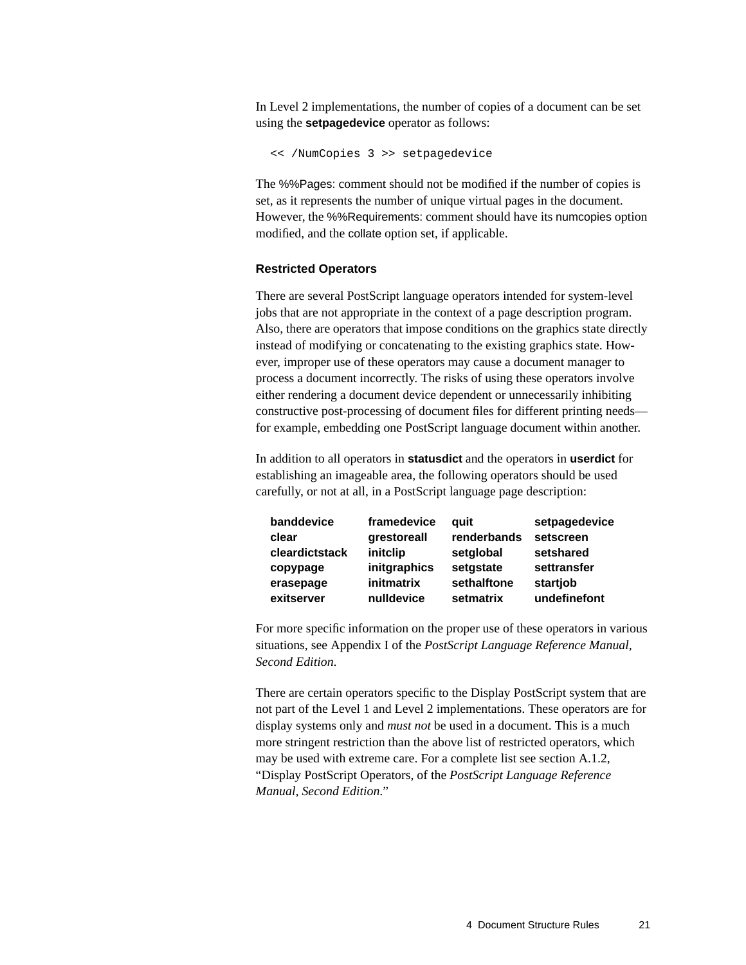In Level 2 implementations, the number of copies of a document can be set using the **setpagedevice** operator as follows:

<< /NumCopies 3 >> setpagedevice

The %%Pages: comment should not be modified if the number of copies is set, as it represents the number of unique virtual pages in the document. However, the %%Requirements: comment should have its numcopies option modified, and the collate option set, if applicable.

#### **Restricted Operators**

There are several PostScript language operators intended for system-level jobs that are not appropriate in the context of a page description program. Also, there are operators that impose conditions on the graphics state directly instead of modifying or concatenating to the existing graphics state. However, improper use of these operators may cause a document manager to process a document incorrectly. The risks of using these operators involve either rendering a document device dependent or unnecessarily inhibiting constructive post-processing of document files for different printing needs for example, embedding one PostScript language document within another.

In addition to all operators in **statusdict** and the operators in **userdict** for establishing an imageable area, the following operators should be used carefully, or not at all, in a PostScript language page description:

| banddevice     | framedevice  | quit        | setpagedevice |
|----------------|--------------|-------------|---------------|
| clear          | grestoreall  | renderbands | setscreen     |
| cleardictstack | initclip     | setglobal   | setshared     |
| copypage       | initgraphics | setgstate   | settransfer   |
| erasepage      | initmatrix   | sethalftone | startjob      |
| exitserver     | nulldevice   | setmatrix   | undefinefont  |

For more specific information on the proper use of these operators in various situations, see Appendix I of the *PostScript Language Reference Manual, Second Edition*.

There are certain operators specific to the Display PostScript system that are not part of the Level 1 and Level 2 implementations. These operators are for display systems only and *must not* be used in a document. This is a much more stringent restriction than the above list of restricted operators, which may be used with extreme care. For a complete list see section A.1.2, "Display PostScript Operators, of the *PostScript Language Reference Manual, Second Edition*."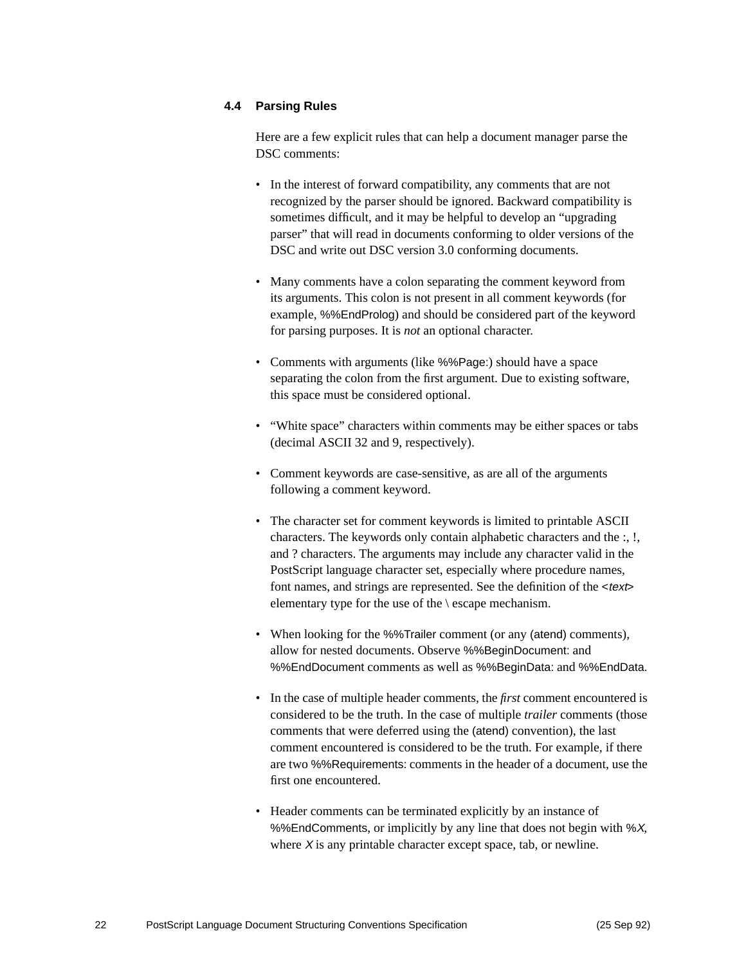# **4.4 Parsing Rules**

Here are a few explicit rules that can help a document manager parse the DSC comments:

- In the interest of forward compatibility, any comments that are not recognized by the parser should be ignored. Backward compatibility is sometimes difficult, and it may be helpful to develop an "upgrading parser" that will read in documents conforming to older versions of the DSC and write out DSC version 3.0 conforming documents.
- Many comments have a colon separating the comment keyword from its arguments. This colon is not present in all comment keywords (for example, %%EndProlog) and should be considered part of the keyword for parsing purposes. It is *not* an optional character.
- Comments with arguments (like %%Page:) should have a space separating the colon from the first argument. Due to existing software, this space must be considered optional.
- "White space" characters within comments may be either spaces or tabs (decimal ASCII 32 and 9, respectively).
- Comment keywords are case-sensitive, as are all of the arguments following a comment keyword.
- The character set for comment keywords is limited to printable ASCII characters. The keywords only contain alphabetic characters and the :, !, and ? characters. The arguments may include any character valid in the PostScript language character set, especially where procedure names, font names, and strings are represented. See the definition of the <text> elementary type for the use of the \ escape mechanism.
- When looking for the %%Trailer comment (or any (atend) comments), allow for nested documents. Observe %%BeginDocument: and %%EndDocument comments as well as %%BeginData: and %%EndData.
- In the case of multiple header comments, the *first* comment encountered is considered to be the truth. In the case of multiple *trailer* comments (those comments that were deferred using the (atend) convention), the last comment encountered is considered to be the truth. For example, if there are two %%Requirements: comments in the header of a document, use the first one encountered.
- Header comments can be terminated explicitly by an instance of %%EndComments, or implicitly by any line that does not begin with %X, where  $X$  is any printable character except space, tab, or newline.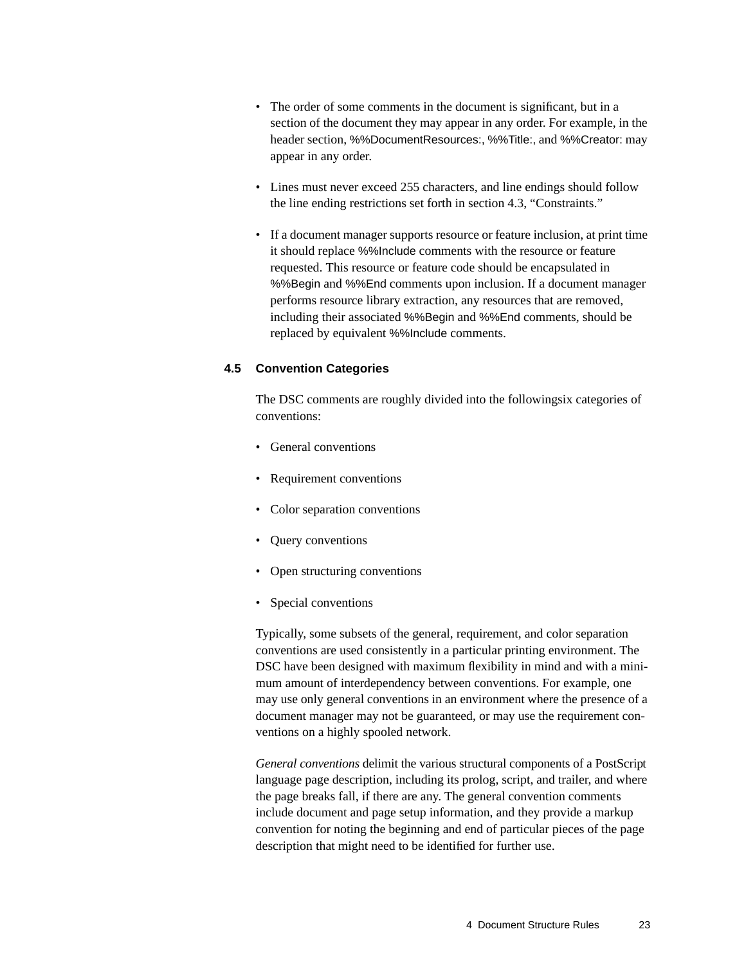- The order of some comments in the document is significant, but in a section of the document they may appear in any order. For example, in the header section, %%DocumentResources:, %%Title:, and %%Creator: may appear in any order.
- Lines must never exceed 255 characters, and line endings should follow the line ending restrictions set forth in section 4.3, "Constraints."
- If a document manager supports resource or feature inclusion, at print time it should replace %%Include comments with the resource or feature requested. This resource or feature code should be encapsulated in %%Begin and %%End comments upon inclusion. If a document manager performs resource library extraction, any resources that are removed, including their associated %%Begin and %%End comments, should be replaced by equivalent %%Include comments.

# **4.5 Convention Categories**

The DSC comments are roughly divided into the followingsix categories of conventions:

- General conventions
- Requirement conventions
- Color separation conventions
- Query conventions
- Open structuring conventions
- Special conventions

Typically, some subsets of the general, requirement, and color separation conventions are used consistently in a particular printing environment. The DSC have been designed with maximum flexibility in mind and with a minimum amount of interdependency between conventions. For example, one may use only general conventions in an environment where the presence of a document manager may not be guaranteed, or may use the requirement conventions on a highly spooled network.

*General conventions* delimit the various structural components of a PostScript language page description, including its prolog, script, and trailer, and where the page breaks fall, if there are any. The general convention comments include document and page setup information, and they provide a markup convention for noting the beginning and end of particular pieces of the page description that might need to be identified for further use.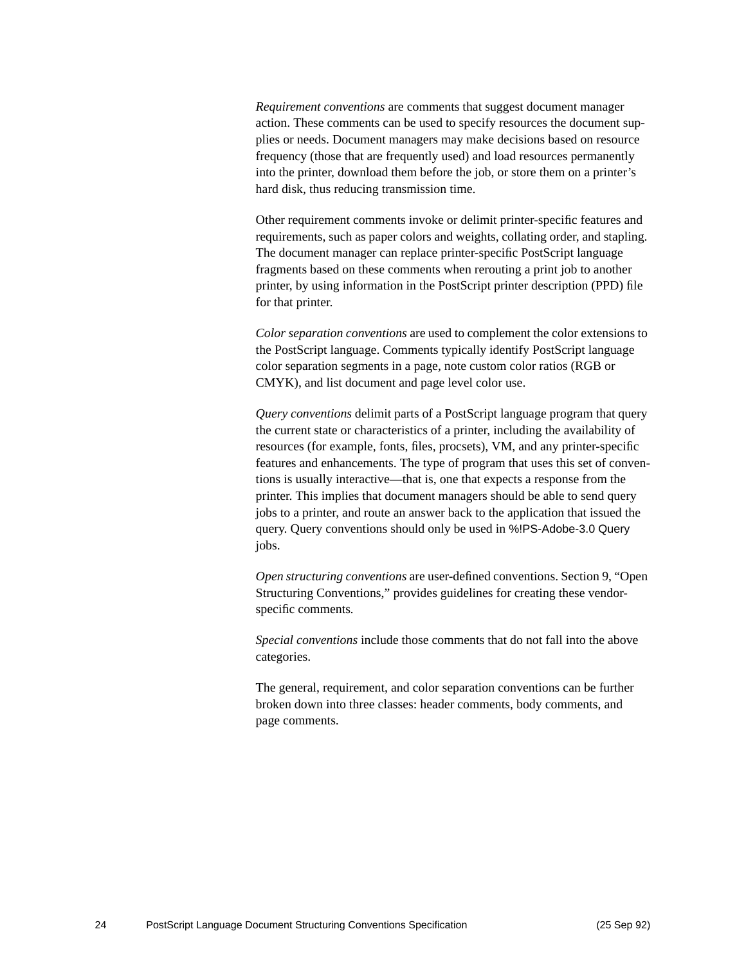*Requirement conventions* are comments that suggest document manager action. These comments can be used to specify resources the document supplies or needs. Document managers may make decisions based on resource frequency (those that are frequently used) and load resources permanently into the printer, download them before the job, or store them on a printer's hard disk, thus reducing transmission time.

Other requirement comments invoke or delimit printer-specific features and requirements, such as paper colors and weights, collating order, and stapling. The document manager can replace printer-specific PostScript language fragments based on these comments when rerouting a print job to another printer, by using information in the PostScript printer description (PPD) file for that printer.

*Color separation conventions* are used to complement the color extensions to the PostScript language. Comments typically identify PostScript language color separation segments in a page, note custom color ratios (RGB or CMYK), and list document and page level color use.

*Query conventions* delimit parts of a PostScript language program that query the current state or characteristics of a printer, including the availability of resources (for example, fonts, files, procsets), VM, and any printer-specific features and enhancements. The type of program that uses this set of conventions is usually interactive—that is, one that expects a response from the printer. This implies that document managers should be able to send query jobs to a printer, and route an answer back to the application that issued the query. Query conventions should only be used in %!PS-Adobe-3.0 Query jobs.

*Open structuring conventions* are user-defined conventions. Section 9, "Open Structuring Conventions," provides guidelines for creating these vendorspecific comments*.*

*Special conventions* include those comments that do not fall into the above categories.

The general, requirement, and color separation conventions can be further broken down into three classes: header comments, body comments, and page comments.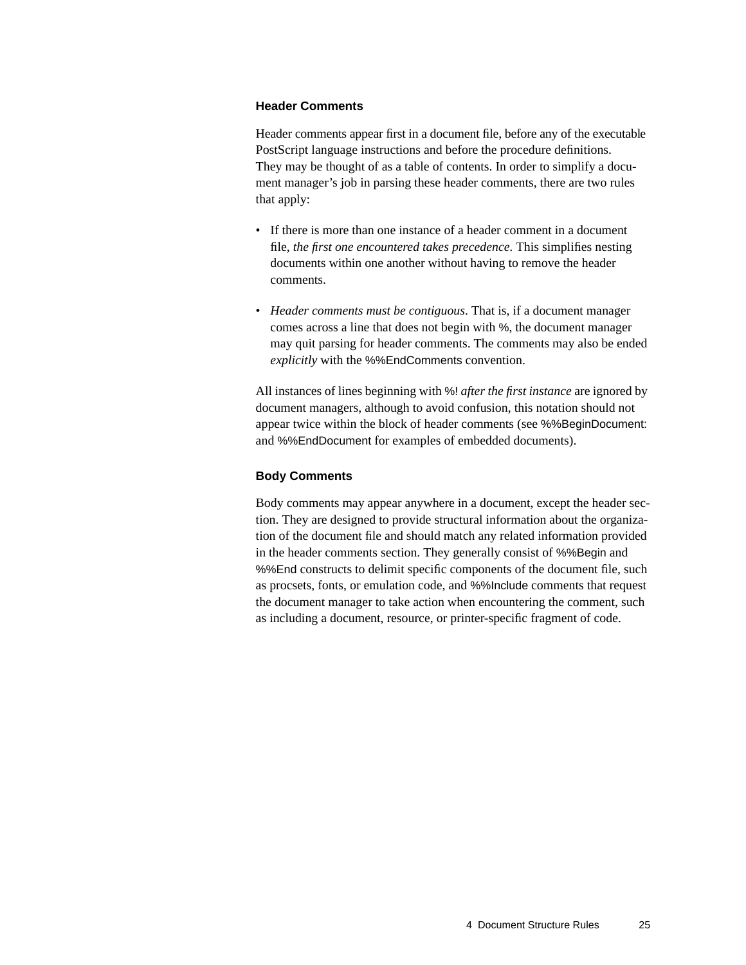#### **Header Comments**

Header comments appear first in a document file, before any of the executable PostScript language instructions and before the procedure definitions. They may be thought of as a table of contents. In order to simplify a document manager's job in parsing these header comments, there are two rules that apply:

- If there is more than one instance of a header comment in a document file, *the first one encountered takes precedence.* This simplifies nesting documents within one another without having to remove the header comments.
- *Header comments must be contiguous*. That is, if a document manager comes across a line that does not begin with %, the document manager may quit parsing for header comments. The comments may also be ended *explicitly* with the %%EndComments convention.

All instances of lines beginning with %! *after the first instance* are ignored by document managers, although to avoid confusion, this notation should not appear twice within the block of header comments (see %%BeginDocument: and %%EndDocument for examples of embedded documents).

#### **Body Comments**

Body comments may appear anywhere in a document, except the header section. They are designed to provide structural information about the organization of the document file and should match any related information provided in the header comments section. They generally consist of %%Begin and %%End constructs to delimit specific components of the document file, such as procsets, fonts, or emulation code, and %%Include comments that request the document manager to take action when encountering the comment, such as including a document, resource, or printer-specific fragment of code.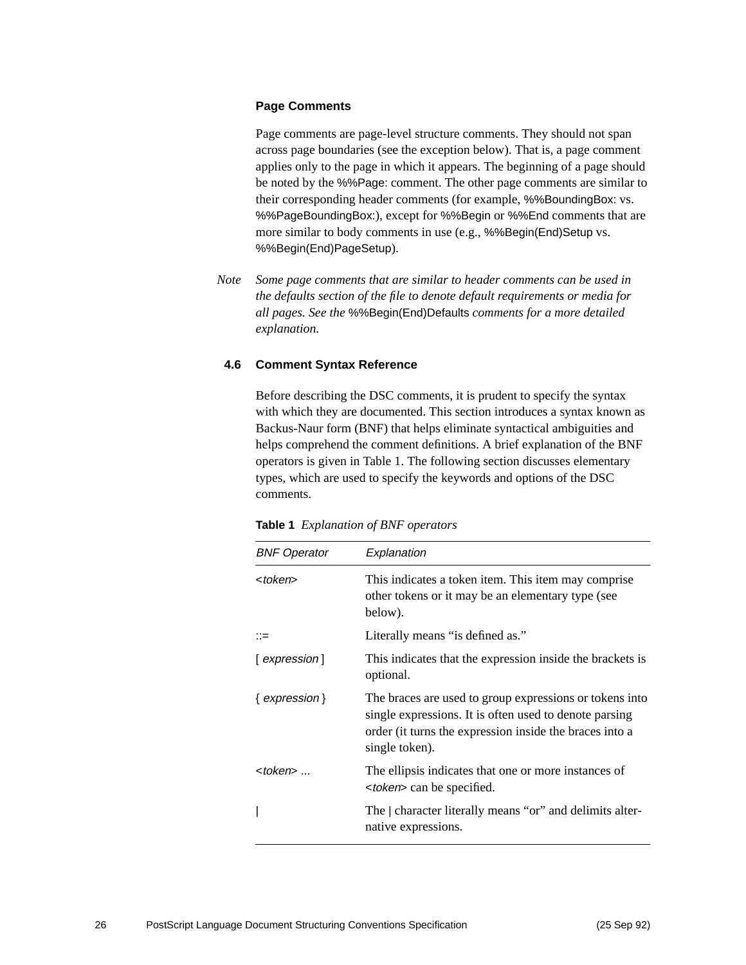# **Page Comments**

Page comments are page-level structure comments. They should not span across page boundaries (see the exception below). That is, a page comment applies only to the page in which it appears. The beginning of a page should be noted by the %%Page: comment. The other page comments are similar to their corresponding header comments (for example, %%BoundingBox: vs. %%PageBoundingBox:), except for %%Begin or %%End comments that are more similar to body comments in use (e.g., %%Begin(End)Setup vs. %%Begin(End)PageSetup).

*Note Some page comments that are similar to header comments can be used in the defaults section of the file to denote default requirements or media for all pages. See the* %%Begin(End)Defaults *comments for a more detailed explanation.*

# **4.6 Comment Syntax Reference**

Before describing the DSC comments, it is prudent to specify the syntax with which they are documented. This section introduces a syntax known as Backus-Naur form (BNF) that helps eliminate syntactical ambiguities and helps comprehend the comment definitions. A brief explanation of the BNF operators is given in Table 1. The following section discusses elementary types, which are used to specify the keywords and options of the DSC comments.

| <b>BNF Operator</b> | Explanation                                                                                                                                                                                    |
|---------------------|------------------------------------------------------------------------------------------------------------------------------------------------------------------------------------------------|
| <token></token>     | This indicates a token item. This item may comprise<br>other tokens or it may be an elementary type (see<br>below).                                                                            |
| ∷≕                  | Literally means "is defined as."                                                                                                                                                               |
| [ expression ]      | This indicates that the expression inside the brackets is<br>optional.                                                                                                                         |
| { expression }      | The braces are used to group expressions or tokens into<br>single expressions. It is often used to denote parsing<br>order (it turns the expression inside the braces into a<br>single token). |
| <token> </token>    | The ellipsis indicates that one or more instances of<br>< <i>token</i> > can be specified.                                                                                                     |
|                     | The   character literally means "or" and delimits alter-<br>native expressions.                                                                                                                |

**Table 1** *Explanation of BNF operators*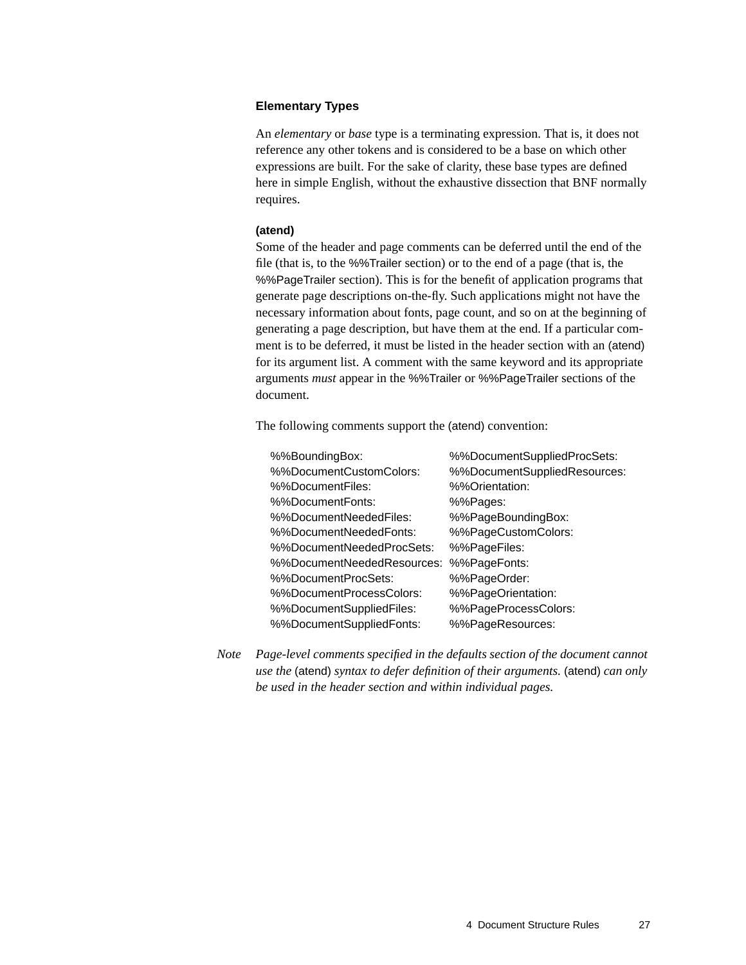# **Elementary Types**

An *elementary* or *base* type is a terminating expression. That is, it does not reference any other tokens and is considered to be a base on which other expressions are built. For the sake of clarity, these base types are defined here in simple English, without the exhaustive dissection that BNF normally requires.

#### **(atend)**

Some of the header and page comments can be deferred until the end of the file (that is, to the %%Trailer section) or to the end of a page (that is, the %%PageTrailer section). This is for the benefit of application programs that generate page descriptions on-the-fly. Such applications might not have the necessary information about fonts, page count, and so on at the beginning of generating a page description, but have them at the end. If a particular comment is to be deferred, it must be listed in the header section with an (atend) for its argument list. A comment with the same keyword and its appropriate arguments *must* appear in the %%Trailer or %%PageTrailer sections of the document.

The following comments support the (atend) convention:

| %%BoundingBox:             | %%DocumentSuppliedProcSets:  |
|----------------------------|------------------------------|
| %%DocumentCustomColors:    | %%DocumentSuppliedResources: |
| %%DocumentFiles:           | %%Orientation:               |
| %%DocumentFonts:           | %%Pages:                     |
| %%DocumentNeededFiles:     | %%PageBoundingBox:           |
| %%DocumentNeededFonts:     | %%PageCustomColors:          |
| %%DocumentNeededProcSets:  | %%PageFiles:                 |
| %%DocumentNeededResources: | %%PageFonts:                 |
| %%DocumentProcSets:        | %%PageOrder:                 |
| %%DocumentProcessColors:   | %%PageOrientation:           |
| %%DocumentSuppliedFiles:   | %%PageProcessColors:         |
| %%DocumentSuppliedFonts:   | %%PageResources:             |
|                            |                              |

*Note Page-level comments specified in the defaults section of the document cannot use the* (atend) *syntax to defer definition of their arguments.* (atend) *can only be used in the header section and within individual pages.*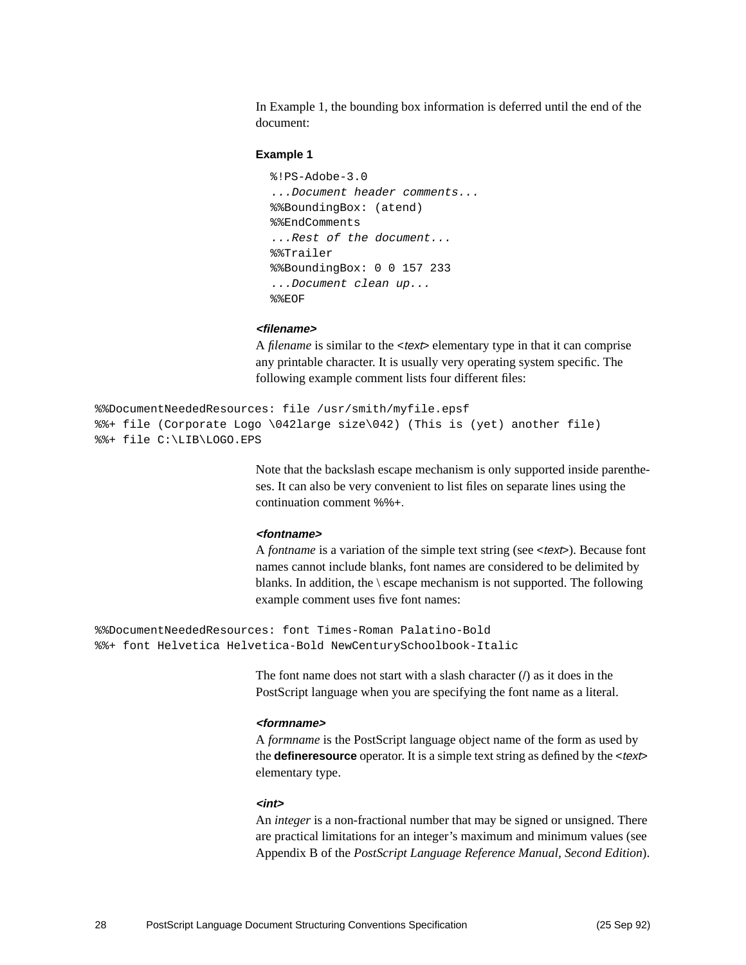In Example 1, the bounding box information is deferred until the end of the document:

#### **Example 1**

```
%!PS-Adobe-3.0
...Document header comments...
%%BoundingBox: (atend)
%%EndComments
...Rest of the document...
%%Trailer
%%BoundingBox: 0 0 157 233
...Document clean up...
%%EOF
```
#### **<filename>**

A *filename* is similar to the <text> elementary type in that it can comprise any printable character. It is usually very operating system specific. The following example comment lists four different files:

```
%%DocumentNeededResources: file /usr/smith/myfile.epsf
%%+ file (Corporate Logo \042large size\042) (This is (yet) another file)
%%+ file C:\LIB\LOGO.EPS
```
Note that the backslash escape mechanism is only supported inside parentheses. It can also be very convenient to list files on separate lines using the continuation comment %%+.

#### **<fontname>**

A *fontname* is a variation of the simple text string (see <text>). Because font names cannot include blanks, font names are considered to be delimited by blanks. In addition, the \ escape mechanism is not supported. The following example comment uses five font names:

```
%%DocumentNeededResources: font Times-Roman Palatino-Bold
%%+ font Helvetica Helvetica-Bold NewCenturySchoolbook-Italic
```
The font name does not start with a slash character  $(1)$  as it does in the PostScript language when you are specifying the font name as a literal.

#### **<formname>**

A *formname* is the PostScript language object name of the form as used by the **defineresource** operator. It is a simple text string as defined by the <text> elementary type.

#### **<int>**

An *integer* is a non-fractional number that may be signed or unsigned. There are practical limitations for an integer's maximum and minimum values (see Appendix B of the *PostScript Language Reference Manual, Second Edition*).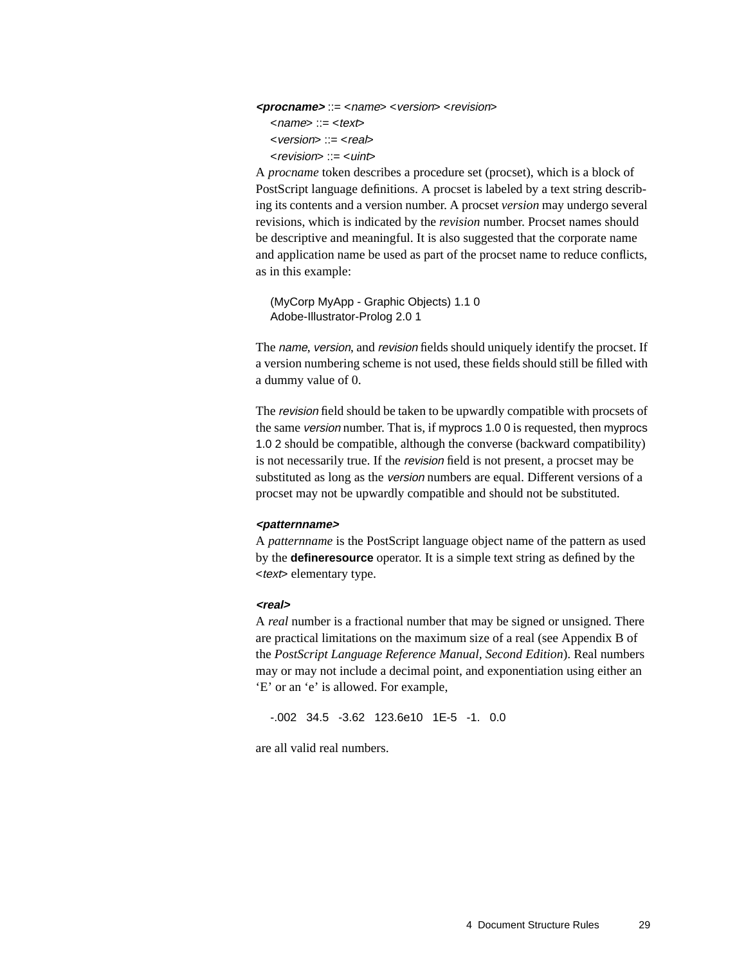**<procname>** ::= <name> <version> <revision>  $\langle$  -name $\rangle$  ::=  $\langle$  text $\rangle$ <version> ::= <real> <revision> ::= <uint>

A *procname* token describes a procedure set (procset), which is a block of PostScript language definitions. A procset is labeled by a text string describing its contents and a version number. A procset *version* may undergo several revisions, which is indicated by the *revision* number. Procset names should be descriptive and meaningful. It is also suggested that the corporate name and application name be used as part of the procset name to reduce conflicts, as in this example:

(MyCorp MyApp - Graphic Objects) 1.1 0 Adobe-Illustrator-Prolog 2.0 1

The name, version, and revision fields should uniquely identify the procset. If a version numbering scheme is not used, these fields should still be filled with a dummy value of 0.

The revision field should be taken to be upwardly compatible with procsets of the same version number. That is, if myprocs 1.0 0 is requested, then myprocs 1.0 2 should be compatible, although the converse (backward compatibility) is not necessarily true. If the revision field is not present, a procset may be substituted as long as the version numbers are equal. Different versions of a procset may not be upwardly compatible and should not be substituted.

#### **<patternname>**

A *patternname* is the PostScript language object name of the pattern as used by the **defineresource** operator. It is a simple text string as defined by the <text> elementary type.

#### **<real>**

A *real* number is a fractional number that may be signed or unsigned. There are practical limitations on the maximum size of a real (see Appendix B of the *PostScript Language Reference Manual, Second Edition*). Real numbers may or may not include a decimal point, and exponentiation using either an 'E' or an 'e' is allowed. For example,

-.002 34.5 -3.62 123.6e10 1E-5 -1. 0.0

are all valid real numbers.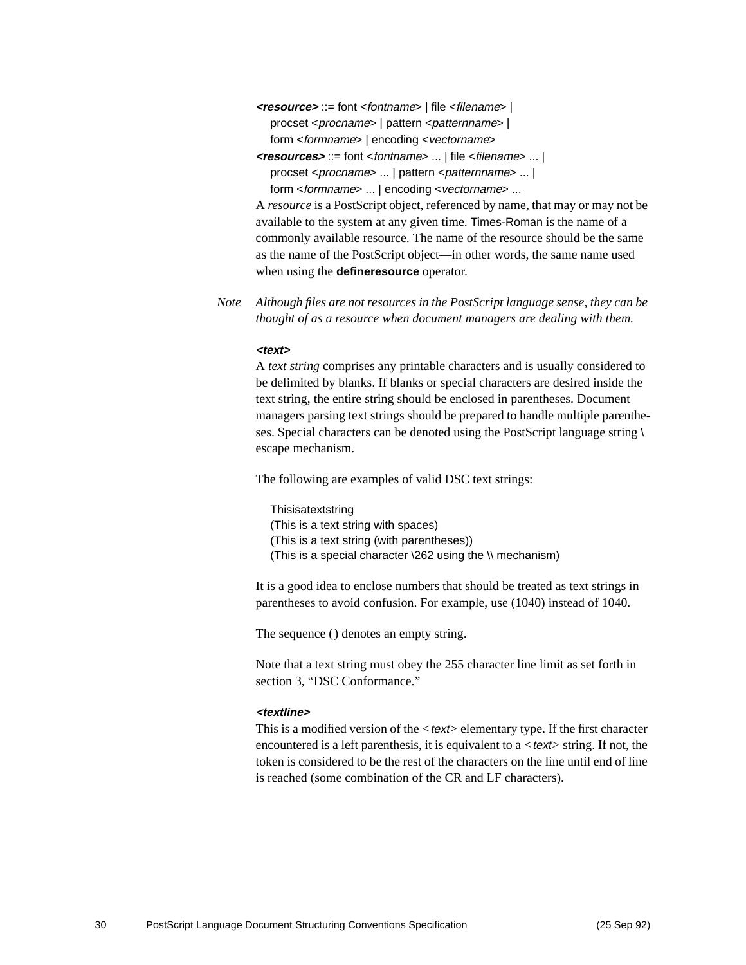- **<resource>** ::= font <fontname> | file <filename> | procset <procname> | pattern <patternname> | form <formname> | encoding <vectorname>
- **<resources>** ::= font <fontname> ... | file <filename> ... | procset <procname> ... | pattern <patternname> ... | form <formname> ... | encoding <vectorname> ...

A *resource* is a PostScript object, referenced by name, that may or may not be available to the system at any given time. Times-Roman is the name of a commonly available resource. The name of the resource should be the same as the name of the PostScript object—in other words, the same name used when using the **defineresource** operator.

*Note Although files are not resources in the PostScript language sense, they can be thought of as a resource when document managers are dealing with them.*

# **<text>**

A *text string* comprises any printable characters and is usually considered to be delimited by blanks. If blanks or special characters are desired inside the text string, the entire string should be enclosed in parentheses. Document managers parsing text strings should be prepared to handle multiple parentheses. Special characters can be denoted using the PostScript language string \ escape mechanism.

The following are examples of valid DSC text strings:

**Thisisatextstring** (This is a text string with spaces) (This is a text string (with parentheses)) (This is a special character \262 using the \\ mechanism)

It is a good idea to enclose numbers that should be treated as text strings in parentheses to avoid confusion. For example, use (1040) instead of 1040.

The sequence () denotes an empty string.

Note that a text string must obey the 255 character line limit as set forth in section 3, "DSC Conformance."

#### **<textline>**

This is a modified version of the *<*text*>* elementary type. If the first character encountered is a left parenthesis, it is equivalent to a *<*text*>* string. If not, the token is considered to be the rest of the characters on the line until end of line is reached (some combination of the CR and LF characters).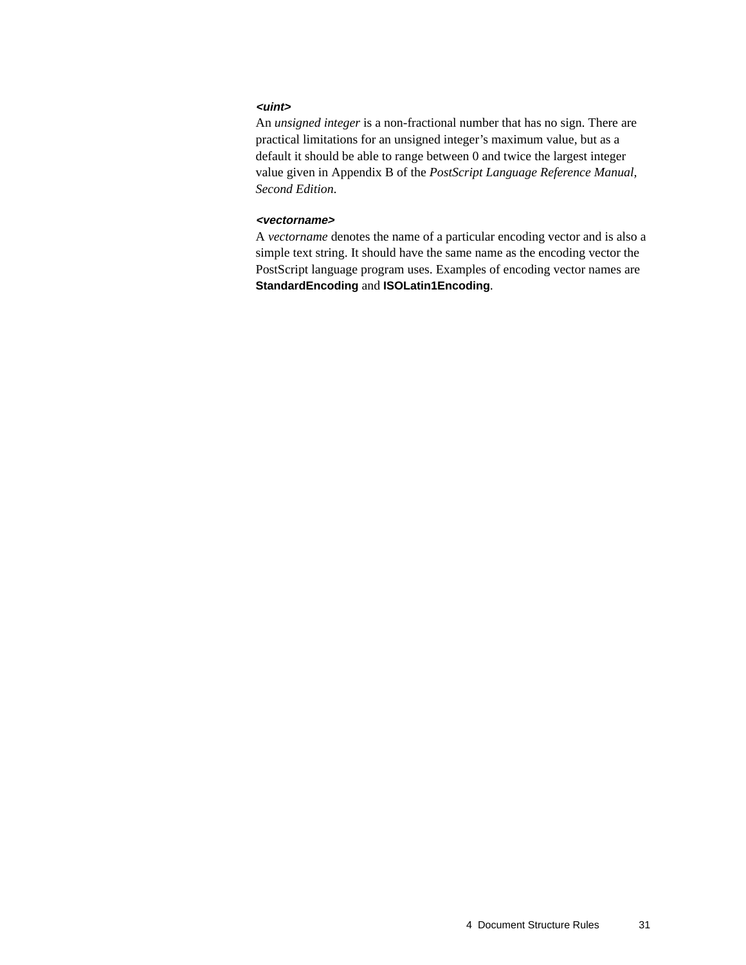#### **<uint>**

An *unsigned integer* is a non-fractional number that has no sign. There are practical limitations for an unsigned integer's maximum value, but as a default it should be able to range between 0 and twice the largest integer value given in Appendix B of the *PostScript Language Reference Manual, Second Edition*.

# **<vectorname>**

A *vectorname* denotes the name of a particular encoding vector and is also a simple text string. It should have the same name as the encoding vector the PostScript language program uses. Examples of encoding vector names are **StandardEncoding** and **ISOLatin1Encoding**.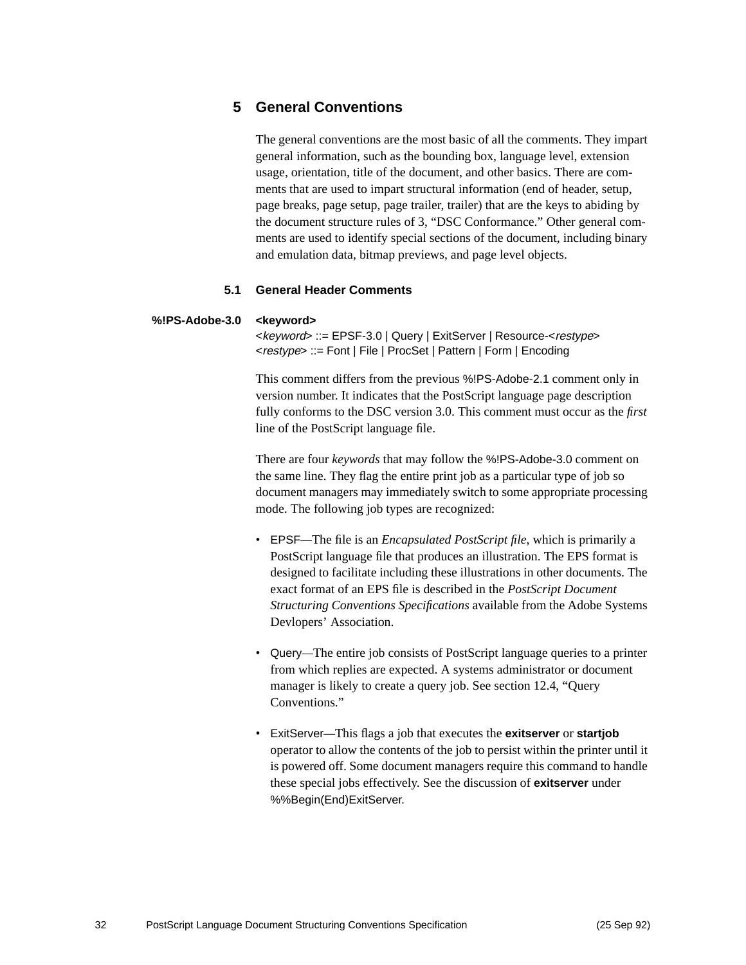# **5 General Conventions**

The general conventions are the most basic of all the comments. They impart general information, such as the bounding box, language level, extension usage, orientation, title of the document, and other basics. There are comments that are used to impart structural information (end of header, setup, page breaks, page setup, page trailer, trailer) that are the keys to abiding by the document structure rules of 3, "DSC Conformance." Other general comments are used to identify special sections of the document, including binary and emulation data, bitmap previews, and page level objects.

# **5.1 General Header Comments**

# **%!PS-Adobe-3.0 <keyword>**

<keyword> ::= EPSF-3.0 | Query | ExitServer | Resource-<restype> <restype> ::= Font | File | ProcSet | Pattern | Form | Encoding

This comment differs from the previous %!PS-Adobe-2.1 comment only in version number. It indicates that the PostScript language page description fully conforms to the DSC version 3.0. This comment must occur as the *first* line of the PostScript language file.

There are four *keywords* that may follow the %!PS-Adobe-3.0 comment on the same line. They flag the entire print job as a particular type of job so document managers may immediately switch to some appropriate processing mode. The following job types are recognized:

- EPSF*—*The file is an *Encapsulated PostScript file*, which is primarily a PostScript language file that produces an illustration. The EPS format is designed to facilitate including these illustrations in other documents. The exact format of an EPS file is described in the *PostScript Document Structuring Conventions Specifications* available from the Adobe Systems Devlopers' Association.
- Query*—*The entire job consists of PostScript language queries to a printer from which replies are expected. A systems administrator or document manager is likely to create a query job. See section 12.4, "Query Conventions."
- ExitServer*—*This flags a job that executes the **exitserver** or **startjob** operator to allow the contents of the job to persist within the printer until it is powered off. Some document managers require this command to handle these special jobs effectively. See the discussion of **exitserver** under %%Begin(End)ExitServer.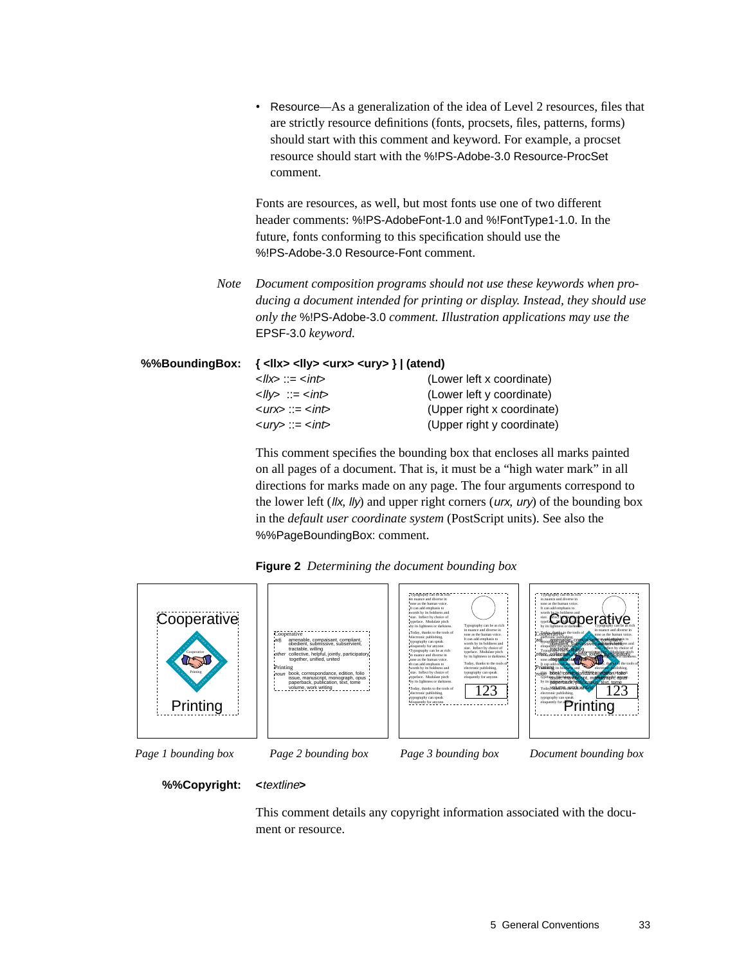|                | Resource—As a generalization of the idea of Level 2 resources, files that<br>are strictly resource definitions (fonts, procsets, files, patterns, forms)<br>should start with this comment and keyword. For example, a procset<br>resource should start with the %!PS-Adobe-3.0 Resource-ProcSet<br>comment.                                                                                  |                                                          |
|----------------|-----------------------------------------------------------------------------------------------------------------------------------------------------------------------------------------------------------------------------------------------------------------------------------------------------------------------------------------------------------------------------------------------|----------------------------------------------------------|
|                | Fonts are resources, as well, but most fonts use one of two different                                                                                                                                                                                                                                                                                                                         |                                                          |
|                | header comments: %!PS-AdobeFont-1.0 and %!FontType1-1.0. In the<br>future, fonts conforming to this specification should use the                                                                                                                                                                                                                                                              |                                                          |
|                | %!PS-Adobe-3.0 Resource-Font comment.                                                                                                                                                                                                                                                                                                                                                         |                                                          |
| <b>Note</b>    | Document composition programs should not use these keywords when pro-<br>ducing a document intended for printing or display. Instead, they should use<br>only the %!PS-Adobe-3.0 comment. Illustration applications may use the<br>EPSF-3.0 keyword.                                                                                                                                          |                                                          |
| %%BoundingBox: | $\{$ <lix> <liy> <urx> <ury> <math>\}</math>   (atend)</ury></urx></liy></lix>                                                                                                                                                                                                                                                                                                                |                                                          |
|                | $\langle$ llx $\rangle$ ::= $\langle$ int $\rangle$                                                                                                                                                                                                                                                                                                                                           | (Lower left x coordinate)                                |
|                | $\langle$ = $\langle$ = $\langle$ = $\langle$ = $\langle$ = $\langle$ = $\rangle$ = $\langle$ = $\langle$ = $\rangle$ = $\langle$ = $\langle$ = $\rangle$ = $\langle$ = $\rangle$ = $\langle$ = $\rangle$ = $\langle$ = $\rangle$ = $\langle$ = $\rangle$ = $\langle$ = $\rangle$ = $\langle$ = $\rangle$ = $\langle$ = $\rangle$ = $\langle$ = $\rangle$ = $\langle$ = $\rangle$ = $\langle$ | (Lower left y coordinate)                                |
|                | $\langle$ urx $\rangle$ ::= $\langle$ int $\rangle$<br>$<$ ury $>$ $:=$ $<$ int $>$                                                                                                                                                                                                                                                                                                           | (Upper right x coordinate)<br>(Upper right y coordinate) |
|                |                                                                                                                                                                                                                                                                                                                                                                                               |                                                          |

This comment specifies the bounding box that encloses all marks painted on all pages of a document. That is, it must be a "high water mark" in all directions for marks made on any page. The four arguments correspond to the lower left  $(l/x, l/y)$  and upper right corners  $(urx, ury)$  of the bounding box in the *default user coordinate system* (PostScript units). See also the %%PageBoundingBox: comment.



**Figure 2** *Determining the document bounding box*

Typography can be as rich in nuance and diverse in tone as the human voice. It can add emphasis to

by its lightness or darkness. Today, the physic the tools of electronic publishing, typography can speak eloquently for anyone. Typography can be as rich **Henunge and diverse in** tone as the human voice. It can add emphasis to **Wildlife** its boldness and size. Inflect by choice of typefage. Modulate pitch by its lightness or darkness. Today**, Y.G.H.I.TOG**, t**M/QEM**s WI electronic publishing, typography can speak eloquently for anyone.

 $\frac{1}{2}$ raponida<br>Uscript,<br>Pubaca D B B E Christiener<br>D B P Cultion<br>D O B G T B D H<br>D P R Lext\_LO

**Cooperative** 

other

Printing nottn

**Cooperative** 

amenable, compaisant, compliant, collective, helpful, joints, participatory

Cooperative Printing

issue, manuscript, monograph, opus paperback, publication, text, tome book, correspondance, edition, folio volume, work writing

Printing

adj. amenable, compaisadt, complaint,<br>opedient, submissive, subservient, tractable, willing

tone as the half of the a D O B E P O B E P O B E P O B E P O B E P O B E P O B E P T C R I P T O B E P O B E P<br>Indicade A D O B E P O B E P O B E P O B E P O B E P O B E P O B E P T O B E P T O B E P O B E P O B E P T D O

Typography can be as rich in nuance and diverse in tone as the human voice. **It can add emphasis to** words by respectively be researched size. Inflect by choice of Ruschuse. Modulate pitch **by its hyptoess** or darkness. Today, thanks to the tools of electronic publishing, typography can speak eloquently for anyone. 123

# **%%Copyright: <**textline**>**

This comment details any copyright information associated with the document or resource.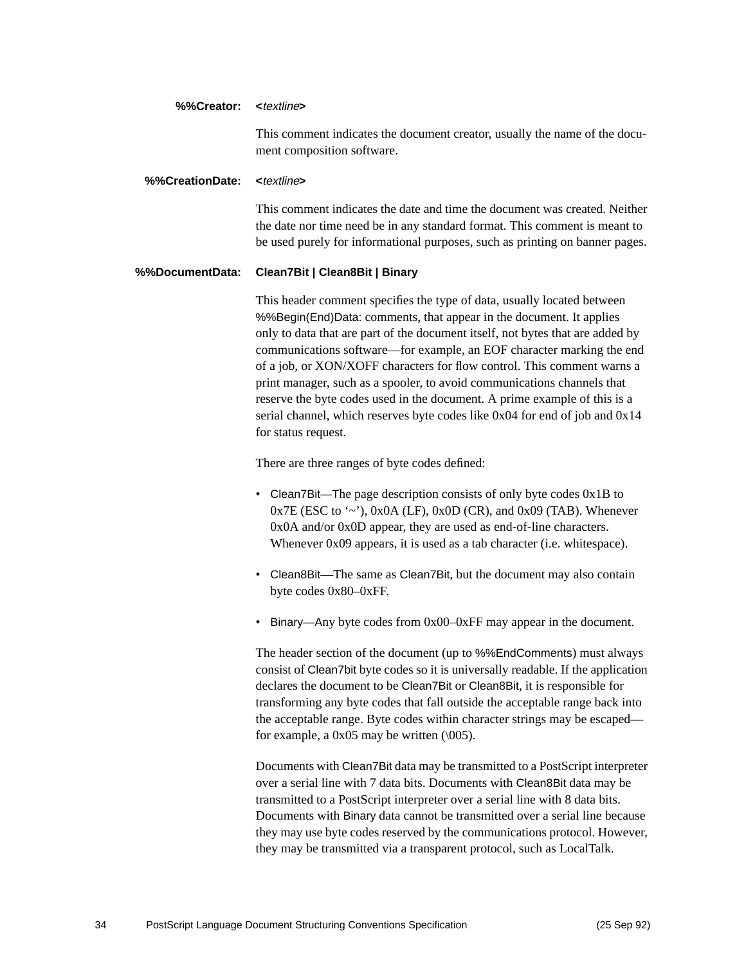#### **%%Creator: <**textline**>**

This comment indicates the document creator, usually the name of the document composition software.

#### **%%CreationDate: <**textline**>**

This comment indicates the date and time the document was created. Neither the date nor time need be in any standard format. This comment is meant to be used purely for informational purposes, such as printing on banner pages.

#### **%%DocumentData: Clean7Bit | Clean8Bit | Binary**

This header comment specifies the type of data, usually located between %%Begin(End)Data: comments, that appear in the document. It applies only to data that are part of the document itself, not bytes that are added by communications software—for example, an EOF character marking the end of a job, or XON/XOFF characters for flow control. This comment warns a print manager, such as a spooler, to avoid communications channels that reserve the byte codes used in the document. A prime example of this is a serial channel, which reserves byte codes like 0x04 for end of job and 0x14 for status request.

There are three ranges of byte codes defined:

- Clean7Bit—The page description consists of only byte codes 0x1B to  $0x7E$  (ESC to '~'),  $0x0A$  (LF),  $0x0D$  (CR), and  $0x09$  (TAB). Whenever 0x0A and/or 0x0D appear, they are used as end-of-line characters. Whenever 0x09 appears, it is used as a tab character (i.e. whitespace).
- Clean8Bit—The same as Clean7Bit, but the document may also contain byte codes 0x80–0xFF.
- Binary—Any byte codes from 0x00–0xFF may appear in the document.

The header section of the document (up to %%EndComments) must always consist of Clean7bit byte codes so it is universally readable. If the application declares the document to be Clean7Bit or Clean8Bit, it is responsible for transforming any byte codes that fall outside the acceptable range back into the acceptable range. Byte codes within character strings may be escaped for example, a  $0x05$  may be written  $(\sqrt{005})$ .

Documents with Clean7Bit data may be transmitted to a PostScript interpreter over a serial line with 7 data bits. Documents with Clean8Bit data may be transmitted to a PostScript interpreter over a serial line with 8 data bits. Documents with Binary data cannot be transmitted over a serial line because they may use byte codes reserved by the communications protocol. However, they may be transmitted via a transparent protocol, such as LocalTalk.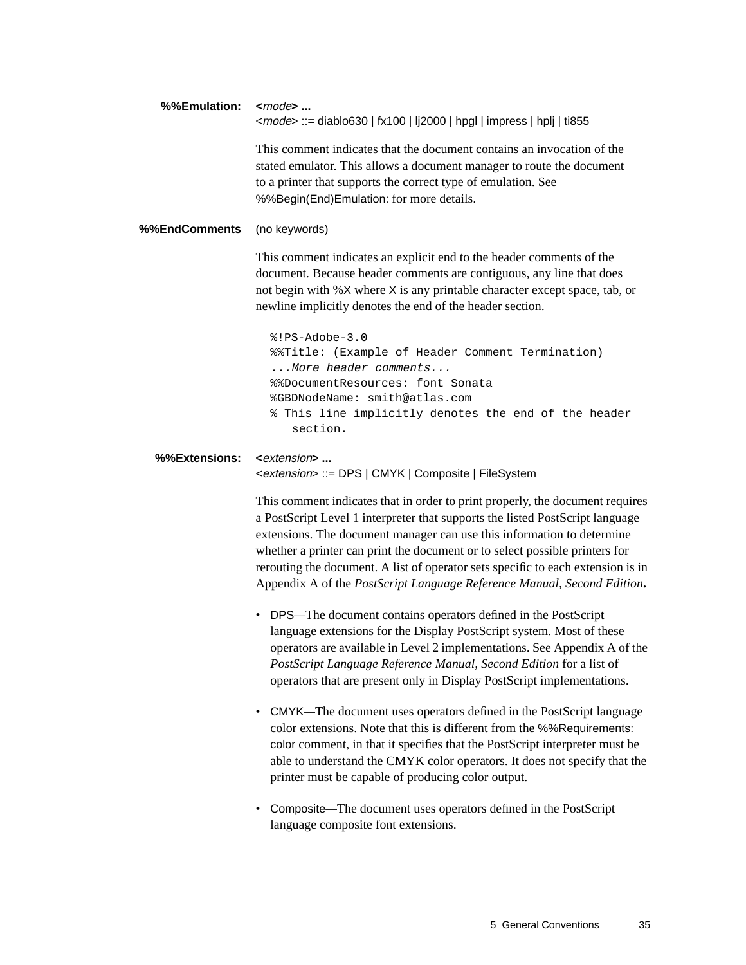| %%Emulation:  | $<$ mode $>$<br><mode> ::= diablo630   fx100   lj2000   hpgl   impress   hplj   ti855</mode>                                                                                                                                                                                                                                                                                                                                                                                           |
|---------------|----------------------------------------------------------------------------------------------------------------------------------------------------------------------------------------------------------------------------------------------------------------------------------------------------------------------------------------------------------------------------------------------------------------------------------------------------------------------------------------|
|               | This comment indicates that the document contains an invocation of the<br>stated emulator. This allows a document manager to route the document<br>to a printer that supports the correct type of emulation. See<br>%%Begin(End)Emulation: for more details.                                                                                                                                                                                                                           |
| %%EndComments | (no keywords)                                                                                                                                                                                                                                                                                                                                                                                                                                                                          |
|               | This comment indicates an explicit end to the header comments of the<br>document. Because header comments are contiguous, any line that does<br>not begin with %X where X is any printable character except space, tab, or<br>newline implicitly denotes the end of the header section.                                                                                                                                                                                                |
|               | %!PS-Adobe-3.0<br>%%Title: (Example of Header Comment Termination)<br>More header comments<br>%%DocumentResources: font Sonata<br>%GBDNodeName: smith@atlas.com<br>% This line implicitly denotes the end of the header<br>section.                                                                                                                                                                                                                                                    |
| %%Extensions: | sextension><br><extension> ::= DPS   CMYK   Composite   FileSystem</extension>                                                                                                                                                                                                                                                                                                                                                                                                         |
|               | This comment indicates that in order to print properly, the document requires<br>a PostScript Level 1 interpreter that supports the listed PostScript language<br>extensions. The document manager can use this information to determine<br>whether a printer can print the document or to select possible printers for<br>rerouting the document. A list of operator sets specific to each extension is in<br>Appendix A of the PostScript Language Reference Manual, Second Edition. |
|               | • DPS—The document contains operators defined in the PostScript<br>language extensions for the Display PostScript system. Most of these<br>operators are available in Level 2 implementations. See Appendix A of the<br>PostScript Language Reference Manual, Second Edition for a list of<br>operators that are present only in Display PostScript implementations.                                                                                                                   |
|               | CMYK—The document uses operators defined in the PostScript language<br>$\bullet$<br>color extensions. Note that this is different from the %%Requirements:<br>color comment, in that it specifies that the PostScript interpreter must be<br>able to understand the CMYK color operators. It does not specify that the<br>printer must be capable of producing color output.                                                                                                           |
|               | Composite—The document uses operators defined in the PostScript<br>language composite font extensions.                                                                                                                                                                                                                                                                                                                                                                                 |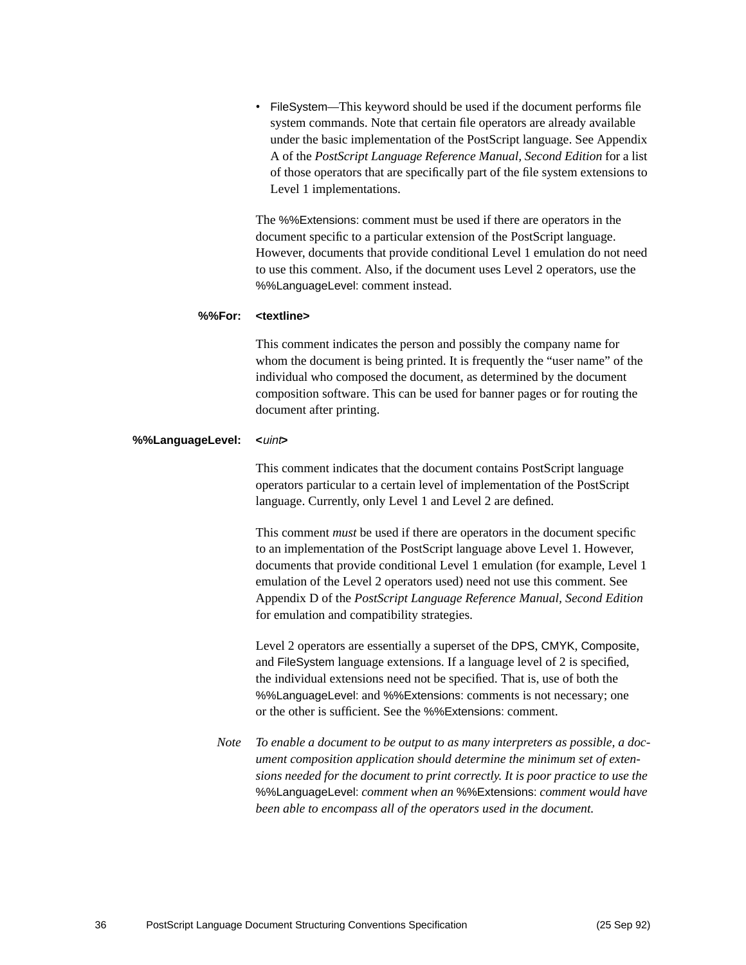• FileSystem*—*This keyword should be used if the document performs file system commands. Note that certain file operators are already available under the basic implementation of the PostScript language. See Appendix A of the *PostScript Language Reference Manual, Second Edition* for a list of those operators that are specifically part of the file system extensions to Level 1 implementations.

The %%Extensions: comment must be used if there are operators in the document specific to a particular extension of the PostScript language. However, documents that provide conditional Level 1 emulation do not need to use this comment. Also, if the document uses Level 2 operators, use the %%LanguageLevel: comment instead.

# **%%For: <textline>**

This comment indicates the person and possibly the company name for whom the document is being printed. It is frequently the "user name" of the individual who composed the document, as determined by the document composition software. This can be used for banner pages or for routing the document after printing.

#### **%%LanguageLevel: <**uint**>**

This comment indicates that the document contains PostScript language operators particular to a certain level of implementation of the PostScript language. Currently, only Level 1 and Level 2 are defined.

This comment *must* be used if there are operators in the document specific to an implementation of the PostScript language above Level 1. However, documents that provide conditional Level 1 emulation (for example, Level 1 emulation of the Level 2 operators used) need not use this comment. See Appendix D of the *PostScript Language Reference Manual, Second Edition* for emulation and compatibility strategies.

Level 2 operators are essentially a superset of the DPS, CMYK, Composite, and FileSystem language extensions. If a language level of 2 is specified, the individual extensions need not be specified. That is, use of both the %%LanguageLevel: and %%Extensions: comments is not necessary; one or the other is sufficient. See the %%Extensions: comment.

*Note To enable a document to be output to as many interpreters as possible, a document composition application should determine the minimum set of extensions needed for the document to print correctly. It is poor practice to use the* %%LanguageLevel: *comment when an* %%Extensions: *comment would have been able to encompass all of the operators used in the document.*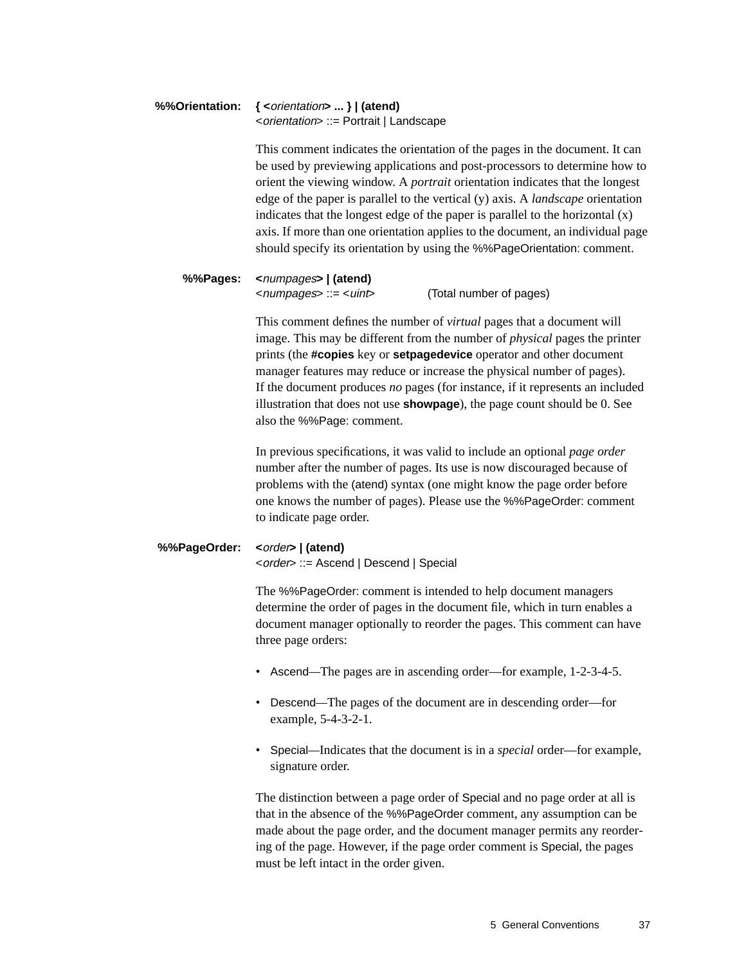# **%%Orientation: { <**orientation**> ... } | (atend)** <orientation> ::= Portrait | Landscape

This comment indicates the orientation of the pages in the document. It can be used by previewing applications and post-processors to determine how to orient the viewing window. A *portrait* orientation indicates that the longest edge of the paper is parallel to the vertical (y) axis. A *landscape* orientation indicates that the longest edge of the paper is parallel to the horizontal (x) axis. If more than one orientation applies to the document, an individual page should specify its orientation by using the %%PageOrientation: comment.

# **%%Pages: <**numpages**> | (atend)**

<numpages> ::= <uint> (Total number of pages)

This comment defines the number of *virtual* pages that a document will image. This may be different from the number of *physical* pages the printer prints (the **#copies** key or **setpagedevice** operator and other document manager features may reduce or increase the physical number of pages). If the document produces *no* pages (for instance, if it represents an included illustration that does not use **showpage**), the page count should be 0. See also the %%Page: comment.

In previous specifications, it was valid to include an optional *page order* number after the number of pages. Its use is now discouraged because of problems with the (atend) syntax (one might know the page order before one knows the number of pages). Please use the %%PageOrder: comment to indicate page order.

# **%%PageOrder: <**order**> | (atend)** <order> ::= Ascend | Descend | Special

The %%PageOrder: comment is intended to help document managers determine the order of pages in the document file, which in turn enables a document manager optionally to reorder the pages. This comment can have three page orders:

- Ascend*—*The pages are in ascending order—for example, 1-2-3-4-5.
- Descend*—*The pages of the document are in descending order—for example, 5-4-3-2-1.
- Special*—*Indicates that the document is in a *special* order—for example, signature order.

The distinction between a page order of Special and no page order at all is that in the absence of the %%PageOrder comment, any assumption can be made about the page order, and the document manager permits any reordering of the page. However, if the page order comment is Special, the pages must be left intact in the order given.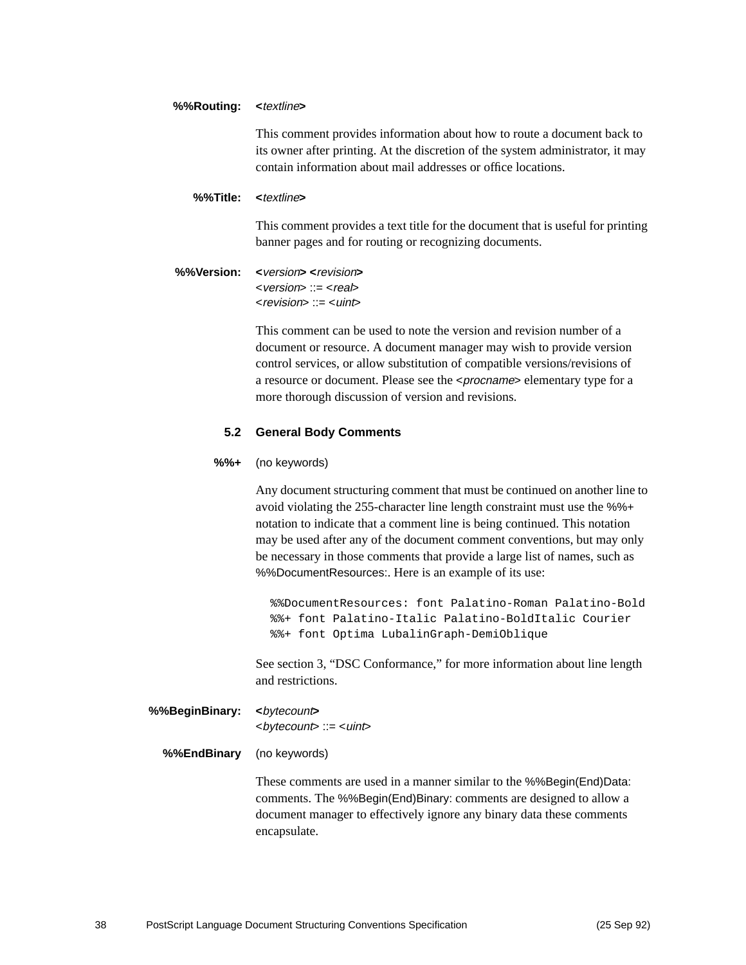#### **%%Routing: <**textline**>**

This comment provides information about how to route a document back to its owner after printing. At the discretion of the system administrator, it may contain information about mail addresses or office locations.

#### **%%Title: <**textline**>**

This comment provides a text title for the document that is useful for printing banner pages and for routing or recognizing documents.

**%%Version: <**version**> <**revision**>**  $\leq$ version $\geq$ : $\leq$   $\leq$ real $\geq$ <revision> ::= <uint>

> This comment can be used to note the version and revision number of a document or resource. A document manager may wish to provide version control services, or allow substitution of compatible versions/revisions of a resource or document. Please see the <procname> elementary type for a more thorough discussion of version and revisions.

# **5.2 General Body Comments**

# **%%+** (no keywords)

Any document structuring comment that must be continued on another line to avoid violating the 255-character line length constraint must use the %%+ notation to indicate that a comment line is being continued. This notation may be used after any of the document comment conventions, but may only be necessary in those comments that provide a large list of names, such as %%DocumentResources:. Here is an example of its use:

%%DocumentResources: font Palatino-Roman Palatino-Bold %%+ font Palatino-Italic Palatino-BoldItalic Courier %%+ font Optima LubalinGraph-DemiOblique

See section 3, "DSC Conformance," for more information about line length and restrictions.

| %%BeginBinary: | <bytecount></bytecount>          |
|----------------|----------------------------------|
|                | $\lt$ bytecount> ::= $\lt$ uint> |

#### **%%EndBinary** (no keywords)

These comments are used in a manner similar to the %%Begin(End)Data: comments. The %%Begin(End)Binary: comments are designed to allow a document manager to effectively ignore any binary data these comments encapsulate.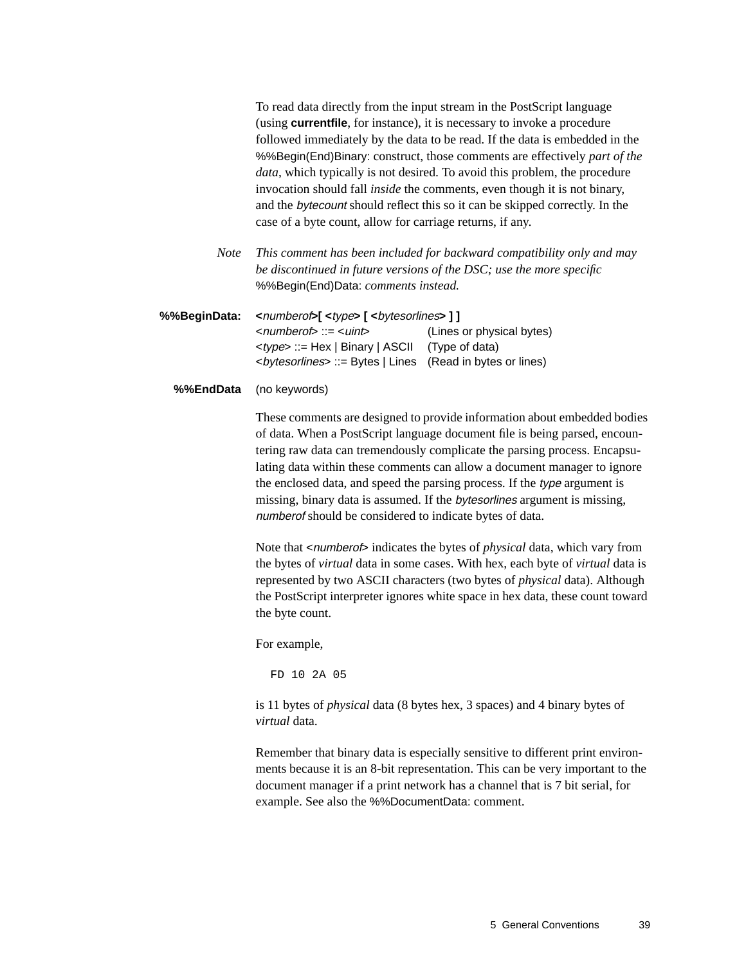To read data directly from the input stream in the PostScript language (using **currentfile**, for instance), it is necessary to invoke a procedure followed immediately by the data to be read. If the data is embedded in the %%Begin(End)Binary: construct, those comments are effectively *part of the data*, which typically is not desired. To avoid this problem, the procedure invocation should fall *inside* the comments, even though it is not binary, and the bytecount should reflect this so it can be skipped correctly. In the case of a byte count, allow for carriage returns, if any.

*Note This comment has been included for backward compatibility only and may be discontinued in future versions of the DSC; use the more specific* %%Begin(End)Data: *comments instead.*

**%%BeginData: <**numberof**>[ <**type**> [ <**bytesorlines**> ] ]** <numberof> ::= <uint> (Lines or physical bytes)  $\langle \text{type} \rangle ::= \text{Hex} \mid \text{Binary} \mid \text{ASCII}$  (Type of data) <bytesorlines> ::= Bytes | Lines (Read in bytes or lines)

## **%%EndData** (no keywords)

These comments are designed to provide information about embedded bodies of data. When a PostScript language document file is being parsed, encountering raw data can tremendously complicate the parsing process. Encapsulating data within these comments can allow a document manager to ignore the enclosed data, and speed the parsing process. If the type argument is missing, binary data is assumed. If the *bytesorlines* argument is missing, numberof should be considered to indicate bytes of data.

Note that <*numberof*> indicates the bytes of *physical* data, which vary from the bytes of *virtual* data in some cases. With hex, each byte of *virtual* data is represented by two ASCII characters (two bytes of *physical* data). Although the PostScript interpreter ignores white space in hex data, these count toward the byte count.

For example,

FD 10 2A 05

is 11 bytes of *physical* data (8 bytes hex, 3 spaces) and 4 binary bytes of *virtual* data.

Remember that binary data is especially sensitive to different print environments because it is an 8-bit representation. This can be very important to the document manager if a print network has a channel that is 7 bit serial, for example. See also the %%DocumentData: comment.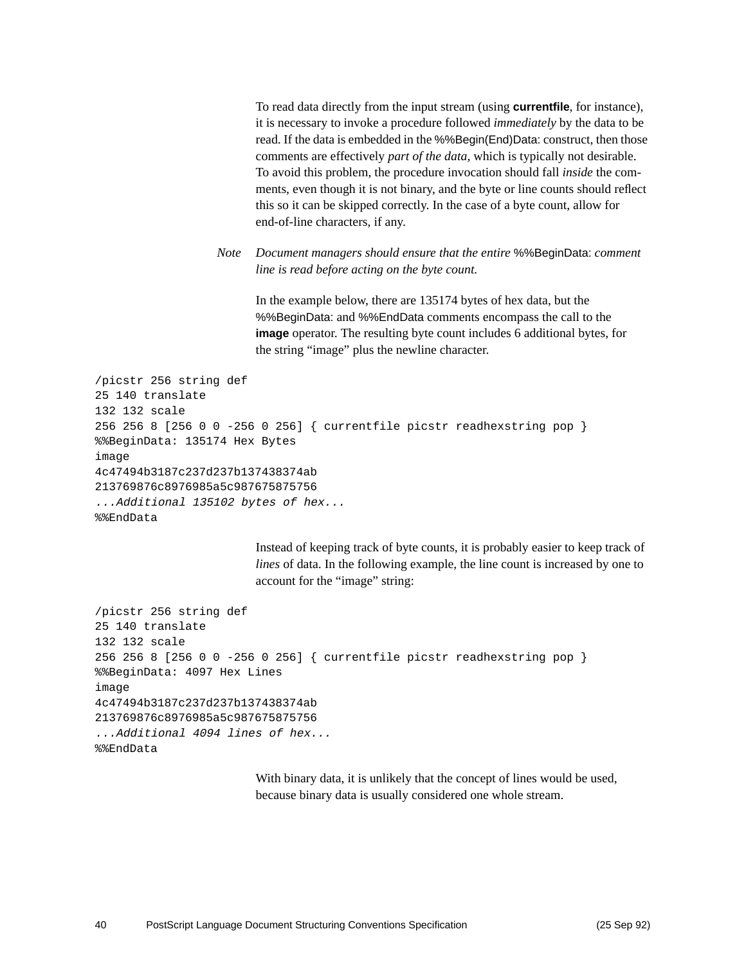To read data directly from the input stream (using **currentfile**, for instance), it is necessary to invoke a procedure followed *immediately* by the data to be read. If the data is embedded in the %%Begin(End)Data: construct, then those comments are effectively *part of the data,* which is typically not desirable. To avoid this problem, the procedure invocation should fall *inside* the comments, even though it is not binary, and the byte or line counts should reflect this so it can be skipped correctly. In the case of a byte count, allow for end-of-line characters, if any.

# *Note Document managers should ensure that the entire* %%BeginData: *comment line is read before acting on the byte count.*

In the example below, there are 135174 bytes of hex data, but the %%BeginData: and %%EndData comments encompass the call to the **image** operator. The resulting byte count includes 6 additional bytes, for the string "image" plus the newline character.

```
/picstr 256 string def
25 140 translate
132 132 scale
256 256 8 [256 0 0 -256 0 256] { currentfile picstr readhexstring pop }
%%BeginData: 135174 Hex Bytes
image
4c47494b3187c237d237b137438374ab
213769876c8976985a5c987675875756
...Additional 135102 bytes of hex...
%%EndData
```
Instead of keeping track of byte counts, it is probably easier to keep track of *lines* of data. In the following example, the line count is increased by one to account for the "image" string:

```
/picstr 256 string def
25 140 translate
132 132 scale
256 256 8 [256 0 0 -256 0 256] { currentfile picstr readhexstring pop }
%%BeginData: 4097 Hex Lines
image
4c47494b3187c237d237b137438374ab
213769876c8976985a5c987675875756
...Additional 4094 lines of hex...
%%EndData
```
With binary data, it is unlikely that the concept of lines would be used, because binary data is usually considered one whole stream.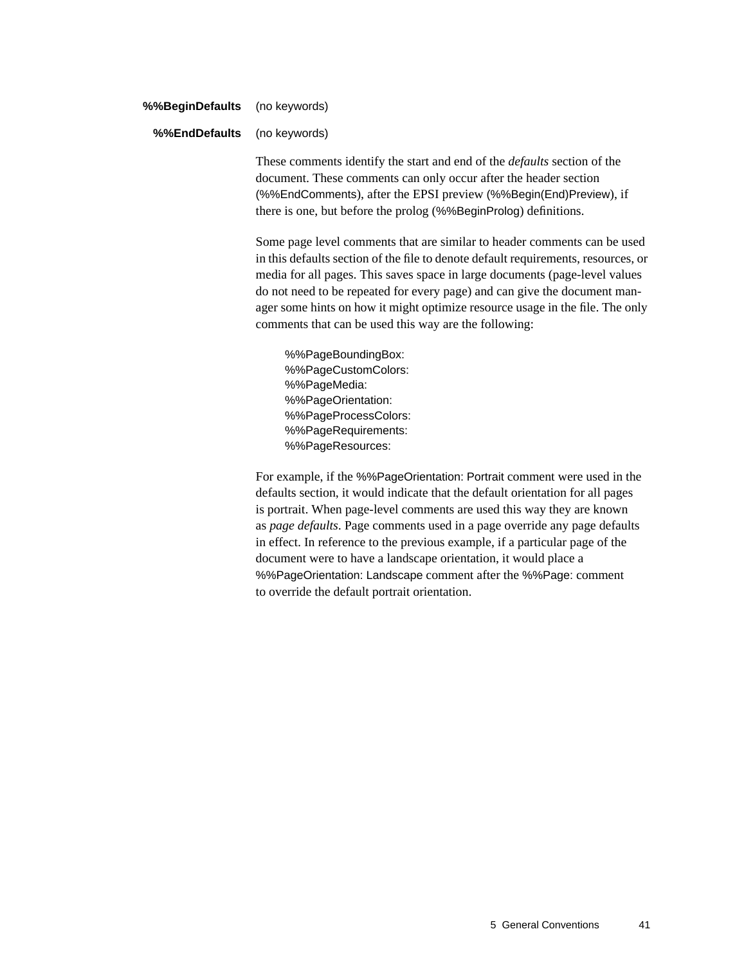#### **%%BeginDefaults** (no keywords)

#### **%%EndDefaults** (no keywords)

These comments identify the start and end of the *defaults* section of the document. These comments can only occur after the header section (%%EndComments), after the EPSI preview (%%Begin(End)Preview), if there is one, but before the prolog (%%BeginProlog) definitions.

Some page level comments that are similar to header comments can be used in this defaults section of the file to denote default requirements, resources, or media for all pages. This saves space in large documents (page-level values do not need to be repeated for every page) and can give the document manager some hints on how it might optimize resource usage in the file. The only comments that can be used this way are the following:

%%PageBoundingBox: %%PageCustomColors: %%PageMedia: %%PageOrientation: %%PageProcessColors: %%PageRequirements: %%PageResources:

For example, if the %%PageOrientation: Portrait comment were used in the defaults section, it would indicate that the default orientation for all pages is portrait. When page-level comments are used this way they are known as *page defaults*. Page comments used in a page override any page defaults in effect. In reference to the previous example, if a particular page of the document were to have a landscape orientation, it would place a %%PageOrientation: Landscape comment after the %%Page: comment to override the default portrait orientation.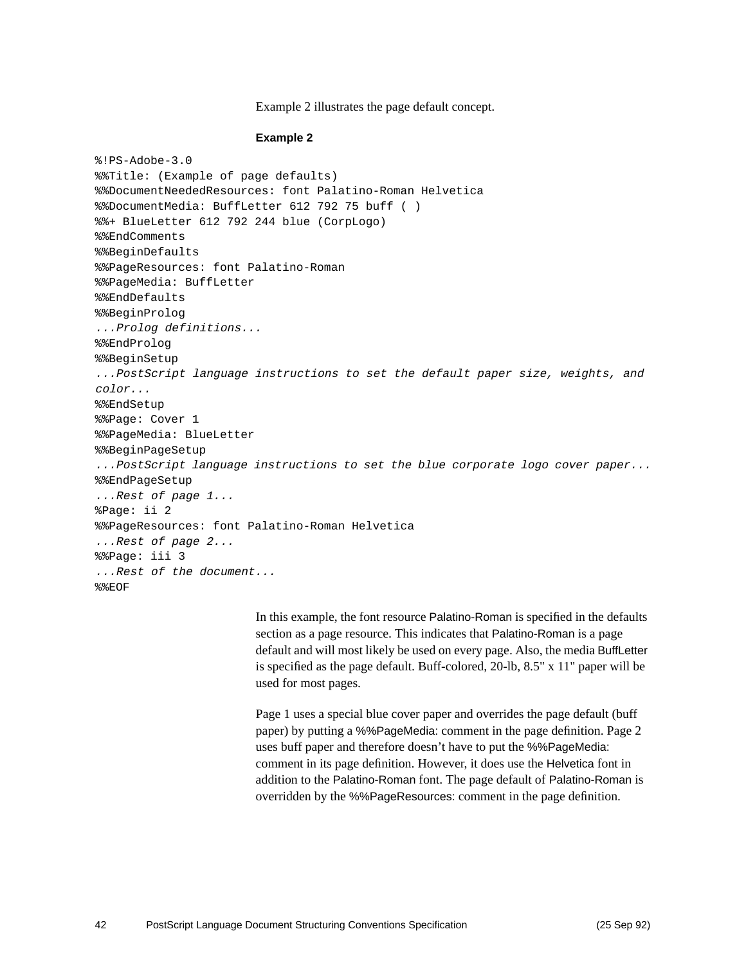Example 2 illustrates the page default concept.

#### **Example 2**

```
%!PS-Adobe-3.0
%%Title: (Example of page defaults)
%%DocumentNeededResources: font Palatino-Roman Helvetica
%%DocumentMedia: BuffLetter 612 792 75 buff ( )
%%+ BlueLetter 612 792 244 blue (CorpLogo)
%%EndComments
%%BeginDefaults
%%PageResources: font Palatino-Roman
%%PageMedia: BuffLetter
%%EndDefaults
%%BeginProlog
...Prolog definitions...
%%EndProlog
%%BeginSetup
...PostScript language instructions to set the default paper size, weights, and
color...
%%EndSetup
%%Page: Cover 1
%%PageMedia: BlueLetter
%%BeginPageSetup
...PostScript language instructions to set the blue corporate logo cover paper...
%%EndPageSetup
...Rest of page 1...
%Page: ii 2
%%PageResources: font Palatino-Roman Helvetica
...Rest of page 2...
%%Page: iii 3
...Rest of the document...
%%EOF
```
In this example, the font resource Palatino-Roman is specified in the defaults section as a page resource. This indicates that Palatino-Roman is a page default and will most likely be used on every page. Also, the media BuffLetter is specified as the page default. Buff-colored, 20-lb, 8.5" x 11" paper will be used for most pages.

Page 1 uses a special blue cover paper and overrides the page default (buff paper) by putting a %%PageMedia: comment in the page definition. Page 2 uses buff paper and therefore doesn't have to put the %%PageMedia: comment in its page definition. However, it does use the Helvetica font in addition to the Palatino-Roman font. The page default of Palatino-Roman is overridden by the %%PageResources: comment in the page definition.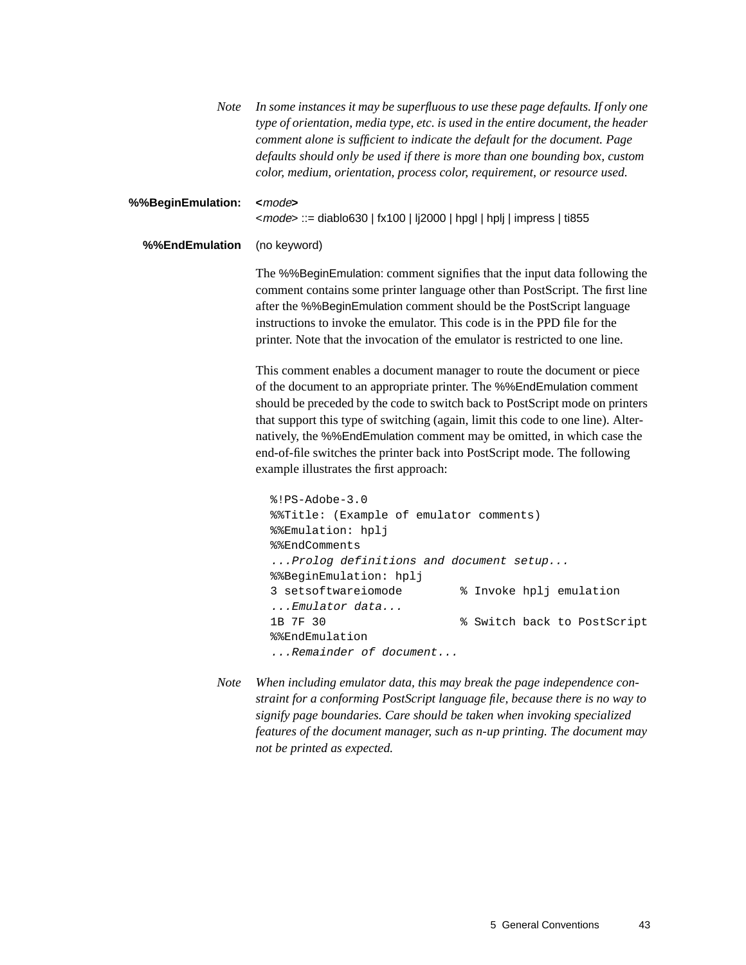| <b>Note</b>       | In some instances it may be superfluous to use these page defaults. If only one<br>type of orientation, media type, etc. is used in the entire document, the header<br>comment alone is sufficient to indicate the default for the document. Page<br>defaults should only be used if there is more than one bounding box, custom<br>color, medium, orientation, process color, requirement, or resource used.                                                                                                         |
|-------------------|-----------------------------------------------------------------------------------------------------------------------------------------------------------------------------------------------------------------------------------------------------------------------------------------------------------------------------------------------------------------------------------------------------------------------------------------------------------------------------------------------------------------------|
| %%BeginEmulation: | $<$ mode $>$<br><mode> ::= diablo630   fx100   lj2000   hpgl   hplj   impress   ti855</mode>                                                                                                                                                                                                                                                                                                                                                                                                                          |
| %%EndEmulation    | (no keyword)                                                                                                                                                                                                                                                                                                                                                                                                                                                                                                          |
|                   | The %%BeginEmulation: comment signifies that the input data following the<br>comment contains some printer language other than PostScript. The first line<br>after the %%BeginEmulation comment should be the PostScript language<br>instructions to invoke the emulator. This code is in the PPD file for the<br>printer. Note that the invocation of the emulator is restricted to one line.                                                                                                                        |
|                   | This comment enables a document manager to route the document or piece<br>of the document to an appropriate printer. The %%EndEmulation comment<br>should be preceded by the code to switch back to PostScript mode on printers<br>that support this type of switching (again, limit this code to one line). Alter-<br>natively, the %%EndEmulation comment may be omitted, in which case the<br>end-of-file switches the printer back into PostScript mode. The following<br>example illustrates the first approach: |
|                   | %!PS-Adobe-3.0                                                                                                                                                                                                                                                                                                                                                                                                                                                                                                        |

```
%%Title: (Example of emulator comments)
%%Emulation: hplj
%%EndComments
...Prolog definitions and document setup...
%%BeginEmulation: hplj
3 setsoftwareiomode % Invoke hplj emulation
...Emulator data...
1B 7F 30 % Switch back to PostScript
%%EndEmulation
...Remainder of document...
```
*Note When including emulator data, this may break the page independence constraint for a conforming PostScript language file, because there is no way to signify page boundaries. Care should be taken when invoking specialized features of the document manager, such as n-up printing. The document may not be printed as expected.*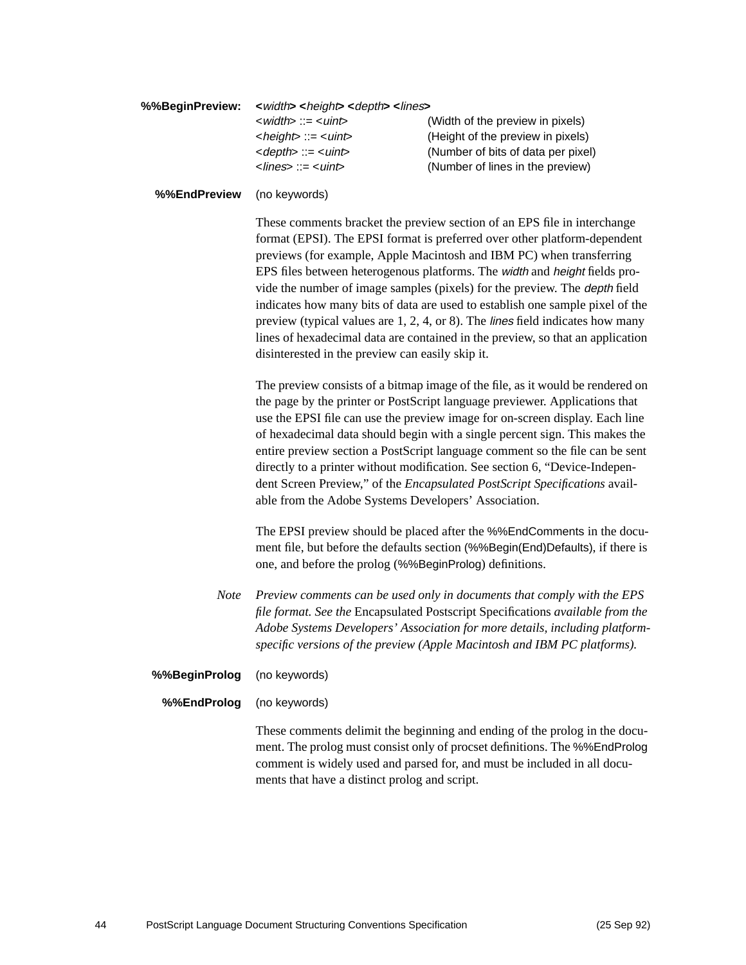| %%BeginPreview: <width> <height> <depth> <lines></lines></depth></height></width>                                                                                                                                                                                 |                                    |
|-------------------------------------------------------------------------------------------------------------------------------------------------------------------------------------------------------------------------------------------------------------------|------------------------------------|
| $\leq$ width $\geq$ $\leq$ $\leq$ $\leq$ $\leq$ $\leq$ $\leq$ $\leq$ $\leq$ $\leq$ $\leq$ $\leq$ $\leq$ $\leq$ $\leq$ $\leq$ $\leq$ $\leq$ $\leq$ $\leq$ $\leq$ $\leq$ $\leq$ $\leq$ $\leq$ $\leq$ $\leq$ $\leq$ $\leq$ $\leq$ $\leq$ $\leq$ $\leq$ $\leq$ $\leq$ | (Width of the preview in pixels)   |
| $\leq$ height $\geq$ ::= $\leq$ uint $\geq$                                                                                                                                                                                                                       | (Height of the preview in pixels)  |
| $<$ depth $> ::=$ $<$ uint $>$                                                                                                                                                                                                                                    | (Number of bits of data per pixel) |
| $\langle lines \rangle ::= \langle u \rangle$                                                                                                                                                                                                                     | (Number of lines in the preview)   |
|                                                                                                                                                                                                                                                                   |                                    |

# **%%EndPreview** (no keywords)

These comments bracket the preview section of an EPS file in interchange format (EPSI). The EPSI format is preferred over other platform-dependent previews (for example, Apple Macintosh and IBM PC) when transferring EPS files between heterogenous platforms. The width and height fields provide the number of image samples (pixels) for the preview. The depth field indicates how many bits of data are used to establish one sample pixel of the preview (typical values are 1, 2, 4, or 8). The lines field indicates how many lines of hexadecimal data are contained in the preview, so that an application disinterested in the preview can easily skip it.

The preview consists of a bitmap image of the file, as it would be rendered on the page by the printer or PostScript language previewer. Applications that use the EPSI file can use the preview image for on-screen display. Each line of hexadecimal data should begin with a single percent sign. This makes the entire preview section a PostScript language comment so the file can be sent directly to a printer without modification. See section 6, "Device-Independent Screen Preview," of the *Encapsulated PostScript Specifications* available from the Adobe Systems Developers' Association.

The EPSI preview should be placed after the %%EndComments in the document file, but before the defaults section (%%Begin(End)Defaults), if there is one, and before the prolog (%%BeginProlog) definitions.

*Note Preview comments can be used only in documents that comply with the EPS file format. See the* Encapsulated Postscript Specifications *available from the Adobe Systems Developers' Association for more details, including platformspecific versions of the preview (Apple Macintosh and IBM PC platforms).*

# **%%BeginProlog** (no keywords)

**%%EndProlog** (no keywords)

These comments delimit the beginning and ending of the prolog in the document. The prolog must consist only of procset definitions. The %%EndProlog comment is widely used and parsed for, and must be included in all documents that have a distinct prolog and script.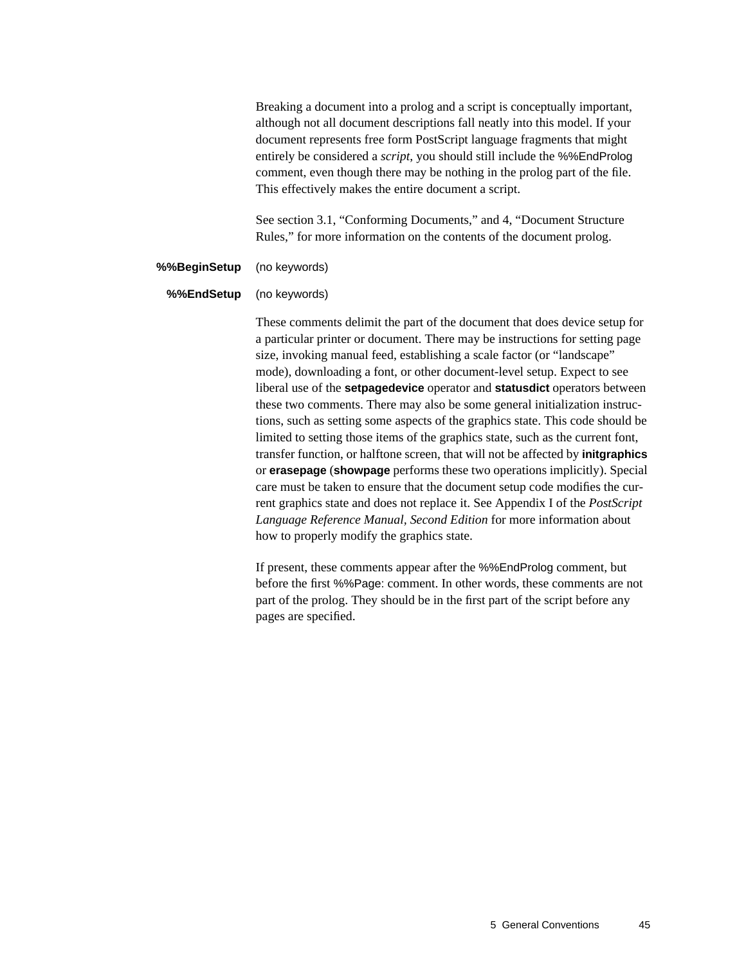Breaking a document into a prolog and a script is conceptually important, although not all document descriptions fall neatly into this model. If your document represents free form PostScript language fragments that might entirely be considered a *script*, you should still include the %%EndProlog comment, even though there may be nothing in the prolog part of the file. This effectively makes the entire document a script.

See section 3.1, "Conforming Documents," and 4, "Document Structure Rules," for more information on the contents of the document prolog.

#### **%%BeginSetup** (no keywords)

## **%%EndSetup** (no keywords)

These comments delimit the part of the document that does device setup for a particular printer or document. There may be instructions for setting page size, invoking manual feed, establishing a scale factor (or "landscape" mode), downloading a font, or other document-level setup. Expect to see liberal use of the **setpagedevice** operator and **statusdict** operators between these two comments. There may also be some general initialization instructions, such as setting some aspects of the graphics state. This code should be limited to setting those items of the graphics state, such as the current font, transfer function, or halftone screen, that will not be affected by **initgraphics** or **erasepage** (**showpage** performs these two operations implicitly). Special care must be taken to ensure that the document setup code modifies the current graphics state and does not replace it. See Appendix I of the *PostScript Language Reference Manual, Second Edition* for more information about how to properly modify the graphics state.

If present, these comments appear after the %%EndProlog comment, but before the first %%Page: comment. In other words, these comments are not part of the prolog. They should be in the first part of the script before any pages are specified.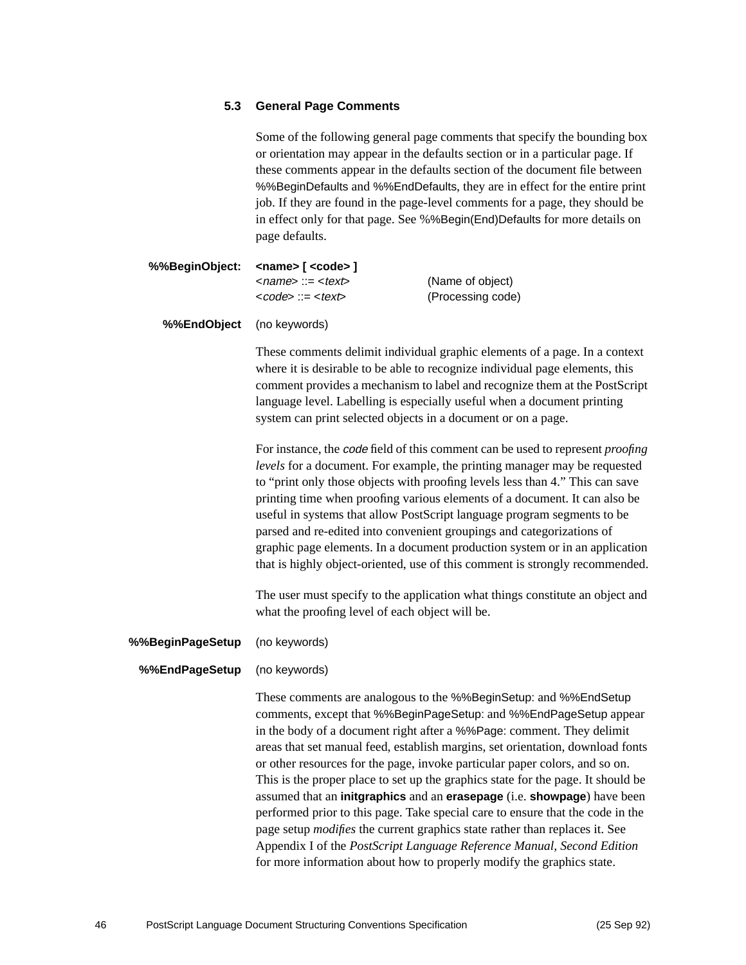# **5.3 General Page Comments**

Some of the following general page comments that specify the bounding box or orientation may appear in the defaults section or in a particular page. If these comments appear in the defaults section of the document file between %%BeginDefaults and %%EndDefaults, they are in effect for the entire print job. If they are found in the page-level comments for a page, they should be in effect only for that page. See %%Begin(End)Defaults for more details on page defaults.

| %%BeginObject: <name>[<code>]</code></name> |                   |
|---------------------------------------------|-------------------|
| $<$ name $> ::=$ $<$ text $>$               | (Name of object)  |
| $<$ code $> ::=$ $<$ text $>$               | (Processing code) |

# **%%EndObject** (no keywords)

These comments delimit individual graphic elements of a page. In a context where it is desirable to be able to recognize individual page elements, this comment provides a mechanism to label and recognize them at the PostScript language level. Labelling is especially useful when a document printing system can print selected objects in a document or on a page.

For instance, the code field of this comment can be used to represent *proofing levels* for a document. For example, the printing manager may be requested to "print only those objects with proofing levels less than 4." This can save printing time when proofing various elements of a document. It can also be useful in systems that allow PostScript language program segments to be parsed and re-edited into convenient groupings and categorizations of graphic page elements. In a document production system or in an application that is highly object-oriented, use of this comment is strongly recommended.

The user must specify to the application what things constitute an object and what the proofing level of each object will be.

# **%%BeginPageSetup** (no keywords)

# **%%EndPageSetup** (no keywords)

These comments are analogous to the %%BeginSetup: and %%EndSetup comments, except that %%BeginPageSetup: and %%EndPageSetup appear in the body of a document right after a %%Page: comment. They delimit areas that set manual feed, establish margins, set orientation, download fonts or other resources for the page, invoke particular paper colors, and so on. This is the proper place to set up the graphics state for the page. It should be assumed that an **initgraphics** and an **erasepage** (i.e. **showpage**) have been performed prior to this page. Take special care to ensure that the code in the page setup *modifies* the current graphics state rather than replaces it. See Appendix I of the *PostScript Language Reference Manual, Second Edition* for more information about how to properly modify the graphics state.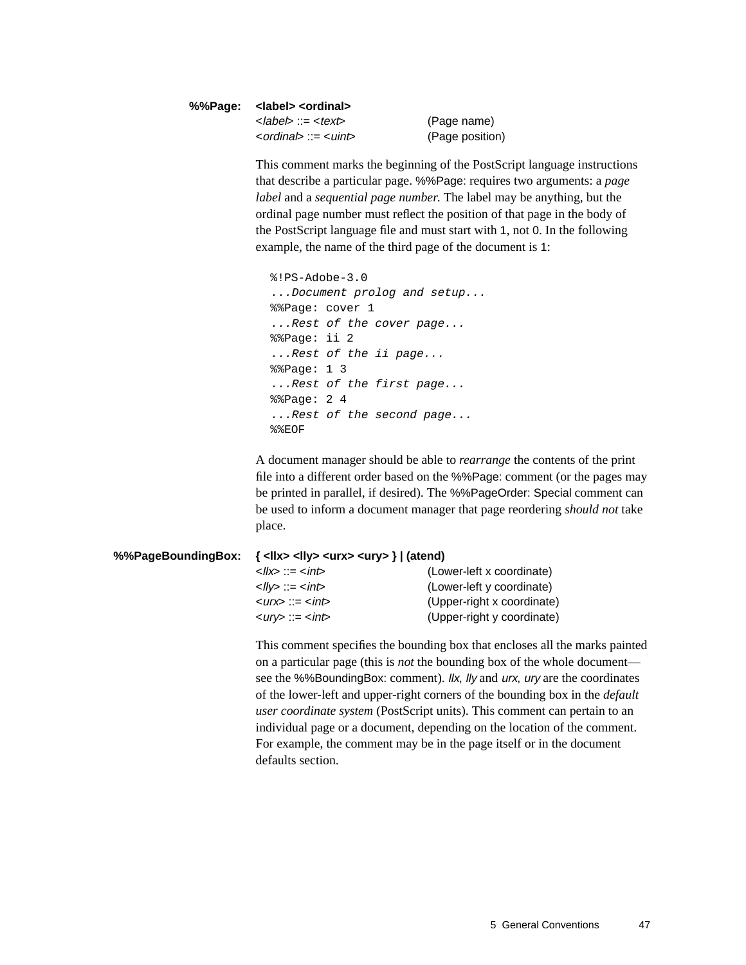| %%Page: <label> <ordinal></ordinal></label> |  |
|---------------------------------------------|--|
| $<$ labe $> ::=$ $<$ text $>$               |  |
| $\leq$ ordinal $\geq$ :: $\leq$ uint $\geq$ |  |

(Page name) (Page position)

This comment marks the beginning of the PostScript language instructions that describe a particular page. %%Page: requires two arguments: a *page label* and a *sequential page number*. The label may be anything, but the ordinal page number must reflect the position of that page in the body of the PostScript language file and must start with 1, not 0. In the following example, the name of the third page of the document is 1:

```
%!PS-Adobe-3.0
...Document prolog and setup...
%%Page: cover 1
...Rest of the cover page...
%%Page: ii 2
...Rest of the ii page...
%%Page: 1 3
...Rest of the first page...
%%Page: 2 4
...Rest of the second page...
%%EOF
```
A document manager should be able to *rearrange* the contents of the print file into a different order based on the %%Page: comment (or the pages may be printed in parallel, if desired). The %%PageOrder: Special comment can be used to inform a document manager that page reordering *should not* take place.

# **%%PageBoundingBox: { <llx> <lly> <urx> <ury> } | (atend)**

| $\langle l \rangle \rangle ::= \langle l \rangle$                                                                                                                                                                                                                                                                                                                                             | (Lower-left x coordinate)  |
|-----------------------------------------------------------------------------------------------------------------------------------------------------------------------------------------------------------------------------------------------------------------------------------------------------------------------------------------------------------------------------------------------|----------------------------|
| $\langle$ = $\langle$ = $\langle$ = $\langle$ = $\langle$ = $\rangle$ = $\langle$ = $\langle$ = $\rangle$ = $\langle$ = $\rangle$ = $\langle$ = $\rangle$ = $\langle$ = $\rangle$ = $\langle$ = $\rangle$ = $\langle$ = $\rangle$ = $\langle$ = $\rangle$ = $\langle$ = $\rangle$ = $\langle$ = $\rangle$ = $\langle$ = $\rangle$ = $\langle$ = $\rangle$ = $\langle$ = $\rangle$ = $\langle$ | (Lower-left y coordinate)  |
| $\langle$ <i>urx</i> $\rangle$ := <i>int</i>                                                                                                                                                                                                                                                                                                                                                  | (Upper-right x coordinate) |
| $\langle \text{urv} \rangle$ ::= $\langle \text{int} \rangle$                                                                                                                                                                                                                                                                                                                                 | (Upper-right y coordinate) |

This comment specifies the bounding box that encloses all the marks painted on a particular page (this is *not* the bounding box of the whole document see the %%BoundingBox: comment). *llx, lly* and *urx, ury* are the coordinates of the lower-left and upper-right corners of the bounding box in the *default user coordinate system* (PostScript units). This comment can pertain to an individual page or a document, depending on the location of the comment. For example, the comment may be in the page itself or in the document defaults section.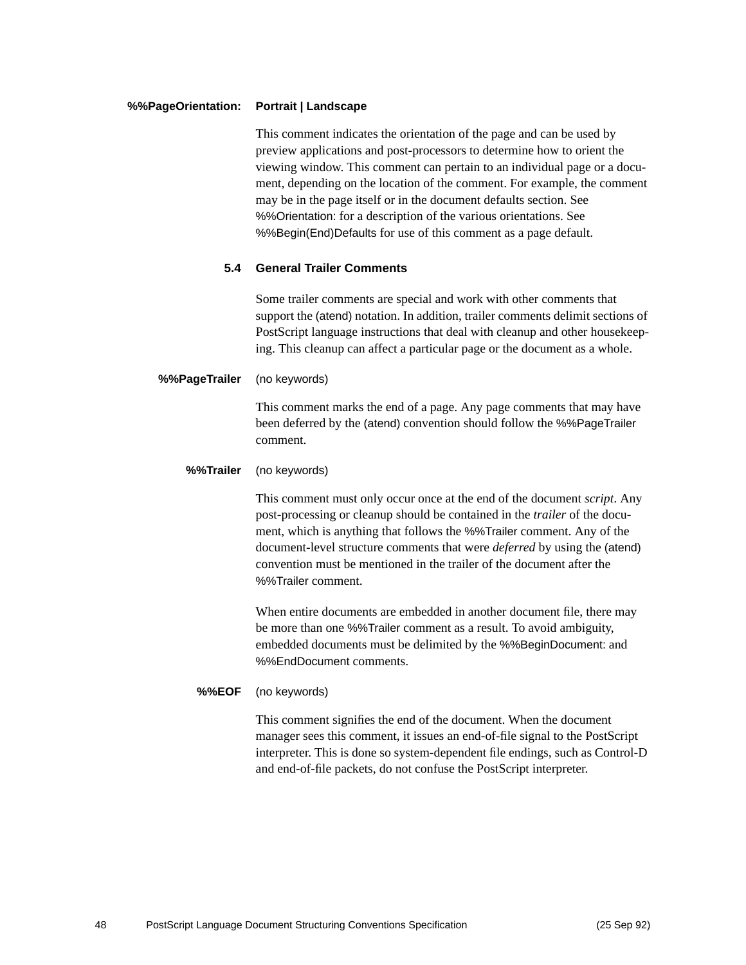## **%%PageOrientation: Portrait | Landscape**

This comment indicates the orientation of the page and can be used by preview applications and post-processors to determine how to orient the viewing window. This comment can pertain to an individual page or a document, depending on the location of the comment. For example, the comment may be in the page itself or in the document defaults section. See %%Orientation: for a description of the various orientations. See %%Begin(End)Defaults for use of this comment as a page default.

# **5.4 General Trailer Comments**

Some trailer comments are special and work with other comments that support the (atend) notation. In addition, trailer comments delimit sections of PostScript language instructions that deal with cleanup and other housekeeping. This cleanup can affect a particular page or the document as a whole.

# **%%PageTrailer** (no keywords)

This comment marks the end of a page. Any page comments that may have been deferred by the (atend) convention should follow the %%PageTrailer comment.

# **%%Trailer** (no keywords)

This comment must only occur once at the end of the document *script*. Any post-processing or cleanup should be contained in the *trailer* of the document, which is anything that follows the %%Trailer comment. Any of the document-level structure comments that were *deferred* by using the (atend) convention must be mentioned in the trailer of the document after the %%Trailer comment.

When entire documents are embedded in another document file, there may be more than one %%Trailer comment as a result. To avoid ambiguity, embedded documents must be delimited by the %%BeginDocument: and %%EndDocument comments.

# **%%EOF** (no keywords)

This comment signifies the end of the document. When the document manager sees this comment, it issues an end-of-file signal to the PostScript interpreter. This is done so system-dependent file endings, such as Control-D and end-of-file packets, do not confuse the PostScript interpreter.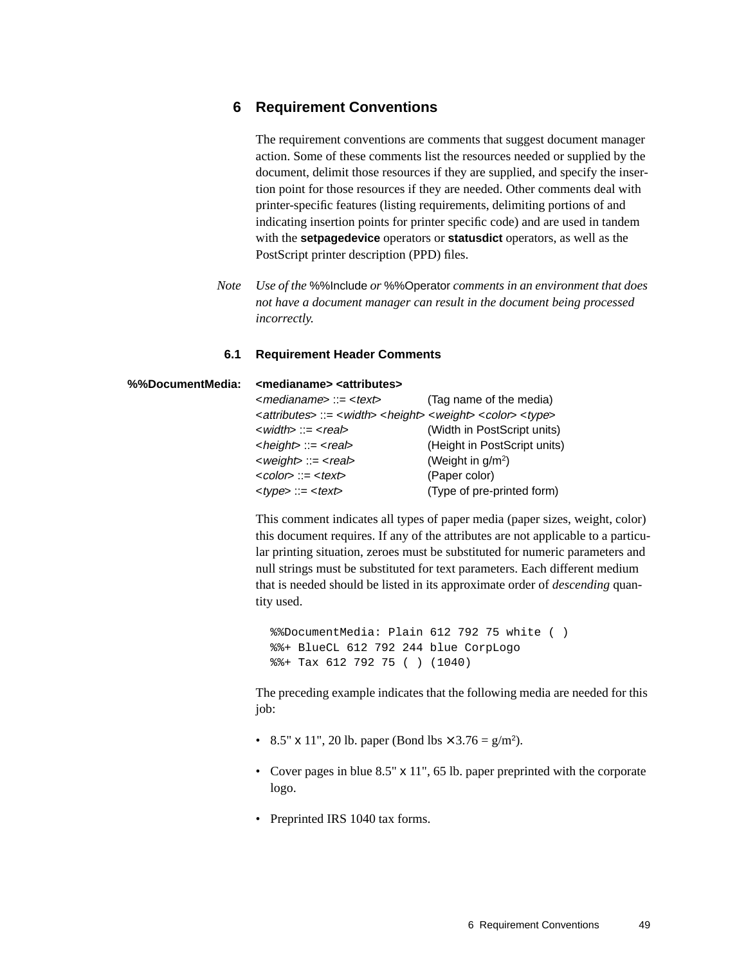# **6 Requirement Conventions**

The requirement conventions are comments that suggest document manager action. Some of these comments list the resources needed or supplied by the document, delimit those resources if they are supplied, and specify the insertion point for those resources if they are needed. Other comments deal with printer-specific features (listing requirements, delimiting portions of and indicating insertion points for printer specific code) and are used in tandem with the **setpagedevice** operators or **statusdict** operators, as well as the PostScript printer description (PPD) files.

*Note Use of the* %%Include *or* %%Operator *comments in an environment that does not have a document manager can result in the document being processed incorrectly.*

#### **6.1 Requirement Header Comments**

# **%%DocumentMedia: <medianame> <attributes>**

| $\leq$ medianame $\geq$ ::= $\leq$ text $\geq$                                                                  | (Tag name of the media)      |
|-----------------------------------------------------------------------------------------------------------------|------------------------------|
| <attributes> ::= <width> <height> <weight> <color> <type></type></color></weight></height></width></attributes> |                              |
| $\leq width>=$ $\leq$ real>                                                                                     | (Width in PostScript units)  |
| $\leq$ height $\geq$ ::= $\leq$ real $\geq$                                                                     | (Height in PostScript units) |
| $\leq$ weight $\geq$ ::= $\leq$ real $\geq$                                                                     | (Weight in $g/m^2$ )         |
| $<$ color $> ::=$ $<$ text $>$                                                                                  | (Paper color)                |
| $<$ type $> ::=$ $<$ text $>$                                                                                   | (Type of pre-printed form)   |

This comment indicates all types of paper media (paper sizes, weight, color) this document requires. If any of the attributes are not applicable to a particular printing situation, zeroes must be substituted for numeric parameters and null strings must be substituted for text parameters. Each different medium that is needed should be listed in its approximate order of *descending* quantity used.

```
%%DocumentMedia: Plain 612 792 75 white ( )
%%+ BlueCL 612 792 244 blue CorpLogo
%%+ Tax 612 792 75 ( ) (1040)
```
The preceding example indicates that the following media are needed for this job:

- 8.5" x 11", 20 lb. paper (Bond lbs  $\times$  3.76 = g/m<sup>2</sup>).
- Cover pages in blue 8.5" x 11", 65 lb. paper preprinted with the corporate logo.
- Preprinted IRS 1040 tax forms.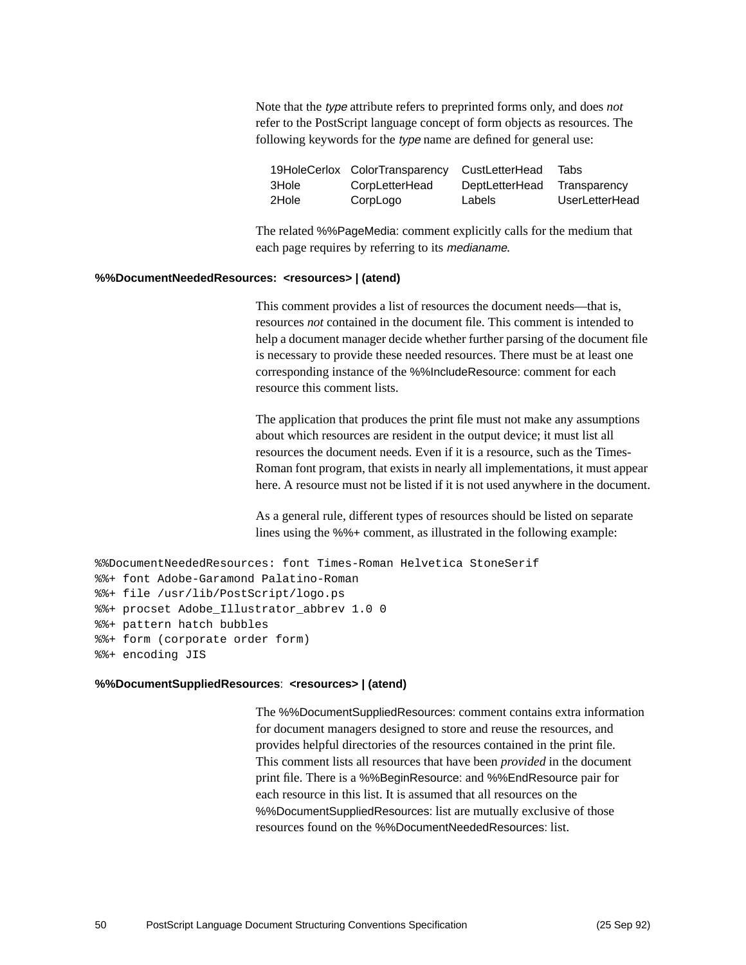Note that the type attribute refers to preprinted forms only, and does *not* refer to the PostScript language concept of form objects as resources. The following keywords for the type name are defined for general use:

|       | 19HoleCerlox ColorTransparency | CustLetterHead              | Tabs           |
|-------|--------------------------------|-----------------------------|----------------|
| 3Hole | CorpLetterHead                 | DeptLetterHead Transparency |                |
| 2Hole | CorpLogo                       | Labels                      | UserLetterHead |

The related %%PageMedia: comment explicitly calls for the medium that each page requires by referring to its medianame.

# **%%DocumentNeededResources: <resources> | (atend)**

This comment provides a list of resources the document needs—that is, resources *not* contained in the document file. This comment is intended to help a document manager decide whether further parsing of the document file is necessary to provide these needed resources. There must be at least one corresponding instance of the %%IncludeResource: comment for each resource this comment lists.

The application that produces the print file must not make any assumptions about which resources are resident in the output device; it must list all resources the document needs. Even if it is a resource, such as the Times-Roman font program, that exists in nearly all implementations, it must appear here. A resource must not be listed if it is not used anywhere in the document.

As a general rule, different types of resources should be listed on separate lines using the %%+ comment, as illustrated in the following example:

```
%%DocumentNeededResources: font Times-Roman Helvetica StoneSerif
%%+ font Adobe-Garamond Palatino-Roman
%%+ file /usr/lib/PostScript/logo.ps
%%+ procset Adobe_Illustrator_abbrev 1.0 0
%%+ pattern hatch bubbles
%%+ form (corporate order form)
%%+ encoding JIS
```
#### **%%DocumentSuppliedResources**: **<resources> | (atend)**

The %%DocumentSuppliedResources: comment contains extra information for document managers designed to store and reuse the resources, and provides helpful directories of the resources contained in the print file. This comment lists all resources that have been *provided* in the document print file. There is a %%BeginResource: and %%EndResource pair for each resource in this list. It is assumed that all resources on the %%DocumentSuppliedResources: list are mutually exclusive of those resources found on the %%DocumentNeededResources: list.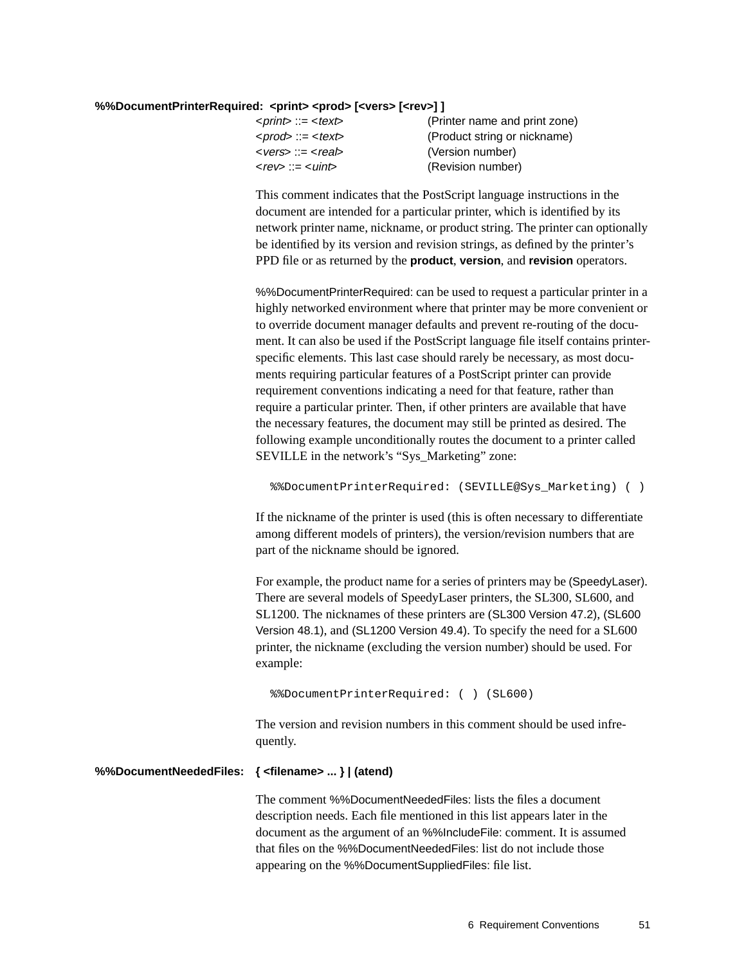#### **%%DocumentPrinterRequired: <print> <prod> [<vers> [<rev>] ]**

| <print> ::= <text></text></print> | (Printer name and print zone) |
|-----------------------------------|-------------------------------|
| <prod> ::= <text></text></prod>   | (Product string or nickname)  |
| <vers> ::= <real></real></vers>   | (Version number)              |
| <rev> ::= <uint></uint></rev>     | (Revision number)             |
|                                   |                               |

This comment indicates that the PostScript language instructions in the document are intended for a particular printer, which is identified by its network printer name, nickname, or product string. The printer can optionally be identified by its version and revision strings, as defined by the printer's PPD file or as returned by the **product**, **version**, and **revision** operators.

%%DocumentPrinterRequired: can be used to request a particular printer in a highly networked environment where that printer may be more convenient or to override document manager defaults and prevent re-routing of the document. It can also be used if the PostScript language file itself contains printerspecific elements. This last case should rarely be necessary, as most documents requiring particular features of a PostScript printer can provide requirement conventions indicating a need for that feature, rather than require a particular printer. Then, if other printers are available that have the necessary features, the document may still be printed as desired. The following example unconditionally routes the document to a printer called SEVILLE in the network's "Sys\_Marketing" zone:

```
%%DocumentPrinterRequired: (SEVILLE@Sys_Marketing) ( )
```
If the nickname of the printer is used (this is often necessary to differentiate among different models of printers), the version/revision numbers that are part of the nickname should be ignored.

For example, the product name for a series of printers may be (SpeedyLaser). There are several models of SpeedyLaser printers, the SL300, SL600, and SL1200. The nicknames of these printers are (SL300 Version 47.2), (SL600 Version 48.1), and (SL1200 Version 49.4). To specify the need for a SL600 printer, the nickname (excluding the version number) should be used. For example:

```
%%DocumentPrinterRequired: ( ) (SL600)
```
The version and revision numbers in this comment should be used infrequently.

#### **%%DocumentNeededFiles: { <filename> ... } | (atend)**

The comment %%DocumentNeededFiles: lists the files a document description needs. Each file mentioned in this list appears later in the document as the argument of an %%IncludeFile: comment. It is assumed that files on the %%DocumentNeededFiles: list do not include those appearing on the %%DocumentSuppliedFiles: file list.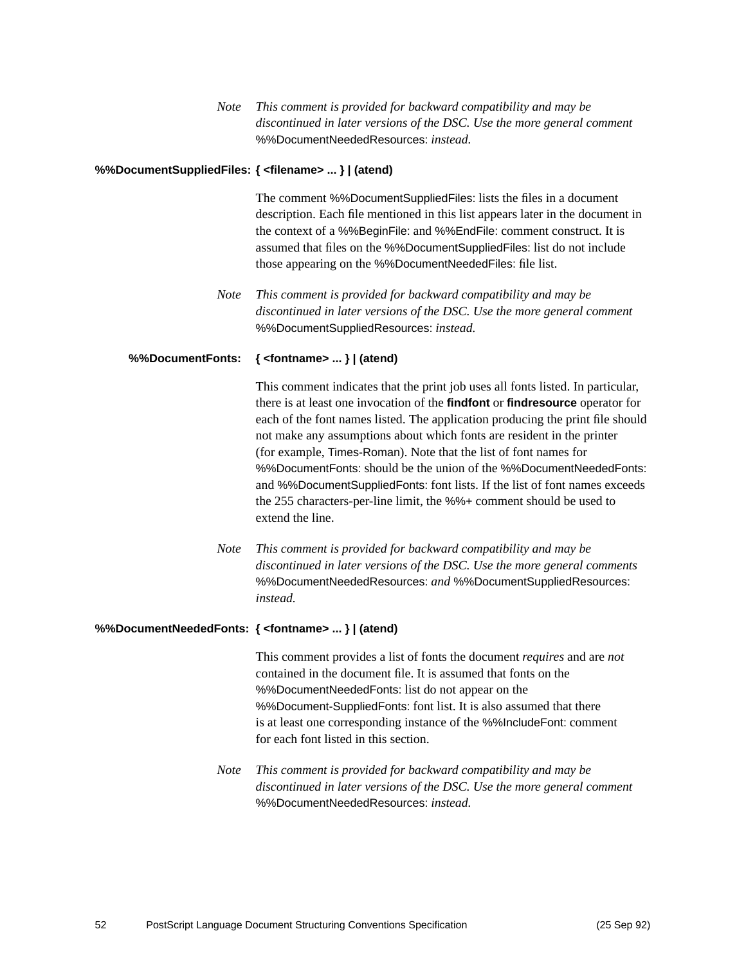*Note This comment is provided for backward compatibility and may be discontinued in later versions of the DSC. Use the more general comment* %%DocumentNeededResources: *instead.*

## **%%DocumentSuppliedFiles: { <filename> ... } | (atend)**

The comment %%DocumentSuppliedFiles: lists the files in a document description. Each file mentioned in this list appears later in the document in the context of a %%BeginFile: and %%EndFile: comment construct. It is assumed that files on the %%DocumentSuppliedFiles: list do not include those appearing on the %%DocumentNeededFiles: file list.

*Note This comment is provided for backward compatibility and may be discontinued in later versions of the DSC. Use the more general comment* %%DocumentSuppliedResources: *instead.*

# **%%DocumentFonts: { <fontname> ... } | (atend)**

This comment indicates that the print job uses all fonts listed. In particular, there is at least one invocation of the **findfont** or **findresource** operator for each of the font names listed. The application producing the print file should not make any assumptions about which fonts are resident in the printer (for example, Times-Roman). Note that the list of font names for %%DocumentFonts: should be the union of the %%DocumentNeededFonts: and %%DocumentSuppliedFonts: font lists. If the list of font names exceeds the 255 characters-per-line limit, the %%+ comment should be used to extend the line.

*Note This comment is provided for backward compatibility and may be discontinued in later versions of the DSC. Use the more general comments* %%DocumentNeededResources: *and* %%DocumentSuppliedResources: *instead.*

#### **%%DocumentNeededFonts: { <fontname> ... } | (atend)**

This comment provides a list of fonts the document *requires* and are *not* contained in the document file. It is assumed that fonts on the %%DocumentNeededFonts: list do not appear on the %%Document-SuppliedFonts: font list. It is also assumed that there is at least one corresponding instance of the %%IncludeFont: comment for each font listed in this section.

*Note This comment is provided for backward compatibility and may be discontinued in later versions of the DSC. Use the more general comment* %%DocumentNeededResources: *instead.*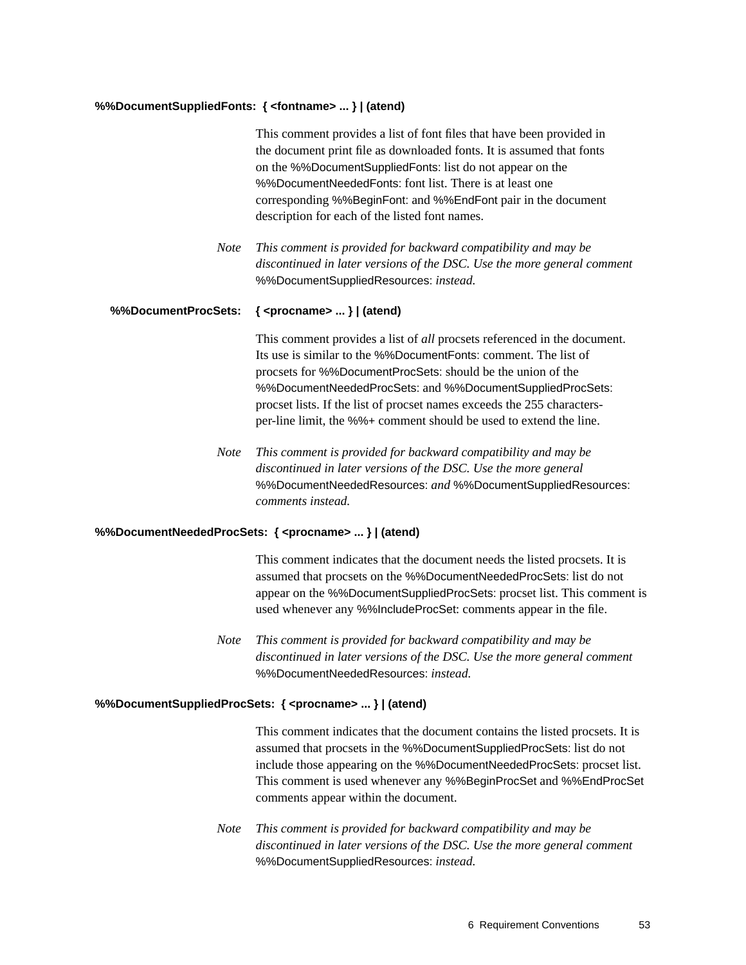# **%%DocumentSuppliedFonts: { <fontname> ... } | (atend)**

This comment provides a list of font files that have been provided in the document print file as downloaded fonts. It is assumed that fonts on the %%DocumentSuppliedFonts: list do not appear on the %%DocumentNeededFonts: font list. There is at least one corresponding %%BeginFont: and %%EndFont pair in the document description for each of the listed font names.

*Note This comment is provided for backward compatibility and may be discontinued in later versions of the DSC. Use the more general comment* %%DocumentSuppliedResources: *instead.*

# **%%DocumentProcSets: { <procname> ... } | (atend)**

This comment provides a list of *all* procsets referenced in the document. Its use is similar to the %%DocumentFonts: comment. The list of procsets for %%DocumentProcSets: should be the union of the %%DocumentNeededProcSets: and %%DocumentSuppliedProcSets: procset lists. If the list of procset names exceeds the 255 charactersper-line limit, the %%+ comment should be used to extend the line.

*Note This comment is provided for backward compatibility and may be discontinued in later versions of the DSC. Use the more general* %%DocumentNeededResources: *and* %%DocumentSuppliedResources: *comments instead.*

#### **%%DocumentNeededProcSets: { <procname> ... } | (atend)**

This comment indicates that the document needs the listed procsets. It is assumed that procsets on the %%DocumentNeededProcSets: list do not appear on the %%DocumentSuppliedProcSets: procset list. This comment is used whenever any %%IncludeProcSet: comments appear in the file.

*Note This comment is provided for backward compatibility and may be discontinued in later versions of the DSC. Use the more general comment* %%DocumentNeededResources: *instead.*

#### **%%DocumentSuppliedProcSets: { <procname> ... } | (atend)**

This comment indicates that the document contains the listed procsets. It is assumed that procsets in the %%DocumentSuppliedProcSets: list do not include those appearing on the %%DocumentNeededProcSets: procset list. This comment is used whenever any %%BeginProcSet and %%EndProcSet comments appear within the document.

*Note This comment is provided for backward compatibility and may be discontinued in later versions of the DSC. Use the more general comment* %%DocumentSuppliedResources: *instead.*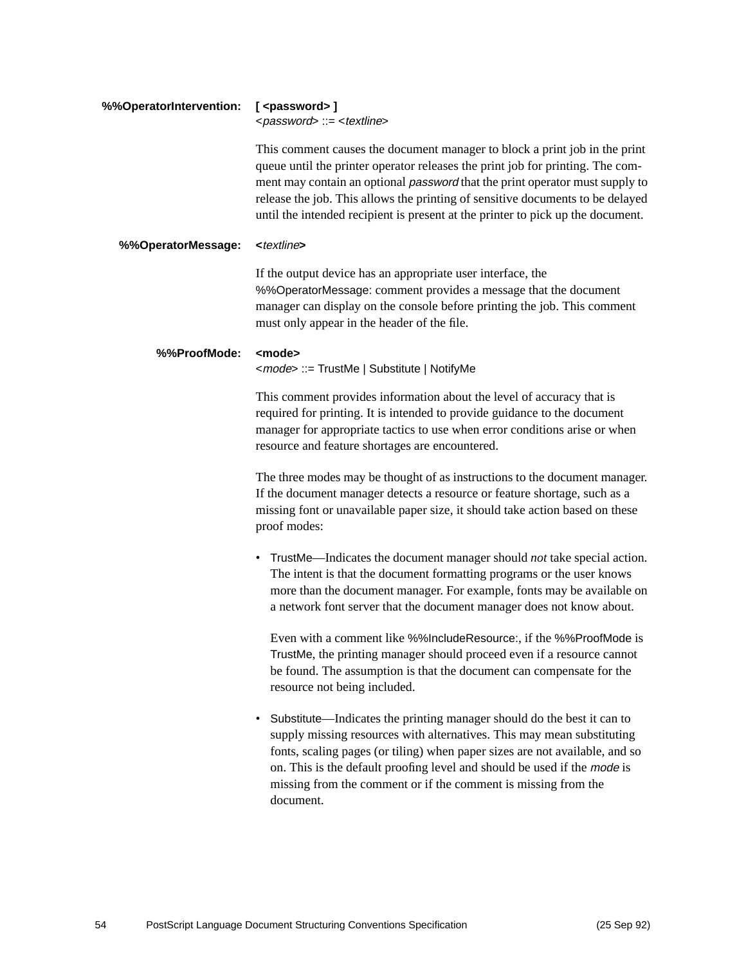| %%OperatorIntervention: [ <password> ]</password> |                                                 |
|---------------------------------------------------|-------------------------------------------------|
|                                                   | <password> ::= <textline></textline></password> |

This comment causes the document manager to block a print job in the print queue until the printer operator releases the print job for printing. The comment may contain an optional *password* that the print operator must supply to release the job. This allows the printing of sensitive documents to be delayed until the intended recipient is present at the printer to pick up the document.

# **%%OperatorMessage: <**textline**>**

If the output device has an appropriate user interface, the %%OperatorMessage: comment provides a message that the document manager can display on the console before printing the job. This comment must only appear in the header of the file.

#### **%%ProofMode: <mode>**

<mode> ::= TrustMe | Substitute | NotifyMe

This comment provides information about the level of accuracy that is required for printing. It is intended to provide guidance to the document manager for appropriate tactics to use when error conditions arise or when resource and feature shortages are encountered.

The three modes may be thought of as instructions to the document manager. If the document manager detects a resource or feature shortage, such as a missing font or unavailable paper size, it should take action based on these proof modes:

• TrustMe—Indicates the document manager should *not* take special action. The intent is that the document formatting programs or the user knows more than the document manager. For example, fonts may be available on a network font server that the document manager does not know about.

Even with a comment like %%IncludeResource:, if the %%ProofMode is TrustMe, the printing manager should proceed even if a resource cannot be found. The assumption is that the document can compensate for the resource not being included.

• Substitute—Indicates the printing manager should do the best it can to supply missing resources with alternatives. This may mean substituting fonts, scaling pages (or tiling) when paper sizes are not available, and so on. This is the default proofing level and should be used if the mode is missing from the comment or if the comment is missing from the document.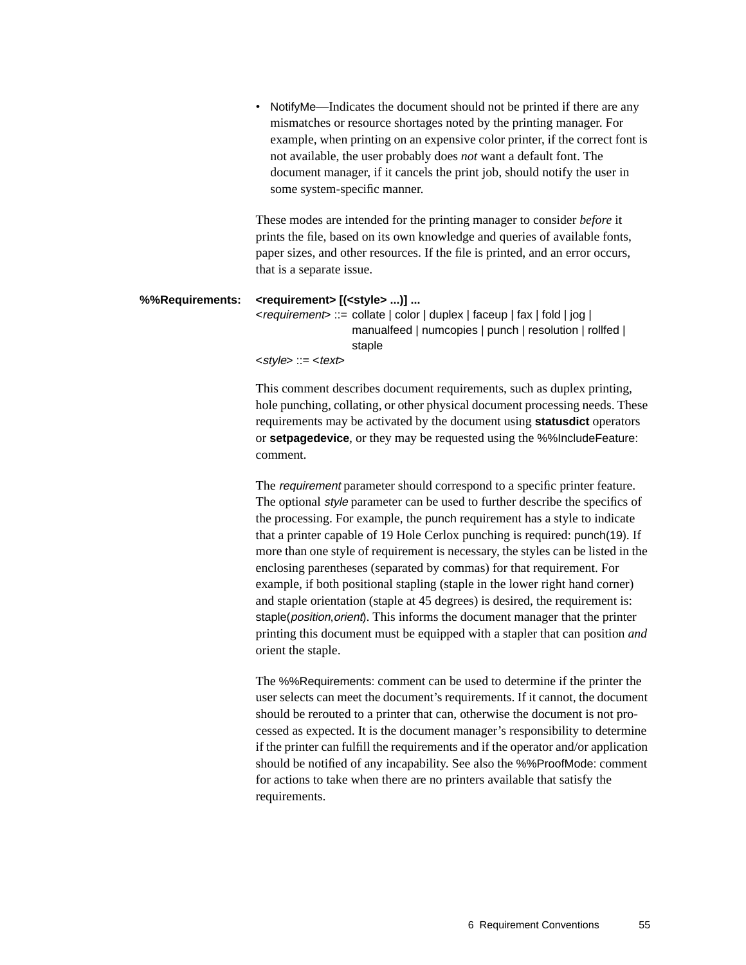|                 | • NotifyMe—Indicates the document should not be printed if there are any<br>mismatches or resource shortages noted by the printing manager. For<br>example, when printing on an expensive color printer, if the correct font is<br>not available, the user probably does <i>not</i> want a default font. The<br>document manager, if it cancels the print job, should notify the user in<br>some system-specific manner. |
|-----------------|--------------------------------------------------------------------------------------------------------------------------------------------------------------------------------------------------------------------------------------------------------------------------------------------------------------------------------------------------------------------------------------------------------------------------|
|                 | These modes are intended for the printing manager to consider <i>before</i> it<br>prints the file, based on its own knowledge and queries of available fonts,<br>paper sizes, and other resources. If the file is printed, and an error occurs,<br>that is a separate issue.                                                                                                                                             |
| %%Requirements: | <requirement> [(<style></style></requirement>                                                                                                                                                                                                                                                                                                                                                                            |

This comment describes document requirements, such as duplex printing, hole punching, collating, or other physical document processing needs. These requirements may be activated by the document using **statusdict** operators or **setpagedevice**, or they may be requested using the %%IncludeFeature: comment.

The requirement parameter should correspond to a specific printer feature. The optional style parameter can be used to further describe the specifics of the processing. For example, the punch requirement has a style to indicate that a printer capable of 19 Hole Cerlox punching is required: punch(19). If more than one style of requirement is necessary, the styles can be listed in the enclosing parentheses (separated by commas) for that requirement. For example, if both positional stapling (staple in the lower right hand corner) and staple orientation (staple at 45 degrees) is desired, the requirement is: staple(*position, orient*). This informs the document manager that the printer printing this document must be equipped with a stapler that can position *and* orient the staple.

The %%Requirements: comment can be used to determine if the printer the user selects can meet the document's requirements. If it cannot, the document should be rerouted to a printer that can, otherwise the document is not processed as expected. It is the document manager's responsibility to determine if the printer can fulfill the requirements and if the operator and/or application should be notified of any incapability. See also the %%ProofMode: comment for actions to take when there are no printers available that satisfy the requirements.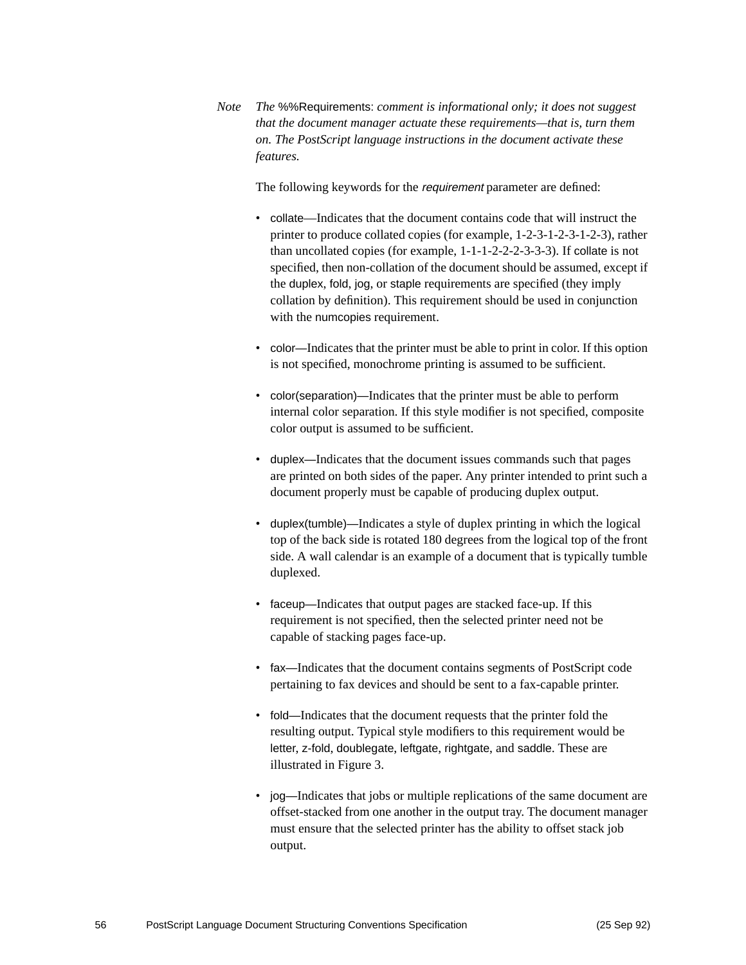*Note The* %%Requirements: *comment is informational only; it does not suggest that the document manager actuate these requirements—that is, turn them on. The PostScript language instructions in the document activate these features.*

The following keywords for the requirement parameter are defined:

- collate—Indicates that the document contains code that will instruct the printer to produce collated copies (for example, 1-2-3-1-2-3-1-2-3), rather than uncollated copies (for example, 1-1-1-2-2-2-3-3-3). If collate is not specified, then non-collation of the document should be assumed, except if the duplex, fold, jog, or staple requirements are specified (they imply collation by definition). This requirement should be used in conjunction with the numcopies requirement.
- color—Indicates that the printer must be able to print in color. If this option is not specified, monochrome printing is assumed to be sufficient.
- color(separation)—Indicates that the printer must be able to perform internal color separation. If this style modifier is not specified, composite color output is assumed to be sufficient.
- duplex—Indicates that the document issues commands such that pages are printed on both sides of the paper. Any printer intended to print such a document properly must be capable of producing duplex output.
- duplex(tumble)—Indicates a style of duplex printing in which the logical top of the back side is rotated 180 degrees from the logical top of the front side. A wall calendar is an example of a document that is typically tumble duplexed.
- faceup—Indicates that output pages are stacked face-up. If this requirement is not specified, then the selected printer need not be capable of stacking pages face-up.
- fax—Indicates that the document contains segments of PostScript code pertaining to fax devices and should be sent to a fax-capable printer.
- fold—Indicates that the document requests that the printer fold the resulting output. Typical style modifiers to this requirement would be letter, z-fold, doublegate, leftgate, rightgate, and saddle. These are illustrated in Figure 3.
- jog—Indicates that jobs or multiple replications of the same document are offset-stacked from one another in the output tray. The document manager must ensure that the selected printer has the ability to offset stack job output.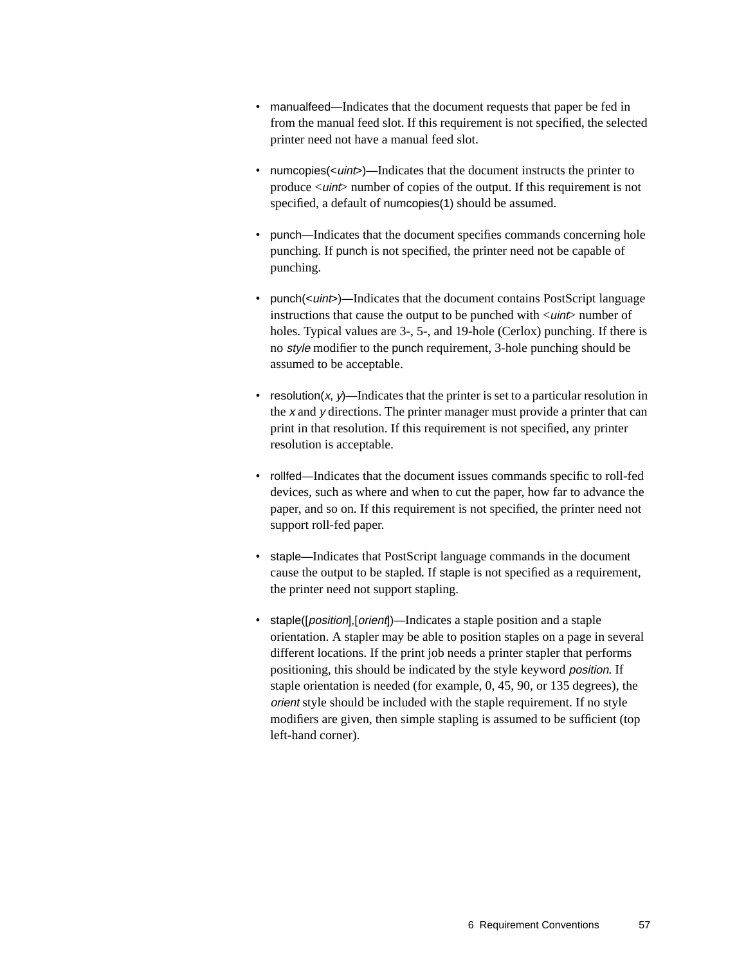- manualfeed—Indicates that the document requests that paper be fed in from the manual feed slot. If this requirement is not specified, the selected printer need not have a manual feed slot.
- numcopies( $\lt{uint}$ )—Indicates that the document instructs the printer to produce <uint> number of copies of the output. If this requirement is not specified, a default of numcopies(1) should be assumed.
- punch—Indicates that the document specifies commands concerning hole punching. If punch is not specified, the printer need not be capable of punching.
- punch( $\lt;$ uint>)—Indicates that the document contains PostScript language instructions that cause the output to be punched with  $\lt$ *uint* $gt$  number of holes. Typical values are 3-, 5-, and 19-hole (Cerlox) punching. If there is no style modifier to the punch requirement, 3-hole punching should be assumed to be acceptable.
- resolution(x,  $y$ )—Indicates that the printer is set to a particular resolution in the  $x$  and  $y$  directions. The printer manager must provide a printer that can print in that resolution. If this requirement is not specified, any printer resolution is acceptable.
- rollfed—Indicates that the document issues commands specific to roll-fed devices, such as where and when to cut the paper, how far to advance the paper, and so on. If this requirement is not specified, the printer need not support roll-fed paper.
- staple—Indicates that PostScript language commands in the document cause the output to be stapled. If staple is not specified as a requirement, the printer need not support stapling.
- staple([*position*], [*orient*])—Indicates a staple position and a staple orientation. A stapler may be able to position staples on a page in several different locations. If the print job needs a printer stapler that performs positioning, this should be indicated by the style keyword position. If staple orientation is needed (for example, 0, 45, 90, or 135 degrees), the orient style should be included with the staple requirement. If no style modifiers are given, then simple stapling is assumed to be sufficient (top left-hand corner).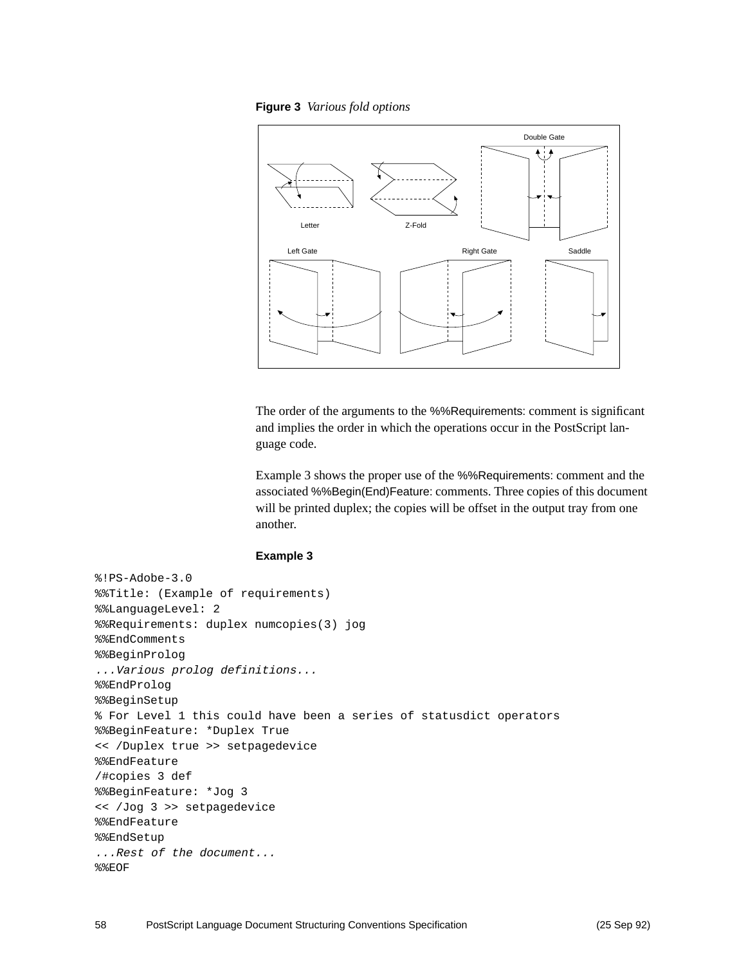**Figure 3** *Various fold options*



The order of the arguments to the %%Requirements: comment is significant and implies the order in which the operations occur in the PostScript language code.

Example 3 shows the proper use of the %%Requirements: comment and the associated %%Begin(End)Feature: comments. Three copies of this document will be printed duplex; the copies will be offset in the output tray from one another.

# **Example 3**

```
%!PS-Adobe-3.0
%%Title: (Example of requirements)
%%LanguageLevel: 2
%%Requirements: duplex numcopies(3) jog
%%EndComments
%%BeginProlog
...Various prolog definitions...
%%EndProlog
%%BeginSetup
% For Level 1 this could have been a series of statusdict operators
%%BeginFeature: *Duplex True
<< /Duplex true >> setpagedevice
%%EndFeature
/#copies 3 def
%%BeginFeature: *Jog 3
<< /Jog 3 >> setpagedevice
%%EndFeature
%%EndSetup
...Rest of the document...
%%EOF
```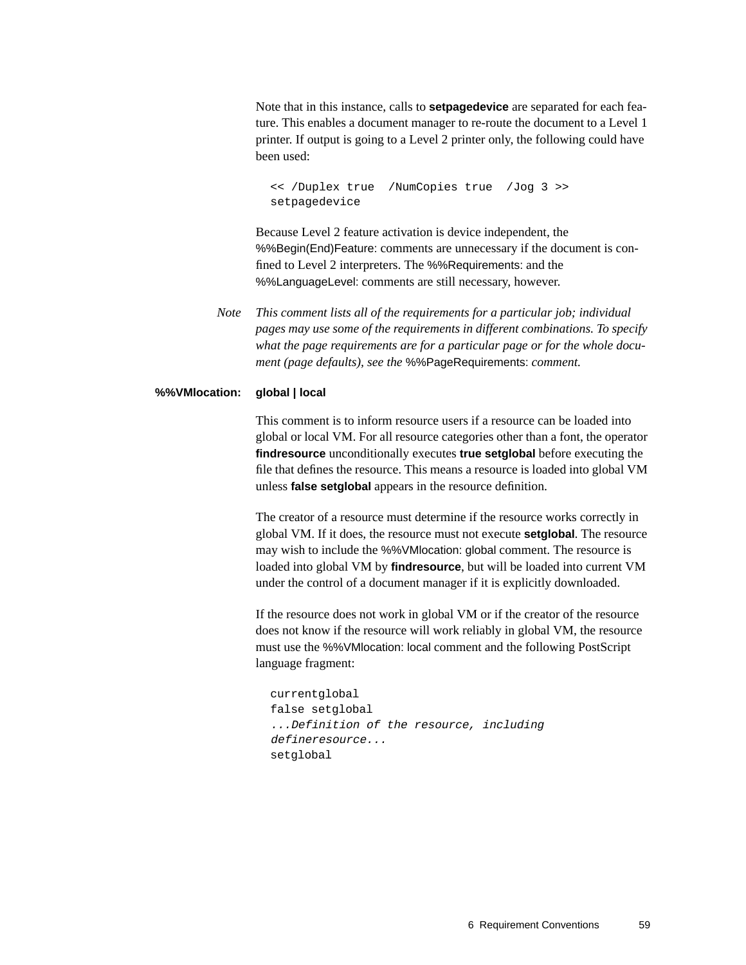Note that in this instance, calls to **setpagedevice** are separated for each feature. This enables a document manager to re-route the document to a Level 1 printer. If output is going to a Level 2 printer only, the following could have been used:

<< /Duplex true /NumCopies true /Jog 3 >> setpagedevice

Because Level 2 feature activation is device independent, the %%Begin(End)Feature: comments are unnecessary if the document is confined to Level 2 interpreters. The %%Requirements: and the %%LanguageLevel: comments are still necessary, however.

*Note This comment lists all of the requirements for a particular job; individual pages may use some of the requirements in different combinations. To specify what the page requirements are for a particular page or for the whole document (page defaults), see the* %%PageRequirements: *comment.*

#### **%%VMlocation: global | local**

This comment is to inform resource users if a resource can be loaded into global or local VM. For all resource categories other than a font, the operator **findresource** unconditionally executes **true setglobal** before executing the file that defines the resource. This means a resource is loaded into global VM unless **false setglobal** appears in the resource definition.

The creator of a resource must determine if the resource works correctly in global VM. If it does, the resource must not execute **setglobal**. The resource may wish to include the %%VMlocation: global comment. The resource is loaded into global VM by **findresource**, but will be loaded into current VM under the control of a document manager if it is explicitly downloaded.

If the resource does not work in global VM or if the creator of the resource does not know if the resource will work reliably in global VM, the resource must use the %%VMlocation: local comment and the following PostScript language fragment:

currentglobal false setglobal ...Definition of the resource, including defineresource... setglobal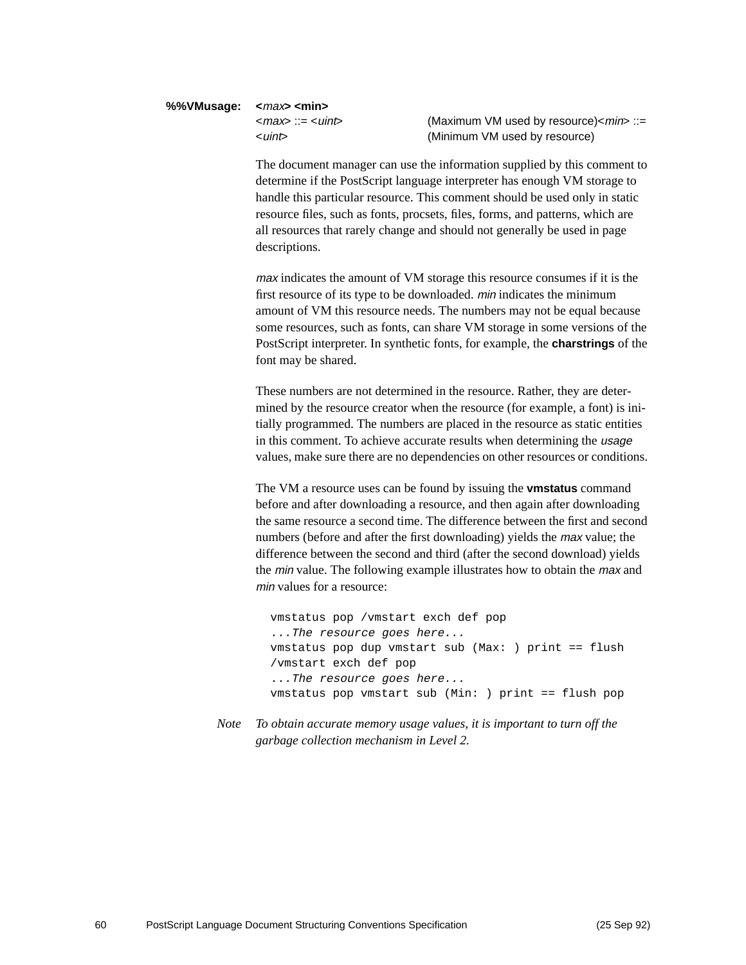# **%%VMusage: <**max**> <min>**

<max> ::= <uint> (Maximum VM used by resource)<min> ::= <uint> (Minimum VM used by resource)

The document manager can use the information supplied by this comment to determine if the PostScript language interpreter has enough VM storage to handle this particular resource. This comment should be used only in static resource files, such as fonts, procsets, files, forms, and patterns, which are all resources that rarely change and should not generally be used in page descriptions.

max indicates the amount of VM storage this resource consumes if it is the first resource of its type to be downloaded. min indicates the minimum amount of VM this resource needs. The numbers may not be equal because some resources, such as fonts, can share VM storage in some versions of the PostScript interpreter. In synthetic fonts, for example, the **charstrings** of the font may be shared.

These numbers are not determined in the resource. Rather, they are determined by the resource creator when the resource (for example, a font) is initially programmed. The numbers are placed in the resource as static entities in this comment. To achieve accurate results when determining the usage values, make sure there are no dependencies on other resources or conditions.

The VM a resource uses can be found by issuing the **vmstatus** command before and after downloading a resource, and then again after downloading the same resource a second time. The difference between the first and second numbers (before and after the first downloading) yields the max value; the difference between the second and third (after the second download) yields the min value. The following example illustrates how to obtain the max and min values for a resource:

vmstatus pop /vmstart exch def pop ...The resource goes here... vmstatus pop dup vmstart sub (Max: ) print == flush /vmstart exch def pop ...The resource goes here... vmstatus pop vmstart sub (Min: ) print == flush pop

*Note To obtain accurate memory usage values, it is important to turn off the garbage collection mechanism in Level 2.*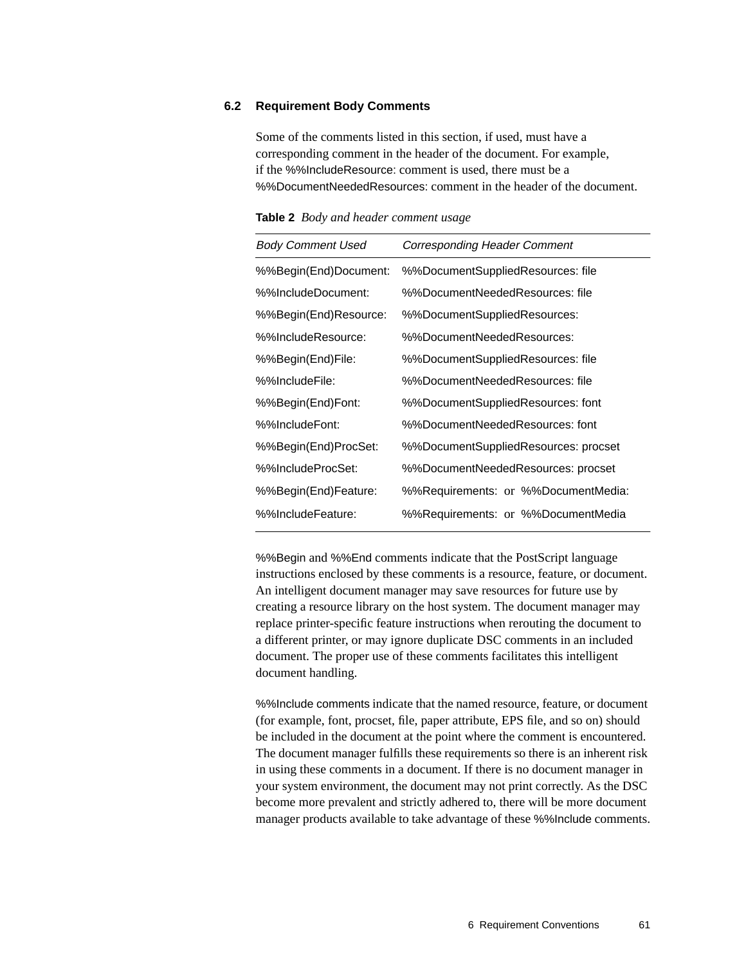# **6.2 Requirement Body Comments**

Some of the comments listed in this section, if used, must have a corresponding comment in the header of the document. For example, if the %%IncludeResource: comment is used, there must be a %%DocumentNeededResources: comment in the header of the document.

| <b>Body Comment Used</b> | Corresponding Header Comment         |  |
|--------------------------|--------------------------------------|--|
| %%Begin(End)Document:    | %%DocumentSuppliedResources: file    |  |
| %%IncludeDocument:       | %%DocumentNeededResources: file      |  |
| %%Begin(End)Resource:    | %%DocumentSuppliedResources:         |  |
| %%IncludeResource:       | %%DocumentNeededResources:           |  |
| %%Begin(End)File:        | %%DocumentSuppliedResources: file    |  |
| %%IncludeFile:           | %%DocumentNeededResources: file      |  |
| %%Begin(End)Font:        | %%DocumentSuppliedResources: font    |  |
| %%IncludeFont:           | %%DocumentNeededResources: font      |  |
| %%Begin(End)ProcSet:     | %%DocumentSuppliedResources: procset |  |
| %%IncludeProcSet:        | %%DocumentNeededResources: procset   |  |
| %%Begin(End)Feature:     | %%Requirements: or %%DocumentMedia:  |  |
| %%IncludeFeature:        | %%Requirements: or %%DocumentMedia   |  |

**Table 2** *Body and header comment usage*

%%Begin and %%End comments indicate that the PostScript language instructions enclosed by these comments is a resource, feature, or document. An intelligent document manager may save resources for future use by creating a resource library on the host system. The document manager may replace printer-specific feature instructions when rerouting the document to a different printer, or may ignore duplicate DSC comments in an included document. The proper use of these comments facilitates this intelligent document handling.

%%Include comments indicate that the named resource, feature, or document (for example, font, procset, file, paper attribute, EPS file, and so on) should be included in the document at the point where the comment is encountered. The document manager fulfills these requirements so there is an inherent risk in using these comments in a document. If there is no document manager in your system environment, the document may not print correctly. As the DSC become more prevalent and strictly adhered to, there will be more document manager products available to take advantage of these %%Include comments.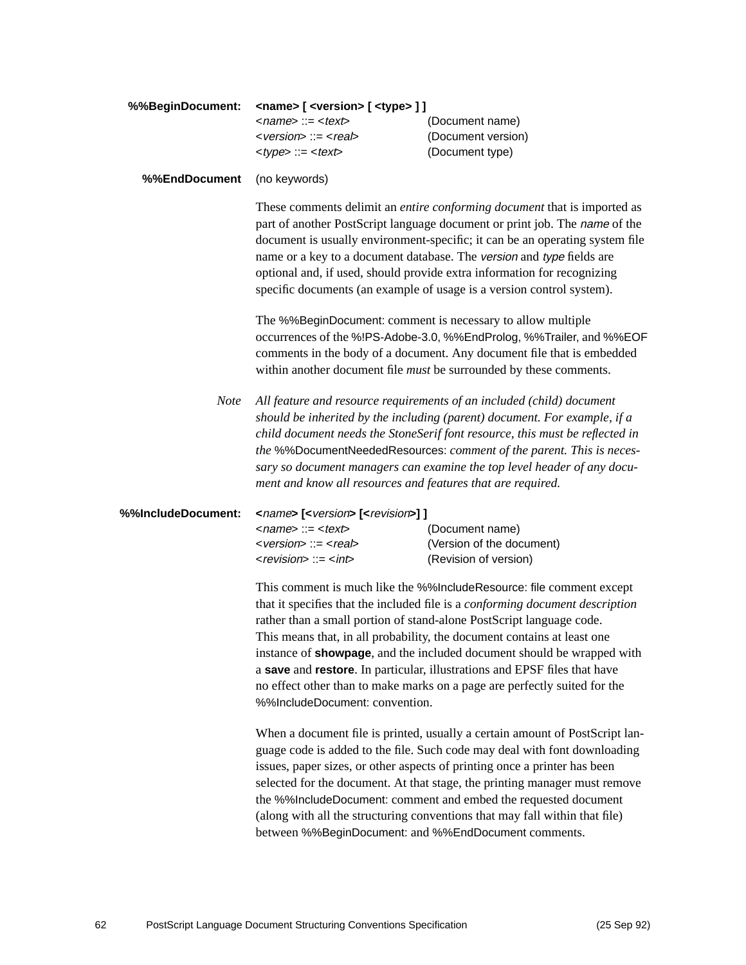| %%BeginDocument:   | <name> [ <version> [ <type> ] ]</type></version></name>                                                                                                                                                                                                                                                                                                                                                                                              |                                                                                                                                                                                                                                                                                                                                                                                                                                                                                                                                                             |
|--------------------|------------------------------------------------------------------------------------------------------------------------------------------------------------------------------------------------------------------------------------------------------------------------------------------------------------------------------------------------------------------------------------------------------------------------------------------------------|-------------------------------------------------------------------------------------------------------------------------------------------------------------------------------------------------------------------------------------------------------------------------------------------------------------------------------------------------------------------------------------------------------------------------------------------------------------------------------------------------------------------------------------------------------------|
|                    | $\langle$ name $\rangle$ ::= $\langle$ text $\rangle$                                                                                                                                                                                                                                                                                                                                                                                                | (Document name)                                                                                                                                                                                                                                                                                                                                                                                                                                                                                                                                             |
|                    | $\leq$ version $\geq$ ::= $\leq$ real $\geq$                                                                                                                                                                                                                                                                                                                                                                                                         | (Document version)                                                                                                                                                                                                                                                                                                                                                                                                                                                                                                                                          |
|                    | $<$ type $> ::=$ $<$ text $>$                                                                                                                                                                                                                                                                                                                                                                                                                        | (Document type)                                                                                                                                                                                                                                                                                                                                                                                                                                                                                                                                             |
| %%EndDocument      | (no keywords)                                                                                                                                                                                                                                                                                                                                                                                                                                        |                                                                                                                                                                                                                                                                                                                                                                                                                                                                                                                                                             |
|                    |                                                                                                                                                                                                                                                                                                                                                                                                                                                      | These comments delimit an <i>entire conforming document</i> that is imported as<br>part of another PostScript language document or print job. The name of the<br>document is usually environment-specific; it can be an operating system file<br>name or a key to a document database. The version and type fields are<br>optional and, if used, should provide extra information for recognizing<br>specific documents (an example of usage is a version control system).                                                                                  |
|                    |                                                                                                                                                                                                                                                                                                                                                                                                                                                      | The %%BeginDocument: comment is necessary to allow multiple<br>occurrences of the %!PS-Adobe-3.0, %%EndProlog, %%Trailer, and %%EOF<br>comments in the body of a document. Any document file that is embedded<br>within another document file <i>must</i> be surrounded by these comments.                                                                                                                                                                                                                                                                  |
| <b>Note</b>        | All feature and resource requirements of an included (child) document<br>should be inherited by the including (parent) document. For example, if a<br>child document needs the StoneSerif font resource, this must be reflected in<br>the %%DocumentNeededResources: comment of the parent. This is neces-<br>sary so document managers can examine the top level header of any docu-<br>ment and know all resources and features that are required. |                                                                                                                                                                                                                                                                                                                                                                                                                                                                                                                                                             |
| %%IncludeDocument: | <name> [<version> [<revision>] ]</revision></version></name>                                                                                                                                                                                                                                                                                                                                                                                         |                                                                                                                                                                                                                                                                                                                                                                                                                                                                                                                                                             |
|                    | $\langle$ name $\rangle$ ::= $\langle$ text $\rangle$                                                                                                                                                                                                                                                                                                                                                                                                | (Document name)                                                                                                                                                                                                                                                                                                                                                                                                                                                                                                                                             |
|                    |                                                                                                                                                                                                                                                                                                                                                                                                                                                      | (Version of the document)                                                                                                                                                                                                                                                                                                                                                                                                                                                                                                                                   |
|                    | $<$ revision $> ::=$ $<$ int $>$                                                                                                                                                                                                                                                                                                                                                                                                                     | (Revision of version)                                                                                                                                                                                                                                                                                                                                                                                                                                                                                                                                       |
|                    | %%IncludeDocument: convention.                                                                                                                                                                                                                                                                                                                                                                                                                       | This comment is much like the %%IncludeResource: file comment except<br>that it specifies that the included file is a <i>conforming document description</i><br>rather than a small portion of stand-alone PostScript language code.<br>This means that, in all probability, the document contains at least one<br>instance of <b>showpage</b> , and the included document should be wrapped with<br>a save and restore. In particular, illustrations and EPSF files that have<br>no effect other than to make marks on a page are perfectly suited for the |
|                    |                                                                                                                                                                                                                                                                                                                                                                                                                                                      | When a document file is printed, usually a certain amount of PostScript lan-<br>guage code is added to the file. Such code may deal with font downloading<br>issues, paper sizes, or other aspects of printing once a printer has been<br>selected for the document. At that stage, the printing manager must remove<br>the %%IncludeDocument: comment and embed the requested document<br>(along with all the structuring conventions that may fall within that file)                                                                                      |

between %%BeginDocument: and %%EndDocument comments.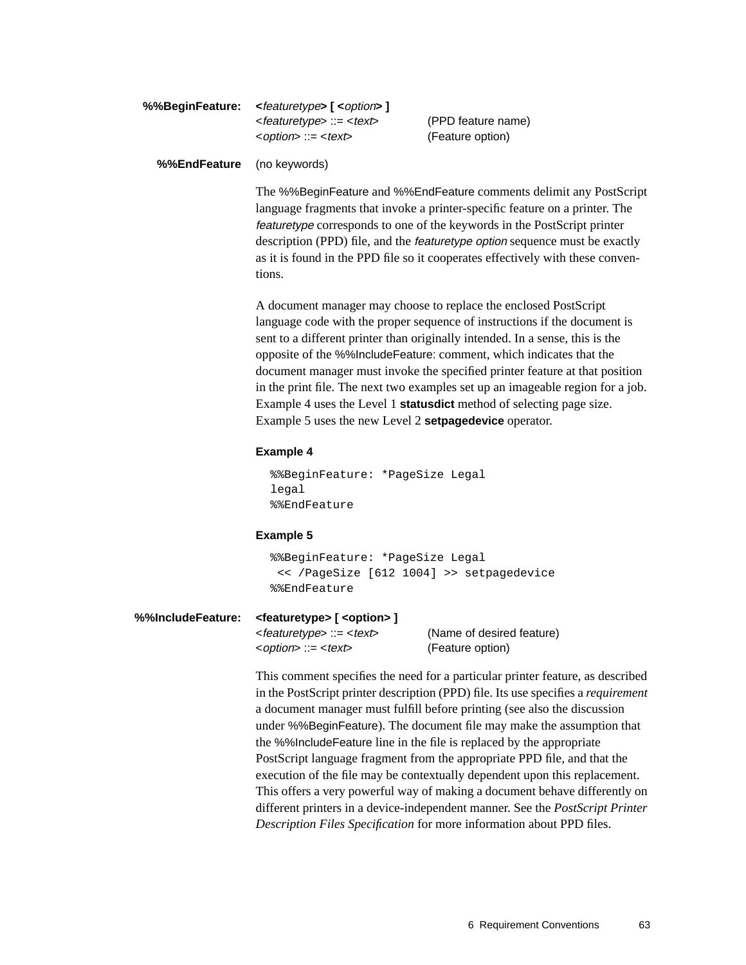| %%BeqinFeature: | <featuretype> [ <option> ]</option></featuretype> |                    |
|-----------------|---------------------------------------------------|--------------------|
|                 | < <i>featuretype</i> > ::= < <i>text</i> >        | (PPD feature name) |
|                 | $\leq$ option $\geq$ $\leq$ $\leq$ $\leq$ $\leq$  | (Feature option)   |

**%%EndFeature** (no keywords)

The %%BeginFeature and %%EndFeature comments delimit any PostScript language fragments that invoke a printer-specific feature on a printer. The featuretype corresponds to one of the keywords in the PostScript printer description (PPD) file, and the *featuretype option* sequence must be exactly as it is found in the PPD file so it cooperates effectively with these conventions.

A document manager may choose to replace the enclosed PostScript language code with the proper sequence of instructions if the document is sent to a different printer than originally intended. In a sense, this is the opposite of the %%IncludeFeature: comment, which indicates that the document manager must invoke the specified printer feature at that position in the print file. The next two examples set up an imageable region for a job. Example 4 uses the Level 1 **statusdict** method of selecting page size. Example 5 uses the new Level 2 **setpagedevice** operator.

# **Example 4**

```
%%BeginFeature: *PageSize Legal
legal
%%EndFeature
```
# **Example 5**

```
%%BeginFeature: *PageSize Legal
  << /PageSize [612 1004] >> setpagedevice
%%EndFeature
```

| %%IncludeFeature: | <featuretype> [ <option> ]</option></featuretype> |
|-------------------|---------------------------------------------------|
|                   |                                                   |

<option> ::= <text> (Feature option)

 $\le$  featuretype  $\ge$  ::=  $\lt$  text (Name of desired feature)

This comment specifies the need for a particular printer feature, as described in the PostScript printer description (PPD) file. Its use specifies a *requirement* a document manager must fulfill before printing (see also the discussion under %%BeginFeature). The document file may make the assumption that the %%IncludeFeature line in the file is replaced by the appropriate PostScript language fragment from the appropriate PPD file, and that the execution of the file may be contextually dependent upon this replacement. This offers a very powerful way of making a document behave differently on different printers in a device-independent manner. See the *PostScript Printer Description Files Specification* for more information about PPD files.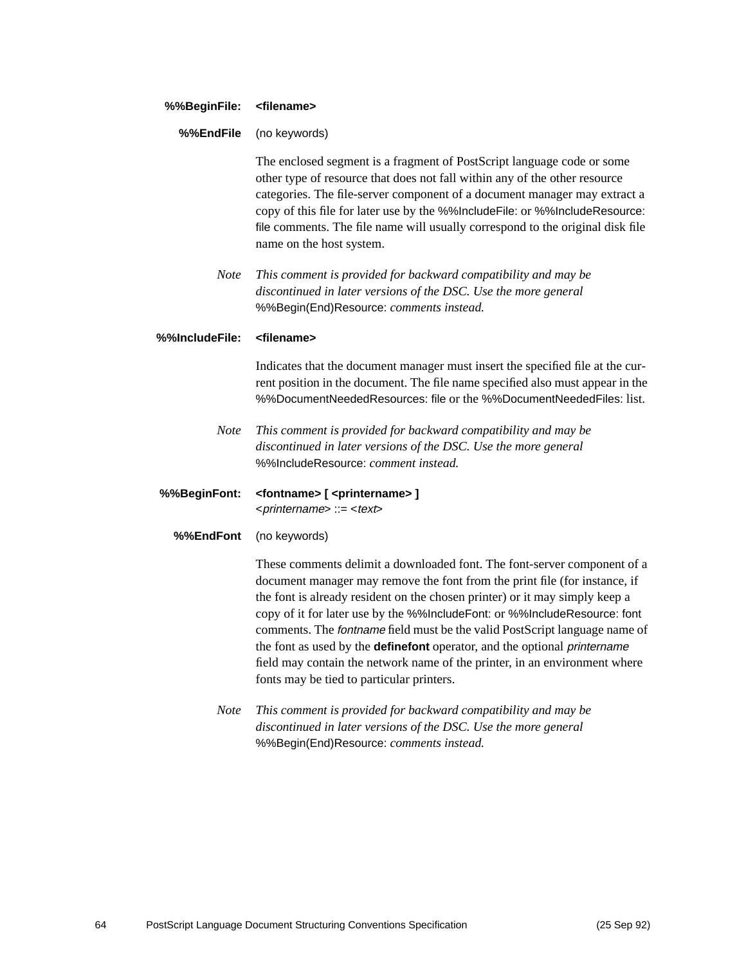#### **%%BeginFile: <filename>**

**%%EndFile** (no keywords)

The enclosed segment is a fragment of PostScript language code or some other type of resource that does not fall within any of the other resource categories. The file-server component of a document manager may extract a copy of this file for later use by the %%IncludeFile: or %%IncludeResource: file comments. The file name will usually correspond to the original disk file name on the host system.

*Note This comment is provided for backward compatibility and may be discontinued in later versions of the DSC. Use the more general* %%Begin(End)Resource: *comments instead.*

#### **%%IncludeFile: <filename>**

Indicates that the document manager must insert the specified file at the current position in the document. The file name specified also must appear in the %%DocumentNeededResources: file or the %%DocumentNeededFiles: list.

- *Note This comment is provided for backward compatibility and may be discontinued in later versions of the DSC. Use the more general* %%IncludeResource: *comment instead.*
- **%%BeginFont: <fontname> [ <printername> ]** <printername> ::= <text>
	- **%%EndFont** (no keywords)

These comments delimit a downloaded font. The font-server component of a document manager may remove the font from the print file (for instance, if the font is already resident on the chosen printer) or it may simply keep a copy of it for later use by the %%IncludeFont: or %%IncludeResource: font comments. The fontname field must be the valid PostScript language name of the font as used by the **definefont** operator, and the optional printername field may contain the network name of the printer, in an environment where fonts may be tied to particular printers.

*Note This comment is provided for backward compatibility and may be discontinued in later versions of the DSC. Use the more general* %%Begin(End)Resource: *comments instead.*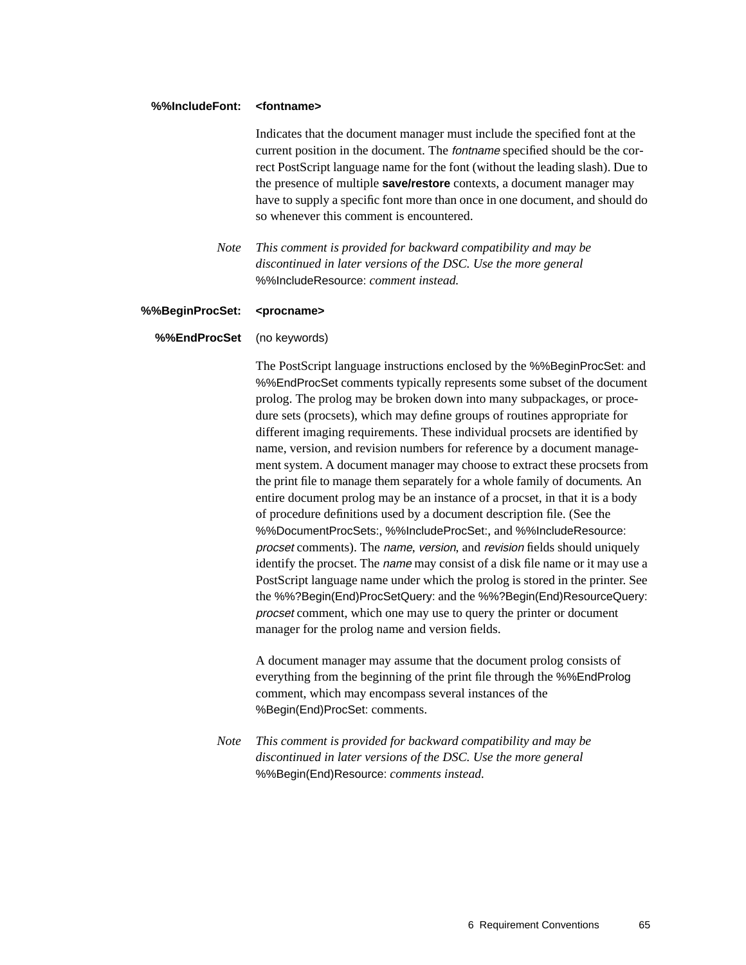#### **%%IncludeFont: <fontname>**

Indicates that the document manager must include the specified font at the current position in the document. The fontname specified should be the correct PostScript language name for the font (without the leading slash). Due to the presence of multiple **save/restore** contexts, a document manager may have to supply a specific font more than once in one document, and should do so whenever this comment is encountered.

*Note This comment is provided for backward compatibility and may be discontinued in later versions of the DSC. Use the more general* %%IncludeResource: *comment instead.*

#### **%%BeginProcSet: <procname>**

#### **%%EndProcSet** (no keywords)

The PostScript language instructions enclosed by the %%BeginProcSet: and %%EndProcSet comments typically represents some subset of the document prolog. The prolog may be broken down into many subpackages, or procedure sets (procsets), which may define groups of routines appropriate for different imaging requirements. These individual procsets are identified by name, version, and revision numbers for reference by a document management system. A document manager may choose to extract these procsets from the print file to manage them separately for a whole family of documents. An entire document prolog may be an instance of a procset, in that it is a body of procedure definitions used by a document description file. (See the %%DocumentProcSets:, %%IncludeProcSet:, and %%IncludeResource: procset comments). The name, version, and revision fields should uniquely identify the procset. The name may consist of a disk file name or it may use a PostScript language name under which the prolog is stored in the printer. See the %%?Begin(End)ProcSetQuery: and the %%?Begin(End)ResourceQuery: procset comment, which one may use to query the printer or document manager for the prolog name and version fields.

A document manager may assume that the document prolog consists of everything from the beginning of the print file through the %%EndProlog comment, which may encompass several instances of the %Begin(End)ProcSet: comments.

*Note This comment is provided for backward compatibility and may be discontinued in later versions of the DSC. Use the more general* %%Begin(End)Resource: *comments instead.*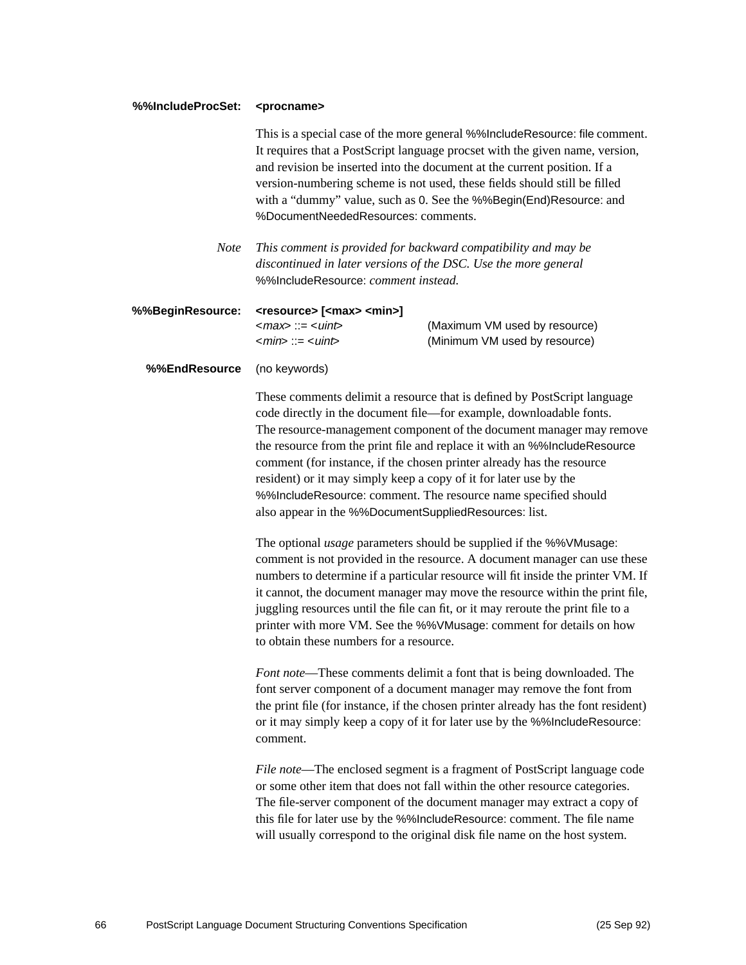#### **%%IncludeProcSet: <procname>**

This is a special case of the more general %%IncludeResource: file comment. It requires that a PostScript language procset with the given name, version, and revision be inserted into the document at the current position. If a version-numbering scheme is not used, these fields should still be filled with a "dummy" value, such as 0. See the %%Begin(End)Resource: and %DocumentNeededResources: comments.

*Note This comment is provided for backward compatibility and may be discontinued in later versions of the DSC. Use the more general* %%IncludeResource: *comment instead.*

| %%BeginResource: <resource> [<max> <min>]</min></max></resource> |                               |
|------------------------------------------------------------------|-------------------------------|
| <max> ::= <uint></uint></max>                                    | (Maximum VM used by resource) |
| $\langle$ min $\rangle$ ::= $\langle$ uint $\rangle$             | (Minimum VM used by resource) |

#### **%%EndResource** (no keywords)

These comments delimit a resource that is defined by PostScript language code directly in the document file—for example, downloadable fonts. The resource-management component of the document manager may remove the resource from the print file and replace it with an %%IncludeResource comment (for instance, if the chosen printer already has the resource resident) or it may simply keep a copy of it for later use by the %%IncludeResource: comment. The resource name specified should also appear in the %%DocumentSuppliedResources: list.

The optional *usage* parameters should be supplied if the %%VMusage: comment is not provided in the resource. A document manager can use these numbers to determine if a particular resource will fit inside the printer VM. If it cannot, the document manager may move the resource within the print file, juggling resources until the file can fit, or it may reroute the print file to a printer with more VM. See the %%VMusage: comment for details on how to obtain these numbers for a resource.

*Font note*—These comments delimit a font that is being downloaded. The font server component of a document manager may remove the font from the print file (for instance, if the chosen printer already has the font resident) or it may simply keep a copy of it for later use by the %%IncludeResource: comment.

*File note*—The enclosed segment is a fragment of PostScript language code or some other item that does not fall within the other resource categories. The file-server component of the document manager may extract a copy of this file for later use by the %%IncludeResource: comment. The file name will usually correspond to the original disk file name on the host system.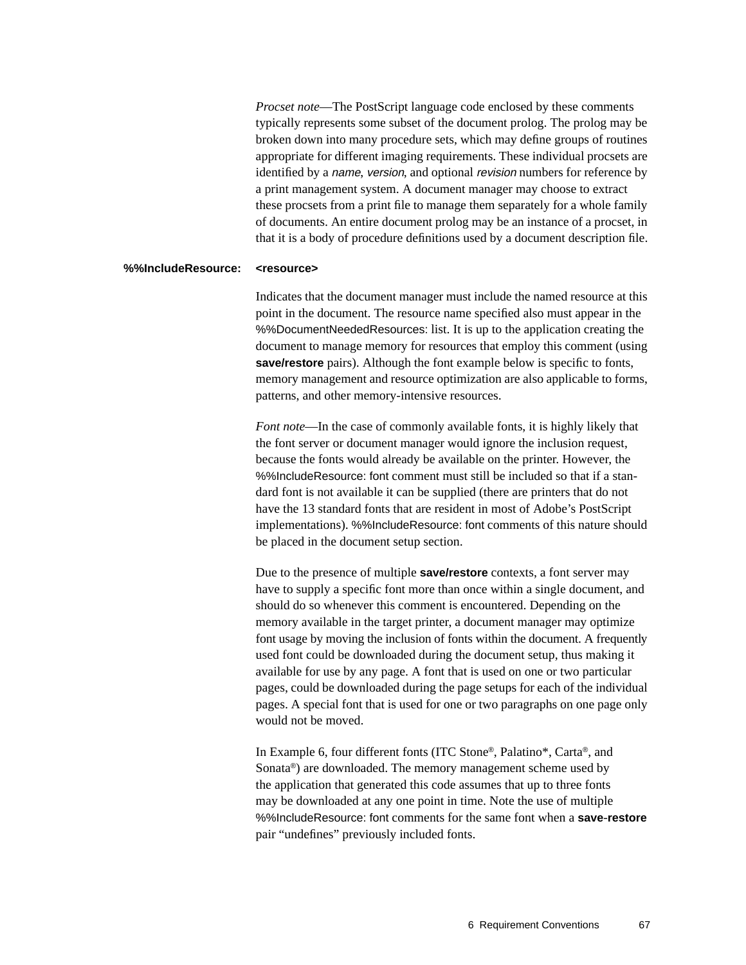*Procset note*—The PostScript language code enclosed by these comments typically represents some subset of the document prolog. The prolog may be broken down into many procedure sets, which may define groups of routines appropriate for different imaging requirements. These individual procsets are identified by a name, version, and optional revision numbers for reference by a print management system. A document manager may choose to extract these procsets from a print file to manage them separately for a whole family of documents. An entire document prolog may be an instance of a procset, in that it is a body of procedure definitions used by a document description file.

#### **%%IncludeResource: <resource>**

Indicates that the document manager must include the named resource at this point in the document. The resource name specified also must appear in the %%DocumentNeededResources: list. It is up to the application creating the document to manage memory for resources that employ this comment (using **save/restore** pairs). Although the font example below is specific to fonts, memory management and resource optimization are also applicable to forms, patterns, and other memory-intensive resources.

*Font note*—In the case of commonly available fonts, it is highly likely that the font server or document manager would ignore the inclusion request, because the fonts would already be available on the printer. However, the %%IncludeResource: font comment must still be included so that if a standard font is not available it can be supplied (there are printers that do not have the 13 standard fonts that are resident in most of Adobe's PostScript implementations). %%IncludeResource: font comments of this nature should be placed in the document setup section.

Due to the presence of multiple **save/restore** contexts, a font server may have to supply a specific font more than once within a single document, and should do so whenever this comment is encountered. Depending on the memory available in the target printer, a document manager may optimize font usage by moving the inclusion of fonts within the document. A frequently used font could be downloaded during the document setup, thus making it available for use by any page. A font that is used on one or two particular pages, could be downloaded during the page setups for each of the individual pages. A special font that is used for one or two paragraphs on one page only would not be moved.

In Example 6, four different fonts (ITC Stone®, Palatino\*, Carta®, and Sonata®) are downloaded. The memory management scheme used by the application that generated this code assumes that up to three fonts may be downloaded at any one point in time. Note the use of multiple %%IncludeResource: font comments for the same font when a **save**-**restore** pair "undefines" previously included fonts.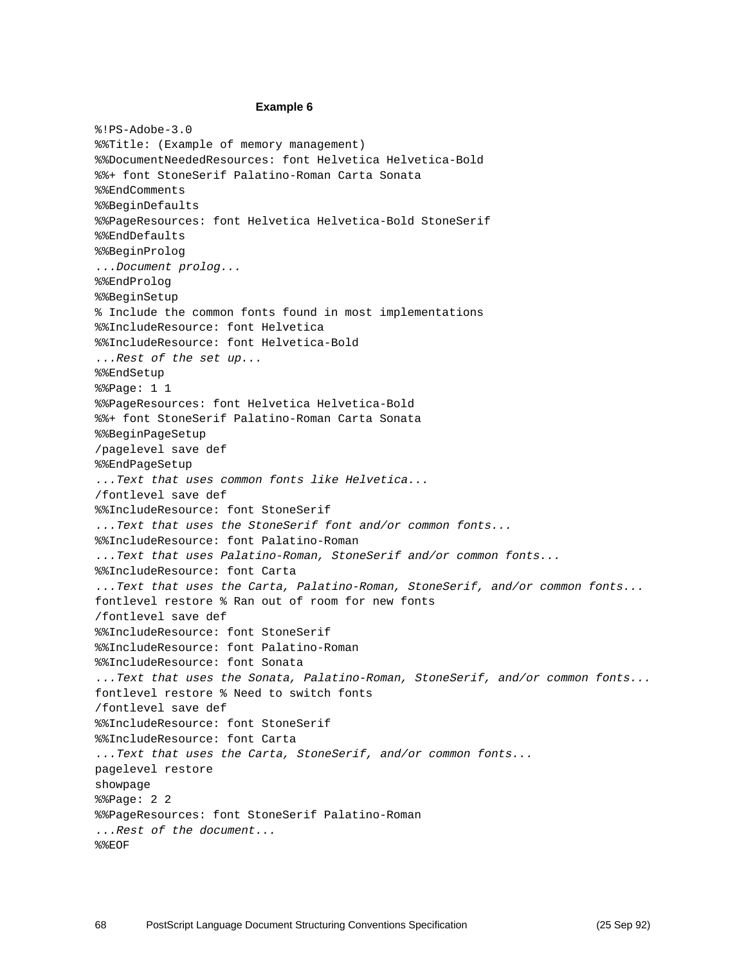#### **Example 6**

```
%!PS-Adobe-3.0
%%Title: (Example of memory management)
%%DocumentNeededResources: font Helvetica Helvetica-Bold
%%+ font StoneSerif Palatino-Roman Carta Sonata
%%EndComments
%%BeginDefaults
%%PageResources: font Helvetica Helvetica-Bold StoneSerif
%%EndDefaults
%%BeginProlog
...Document prolog...
%%EndProlog
%%BeginSetup
% Include the common fonts found in most implementations
%%IncludeResource: font Helvetica
%%IncludeResource: font Helvetica-Bold
...Rest of the set up...
%%EndSetup
%%Page: 1 1
%%PageResources: font Helvetica Helvetica-Bold
%%+ font StoneSerif Palatino-Roman Carta Sonata
%%BeginPageSetup
/pagelevel save def
%%EndPageSetup
...Text that uses common fonts like Helvetica...
/fontlevel save def
%%IncludeResource: font StoneSerif
...Text that uses the StoneSerif font and/or common fonts...
%%IncludeResource: font Palatino-Roman
...Text that uses Palatino-Roman, StoneSerif and/or common fonts...
%%IncludeResource: font Carta
...Text that uses the Carta, Palatino-Roman, StoneSerif, and/or common fonts...
fontlevel restore % Ran out of room for new fonts
/fontlevel save def
%%IncludeResource: font StoneSerif
%%IncludeResource: font Palatino-Roman
%%IncludeResource: font Sonata
...Text that uses the Sonata, Palatino-Roman, StoneSerif, and/or common fonts...
fontlevel restore % Need to switch fonts
/fontlevel save def
%%IncludeResource: font StoneSerif
%%IncludeResource: font Carta
...Text that uses the Carta, StoneSerif, and/or common fonts...
pagelevel restore
showpage
%%Page: 2 2
%%PageResources: font StoneSerif Palatino-Roman
...Rest of the document...
%%EOF
```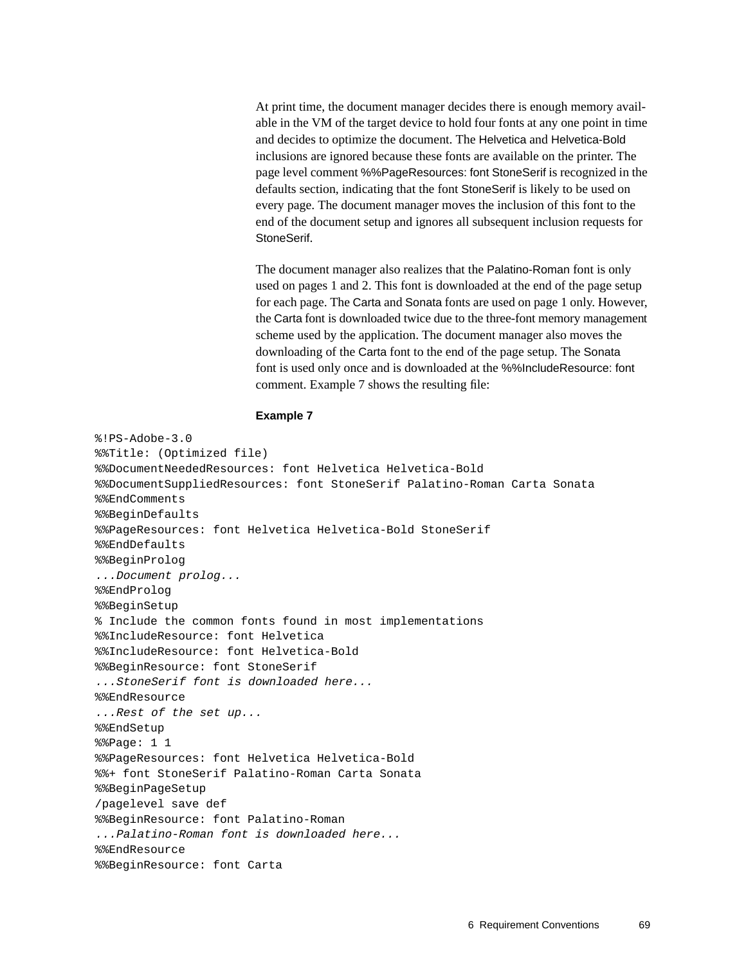At print time, the document manager decides there is enough memory available in the VM of the target device to hold four fonts at any one point in time and decides to optimize the document. The Helvetica and Helvetica-Bold inclusions are ignored because these fonts are available on the printer. The page level comment %%PageResources: font StoneSerif is recognized in the defaults section, indicating that the font StoneSerif is likely to be used on every page. The document manager moves the inclusion of this font to the end of the document setup and ignores all subsequent inclusion requests for StoneSerif.

The document manager also realizes that the Palatino-Roman font is only used on pages 1 and 2. This font is downloaded at the end of the page setup for each page. The Carta and Sonata fonts are used on page 1 only. However, the Carta font is downloaded twice due to the three-font memory management scheme used by the application. The document manager also moves the downloading of the Carta font to the end of the page setup. The Sonata font is used only once and is downloaded at the %%IncludeResource: font comment. Example 7 shows the resulting file:

#### **Example 7**

```
%!PS-Adobe-3.0
%%Title: (Optimized file)
%%DocumentNeededResources: font Helvetica Helvetica-Bold
%%DocumentSuppliedResources: font StoneSerif Palatino-Roman Carta Sonata
%%EndComments
%%BeginDefaults
%%PageResources: font Helvetica Helvetica-Bold StoneSerif
%%EndDefaults
%%BeginProlog
...Document prolog...
%%EndProlog
%%BeginSetup
% Include the common fonts found in most implementations
%%IncludeResource: font Helvetica
%%IncludeResource: font Helvetica-Bold
%%BeginResource: font StoneSerif
...StoneSerif font is downloaded here...
%%EndResource
...Rest of the set up...
%%EndSetup
%%Page: 1 1
%%PageResources: font Helvetica Helvetica-Bold
%%+ font StoneSerif Palatino-Roman Carta Sonata
%%BeginPageSetup
/pagelevel save def
%%BeginResource: font Palatino-Roman
...Palatino-Roman font is downloaded here...
%%EndResource
%%BeginResource: font Carta
```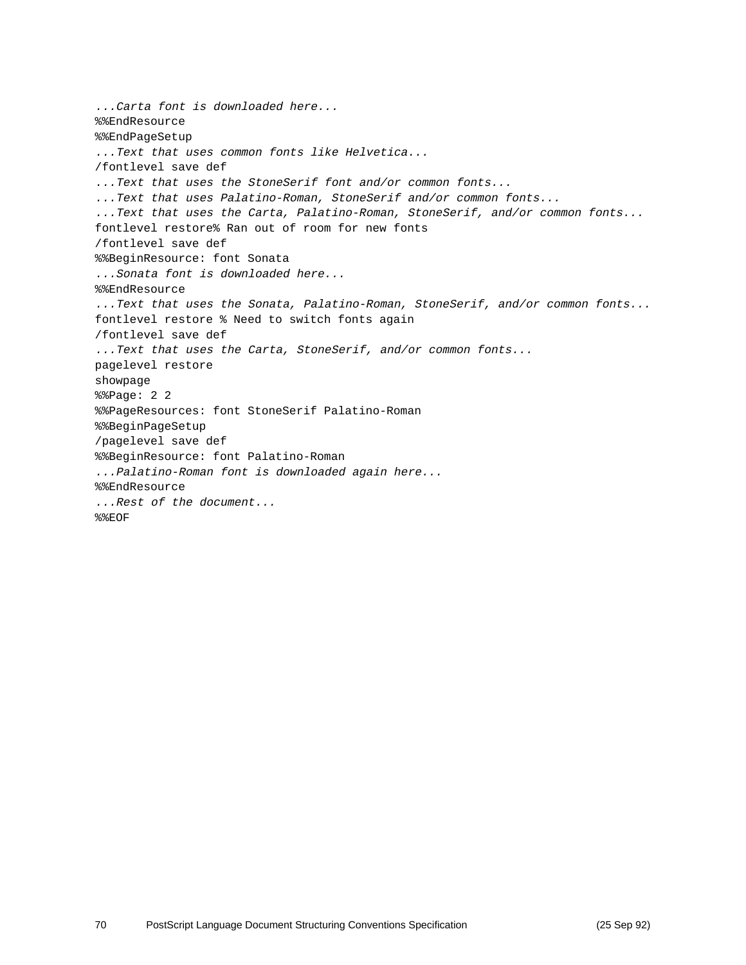...Carta font is downloaded here... %%EndResource %%EndPageSetup ...Text that uses common fonts like Helvetica... /fontlevel save def ...Text that uses the StoneSerif font and/or common fonts... ...Text that uses Palatino-Roman, StoneSerif and/or common fonts... ...Text that uses the Carta, Palatino-Roman, StoneSerif, and/or common fonts... fontlevel restore% Ran out of room for new fonts /fontlevel save def %%BeginResource: font Sonata ...Sonata font is downloaded here... %%EndResource ...Text that uses the Sonata, Palatino-Roman, StoneSerif, and/or common fonts... fontlevel restore % Need to switch fonts again /fontlevel save def ...Text that uses the Carta, StoneSerif, and/or common fonts... pagelevel restore showpage %%Page: 2 2 %%PageResources: font StoneSerif Palatino-Roman %%BeginPageSetup /pagelevel save def %%BeginResource: font Palatino-Roman ...Palatino-Roman font is downloaded again here... %%EndResource ...Rest of the document... %%EOF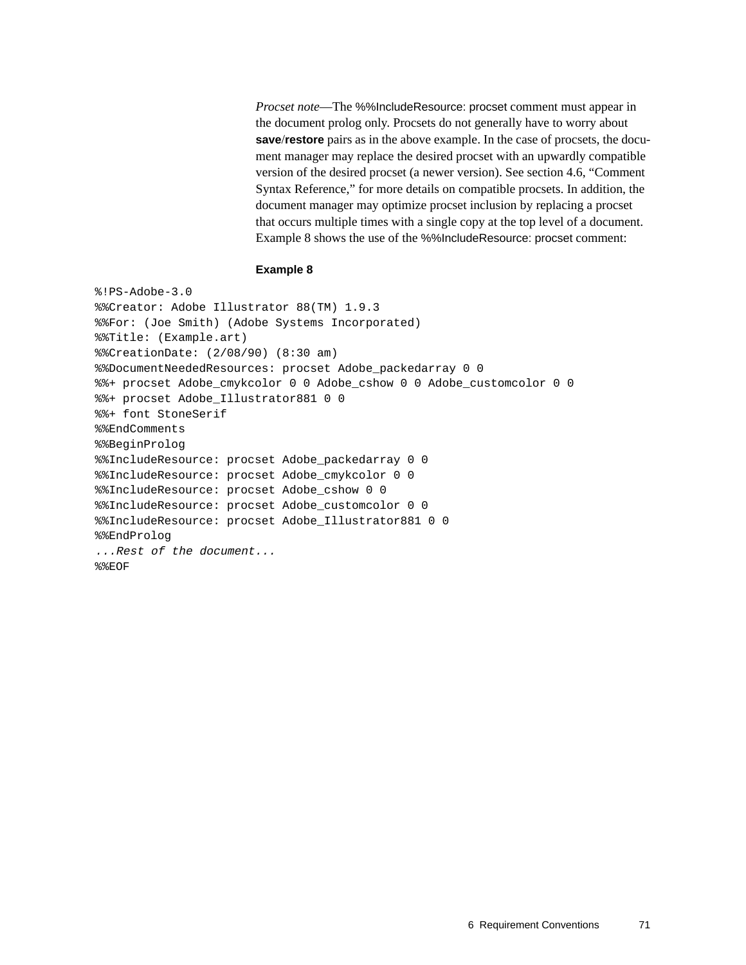*Procset note*—The %%IncludeResource: procset comment must appear in the document prolog only. Procsets do not generally have to worry about **save**/**restore** pairs as in the above example. In the case of procsets, the document manager may replace the desired procset with an upwardly compatible version of the desired procset (a newer version). See section 4.6, "Comment Syntax Reference," for more details on compatible procsets. In addition, the document manager may optimize procset inclusion by replacing a procset that occurs multiple times with a single copy at the top level of a document. Example 8 shows the use of the %%IncludeResource: procset comment:

#### **Example 8**

```
%!PS-Adobe-3.0
%%Creator: Adobe Illustrator 88(TM) 1.9.3
%%For: (Joe Smith) (Adobe Systems Incorporated)
%%Title: (Example.art)
%%CreationDate: (2/08/90) (8:30 am)
%%DocumentNeededResources: procset Adobe_packedarray 0 0
%%+ procset Adobe_cmykcolor 0 0 Adobe_cshow 0 0 Adobe_customcolor 0 0
%%+ procset Adobe_Illustrator881 0 0
%%+ font StoneSerif
%%EndComments
%%BeginProlog
%%IncludeResource: procset Adobe_packedarray 0 0
%%IncludeResource: procset Adobe_cmykcolor 0 0
%%IncludeResource: procset Adobe_cshow 0 0
%%IncludeResource: procset Adobe_customcolor 0 0
%%IncludeResource: procset Adobe_Illustrator881 0 0
%%EndProlog
...Rest of the document...
%%EOF
```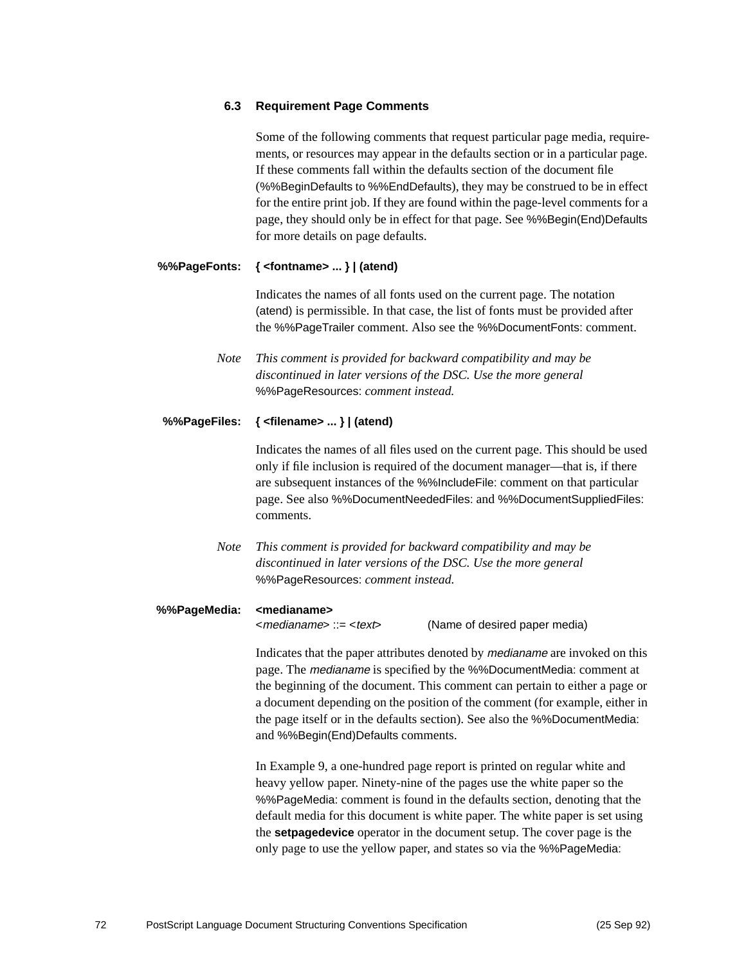### **6.3 Requirement Page Comments**

Some of the following comments that request particular page media, requirements, or resources may appear in the defaults section or in a particular page. If these comments fall within the defaults section of the document file (%%BeginDefaults to %%EndDefaults), they may be construed to be in effect for the entire print job. If they are found within the page-level comments for a page, they should only be in effect for that page. See %%Begin(End)Defaults for more details on page defaults.

### **%%PageFonts: { <fontname> ... } | (atend)**

Indicates the names of all fonts used on the current page. The notation (atend) is permissible. In that case, the list of fonts must be provided after the %%PageTrailer comment. Also see the %%DocumentFonts: comment.

*Note This comment is provided for backward compatibility and may be discontinued in later versions of the DSC. Use the more general* %%PageResources: *comment instead.*

#### **%%PageFiles: { <filename> ... } | (atend)**

Indicates the names of all files used on the current page. This should be used only if file inclusion is required of the document manager—that is, if there are subsequent instances of the %%IncludeFile: comment on that particular page. See also %%DocumentNeededFiles: and %%DocumentSuppliedFiles: comments.

*Note This comment is provided for backward compatibility and may be discontinued in later versions of the DSC. Use the more general* %%PageResources: *comment instead.*

#### **%%PageMedia: <medianame>**

 $\leq$  medianame  $\leq$  :=  $\lt$  text (Name of desired paper media)

Indicates that the paper attributes denoted by medianame are invoked on this page. The medianame is specified by the %%DocumentMedia: comment at the beginning of the document. This comment can pertain to either a page or a document depending on the position of the comment (for example, either in the page itself or in the defaults section). See also the %%DocumentMedia: and %%Begin(End)Defaults comments.

In Example 9, a one-hundred page report is printed on regular white and heavy yellow paper. Ninety-nine of the pages use the white paper so the %%PageMedia: comment is found in the defaults section, denoting that the default media for this document is white paper. The white paper is set using the **setpagedevice** operator in the document setup. The cover page is the only page to use the yellow paper, and states so via the %%PageMedia: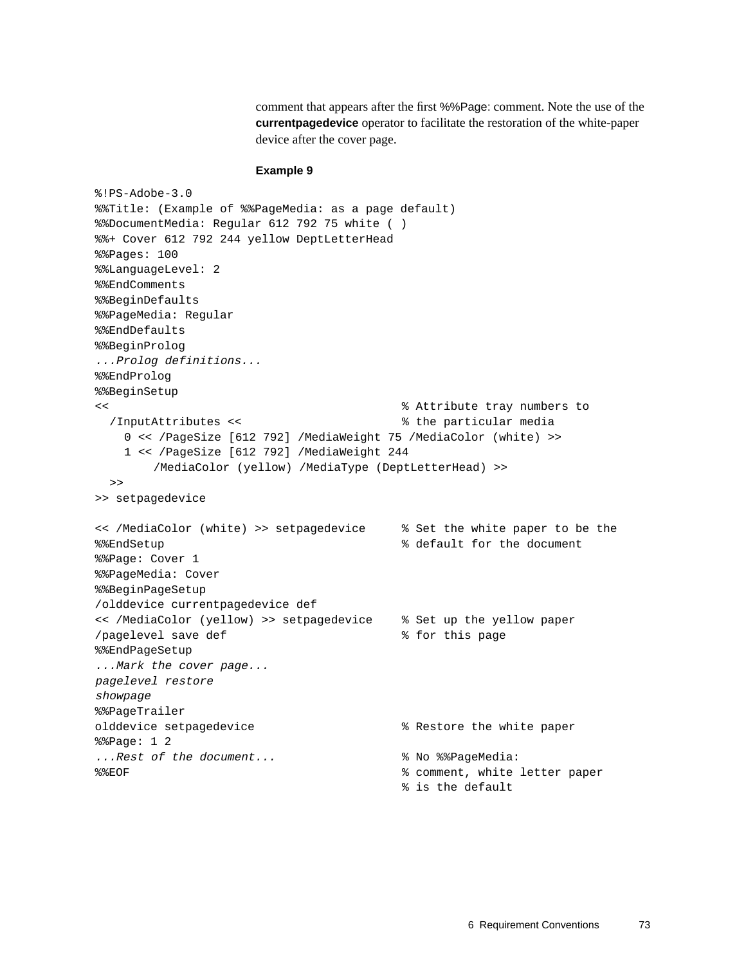comment that appears after the first %%Page: comment. Note the use of the **currentpagedevice** operator to facilitate the restoration of the white-paper device after the cover page.

#### **Example 9**

```
%!PS-Adobe-3.0
%%Title: (Example of %%PageMedia: as a page default)
%%DocumentMedia: Regular 612 792 75 white ( )
%%+ Cover 612 792 244 yellow DeptLetterHead
%%Pages: 100
%%LanguageLevel: 2
%%EndComments
%%BeginDefaults
%%PageMedia: Regular
%%EndDefaults
%%BeginProlog
...Prolog definitions...
%%EndProlog
%%BeginSetup
<< \texttt{\$Attribute} tray numbers to
 /InputAttributes << % the particular media
   0 << /PageSize [612 792] /MediaWeight 75 /MediaColor (white) >>
   1 << /PageSize [612 792] /MediaWeight 244
       /MediaColor (yellow) /MediaType (DeptLetterHead) >>
 \rightarrow>> setpagedevice
<< /MediaColor (white) >> setpagedevice % Set the white paper to be the
%%EndSetup % default for the document
%%Page: Cover 1
%%PageMedia: Cover
%%BeginPageSetup
/olddevice currentpagedevice def
<< /MediaColor (yellow) >> setpagedevice % Set up the yellow paper
/pagelevel save def \frac{1}{3} for this page
%%EndPageSetup
...Mark the cover page...
pagelevel restore
showpage
%%PageTrailer
olddevice setpagedevice % Restore the white paper
%%Page: 1 2
...Rest of the document... <br> 8 No %%PageMedia:
%%EOF % comment, white letter paper
                                       % is the default
```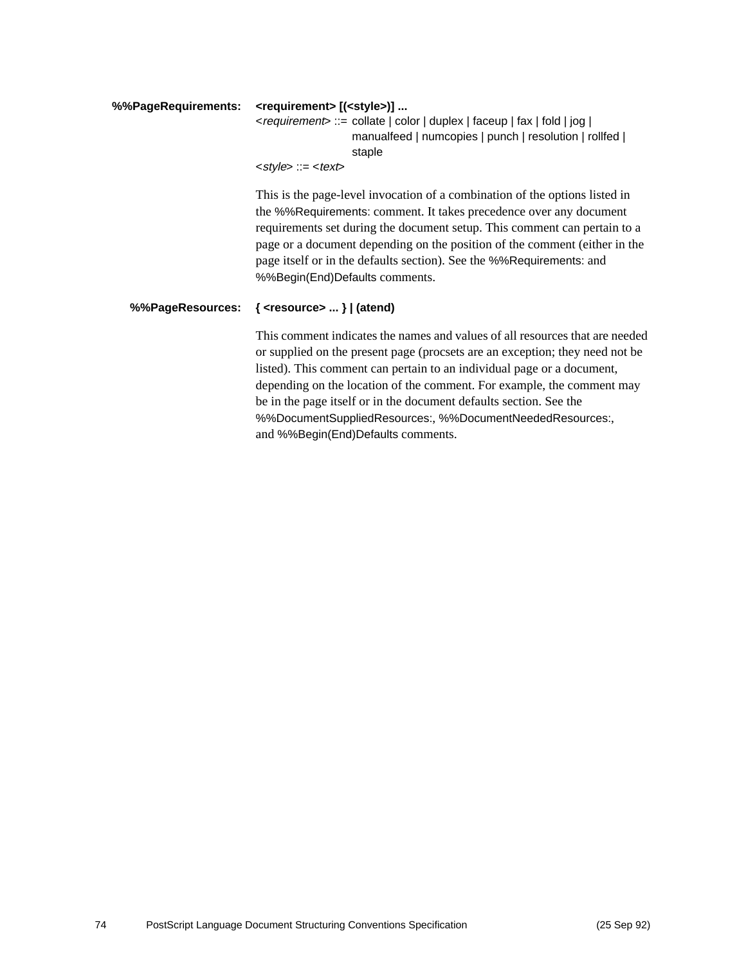| %%PageRequirements: <requirement> [(<style></style></requirement> |
|-------------------------------------------------------------------|
|-------------------------------------------------------------------|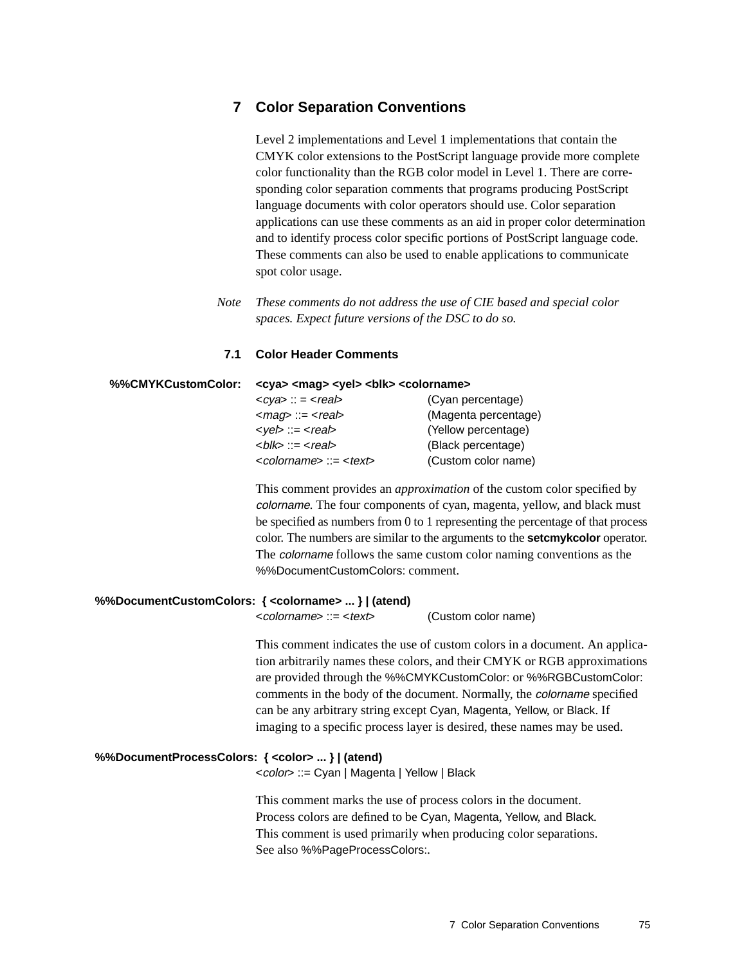## **7 Color Separation Conventions**

Level 2 implementations and Level 1 implementations that contain the CMYK color extensions to the PostScript language provide more complete color functionality than the RGB color model in Level 1. There are corresponding color separation comments that programs producing PostScript language documents with color operators should use. Color separation applications can use these comments as an aid in proper color determination and to identify process color specific portions of PostScript language code. These comments can also be used to enable applications to communicate spot color usage.

*Note These comments do not address the use of CIE based and special color spaces. Expect future versions of the DSC to do so.*

#### **7.1 Color Header Comments**

# %%CMYKCustomColor: <cya> <mag> <yel> <br/> <br/>blk> <colorname>  $\epsilon$ cya $\sim$  ::  $\epsilon$   $\epsilon$  reals (Cyan percentage)

| $<$ UVd> $\ldots$ = $<$ IUdi>                  | (Uyan percentage)    |
|------------------------------------------------|----------------------|
| $\langle mag \rangle ::= \langle real \rangle$ | (Magenta percentage) |
| <vel> ::= <real></real></vel>                  | (Yellow percentage)  |
| <blk> ::= <real></real></blk>                  | (Black percentage)   |
| <colorname> ::= <text></text></colorname>      | (Custom color name)  |

This comment provides an *approximation* of the custom color specified by colorname. The four components of cyan, magenta, yellow, and black must be specified as numbers from 0 to 1 representing the percentage of that process color. The numbers are similar to the arguments to the **setcmykcolor** operator. The colorname follows the same custom color naming conventions as the %%DocumentCustomColors: comment.

#### **%%DocumentCustomColors: { <colorname> ... } | (atend)**

<colorname> ::= <text> (Custom color name)

This comment indicates the use of custom colors in a document. An application arbitrarily names these colors, and their CMYK or RGB approximations are provided through the %%CMYKCustomColor: or %%RGBCustomColor: comments in the body of the document. Normally, the colorname specified can be any arbitrary string except Cyan*,* Magenta*,* Yellow*,* or Black. If imaging to a specific process layer is desired, these names may be used.

### **%%DocumentProcessColors: { <color> ... } | (atend)**

<color> ::= Cyan | Magenta | Yellow | Black

This comment marks the use of process colors in the document. Process colors are defined to be Cyan, Magenta, Yellow, and Black*.* This comment is used primarily when producing color separations. See also %%PageProcessColors:.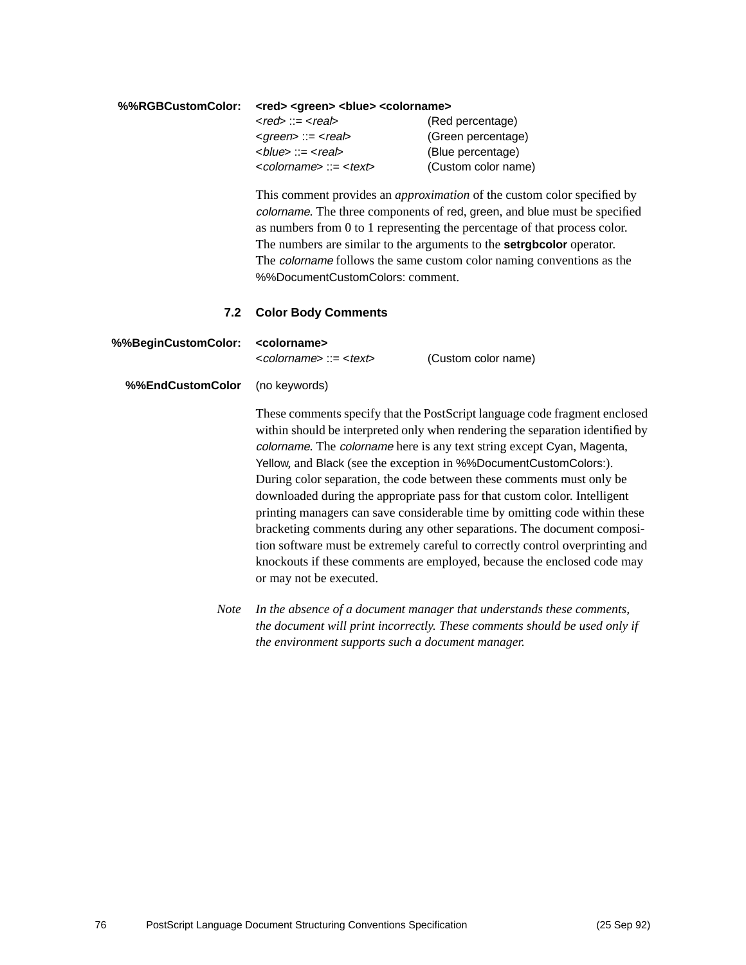#### %%RGBCustomColor: <red> <qreen> <br/> <br/>hlue> <colorname>

| <red> ::= <real></real></red>             | (Red percentage)    |
|-------------------------------------------|---------------------|
| <green> ::= <real></real></green>         | (Green percentage)  |
| <blue> ::= <real></real></blue>           | (Blue percentage)   |
| <colorname> ::= <text></text></colorname> | (Custom color name) |
|                                           |                     |

This comment provides an *approximation* of the custom color specified by colorname. The three components of red, green, and blue must be specified as numbers from 0 to 1 representing the percentage of that process color. The numbers are similar to the arguments to the **setrgbcolor** operator. The colorname follows the same custom color naming conventions as the %%DocumentCustomColors: comment.

#### **7.2 Color Body Comments**

| %%BeginCustomColor: <colorname></colorname> | <colorname> ::= <text></text></colorname> | (Custom color name)                                                                                                                                                                                                                                                                                                                                                                                                                                                                                                                                                                                                                                                                                                                                                                   |
|---------------------------------------------|-------------------------------------------|---------------------------------------------------------------------------------------------------------------------------------------------------------------------------------------------------------------------------------------------------------------------------------------------------------------------------------------------------------------------------------------------------------------------------------------------------------------------------------------------------------------------------------------------------------------------------------------------------------------------------------------------------------------------------------------------------------------------------------------------------------------------------------------|
| %%EndCustomColor                            | (no keywords)                             |                                                                                                                                                                                                                                                                                                                                                                                                                                                                                                                                                                                                                                                                                                                                                                                       |
|                                             | or may not be executed.                   | These comments specify that the PostScript language code fragment enclosed<br>within should be interpreted only when rendering the separation identified by<br>colorname. The colorname here is any text string except Cyan, Magenta,<br>Yellow, and Black (see the exception in %%DocumentCustomColors:).<br>During color separation, the code between these comments must only be<br>downloaded during the appropriate pass for that custom color. Intelligent<br>printing managers can save considerable time by omitting code within these<br>bracketing comments during any other separations. The document composi-<br>tion software must be extremely careful to correctly control overprinting and<br>knockouts if these comments are employed, because the enclosed code may |
| <i>Note</i>                                 |                                           | In the absence of a document manager that understands these comments,<br>the document will print incorrectly. These comments should be used only if                                                                                                                                                                                                                                                                                                                                                                                                                                                                                                                                                                                                                                   |

*the environment supports such a document manager.*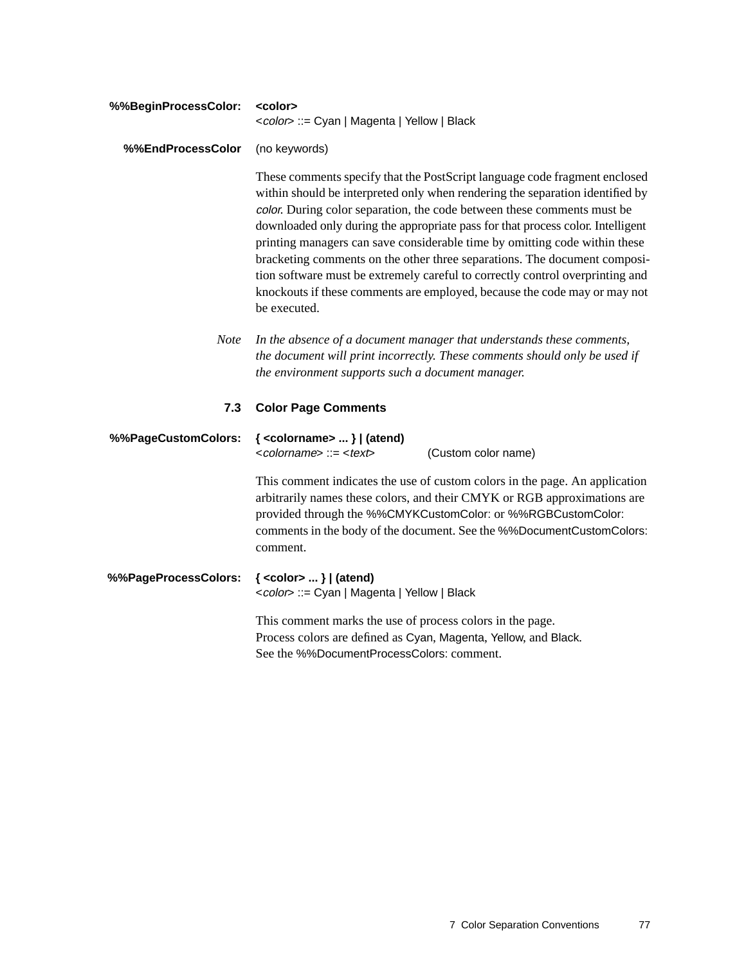| %%BeginProcessColor: | <color><br/><color> ::= Cyan   Magenta   Yellow   Black</color></color>                                                                                                                                                                                                                                                                                                                                                                                                                                                                                                                                                                                            |
|----------------------|--------------------------------------------------------------------------------------------------------------------------------------------------------------------------------------------------------------------------------------------------------------------------------------------------------------------------------------------------------------------------------------------------------------------------------------------------------------------------------------------------------------------------------------------------------------------------------------------------------------------------------------------------------------------|
| %%EndProcessColor    | (no keywords)                                                                                                                                                                                                                                                                                                                                                                                                                                                                                                                                                                                                                                                      |
|                      | These comments specify that the PostScript language code fragment enclosed<br>within should be interpreted only when rendering the separation identified by<br>color. During color separation, the code between these comments must be<br>downloaded only during the appropriate pass for that process color. Intelligent<br>printing managers can save considerable time by omitting code within these<br>bracketing comments on the other three separations. The document composi-<br>tion software must be extremely careful to correctly control overprinting and<br>knockouts if these comments are employed, because the code may or may not<br>be executed. |
| <b>Note</b>          | In the absence of a document manager that understands these comments,<br>the document will print incorrectly. These comments should only be used if<br>the environment supports such a document manager.                                                                                                                                                                                                                                                                                                                                                                                                                                                           |
| 7.3                  | <b>Color Page Comments</b>                                                                                                                                                                                                                                                                                                                                                                                                                                                                                                                                                                                                                                         |
| %%PageCustomColors:  | { <colorname>  }   (atend)<br/><colorname> ::= <text><br/>(Custom color name)</text></colorname></colorname>                                                                                                                                                                                                                                                                                                                                                                                                                                                                                                                                                       |
|                      | This comment indicates the use of custom colors in the page. An application<br>arbitrarily names these colors, and their CMYK or RGB approximations are<br>provided through the %%CMYKCustomColor: or %%RGBCustomColor:<br>comments in the body of the document. See the %%DocumentCustomColors:<br>comment.                                                                                                                                                                                                                                                                                                                                                       |
| %%PageProcessColors: | $\{ <$ color>  } $ $ (atend)<br><color> ::= Cyan   Magenta   Yellow   Black</color>                                                                                                                                                                                                                                                                                                                                                                                                                                                                                                                                                                                |
|                      | This comment marks the use of process colors in the page.<br>Process colors are defined as Cyan, Magenta, Yellow, and Black.                                                                                                                                                                                                                                                                                                                                                                                                                                                                                                                                       |

See the %%DocumentProcessColors: comment.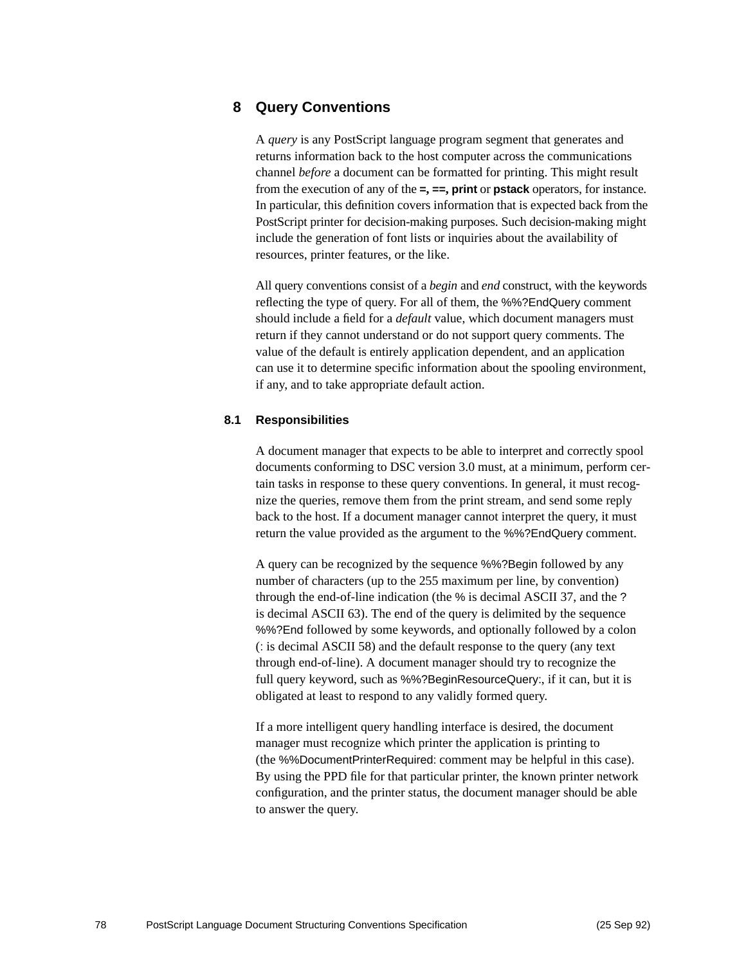# **8 Query Conventions**

A *query* is any PostScript language program segment that generates and returns information back to the host computer across the communications channel *before* a document can be formatted for printing. This might result from the execution of any of the **=, ==, print** or **pstack** operators, for instance. In particular, this definition covers information that is expected back from the PostScript printer for decision-making purposes. Such decision-making might include the generation of font lists or inquiries about the availability of resources, printer features, or the like.

All query conventions consist of a *begin* and *end* construct, with the keywords reflecting the type of query. For all of them, the %%?EndQuery comment should include a field for a *default* value, which document managers must return if they cannot understand or do not support query comments. The value of the default is entirely application dependent, and an application can use it to determine specific information about the spooling environment, if any, and to take appropriate default action.

### **8.1 Responsibilities**

A document manager that expects to be able to interpret and correctly spool documents conforming to DSC version 3.0 must, at a minimum, perform certain tasks in response to these query conventions. In general, it must recognize the queries, remove them from the print stream, and send some reply back to the host. If a document manager cannot interpret the query, it must return the value provided as the argument to the %%?EndQuery comment.

A query can be recognized by the sequence %%?Begin followed by any number of characters (up to the 255 maximum per line, by convention) through the end-of-line indication (the % is decimal ASCII 37, and the ? is decimal ASCII 63). The end of the query is delimited by the sequence %%?End followed by some keywords, and optionally followed by a colon (: is decimal ASCII 58) and the default response to the query (any text through end-of-line). A document manager should try to recognize the full query keyword, such as %%?BeginResourceQuery:, if it can, but it is obligated at least to respond to any validly formed query.

If a more intelligent query handling interface is desired, the document manager must recognize which printer the application is printing to (the %%DocumentPrinterRequired: comment may be helpful in this case). By using the PPD file for that particular printer, the known printer network configuration, and the printer status, the document manager should be able to answer the query.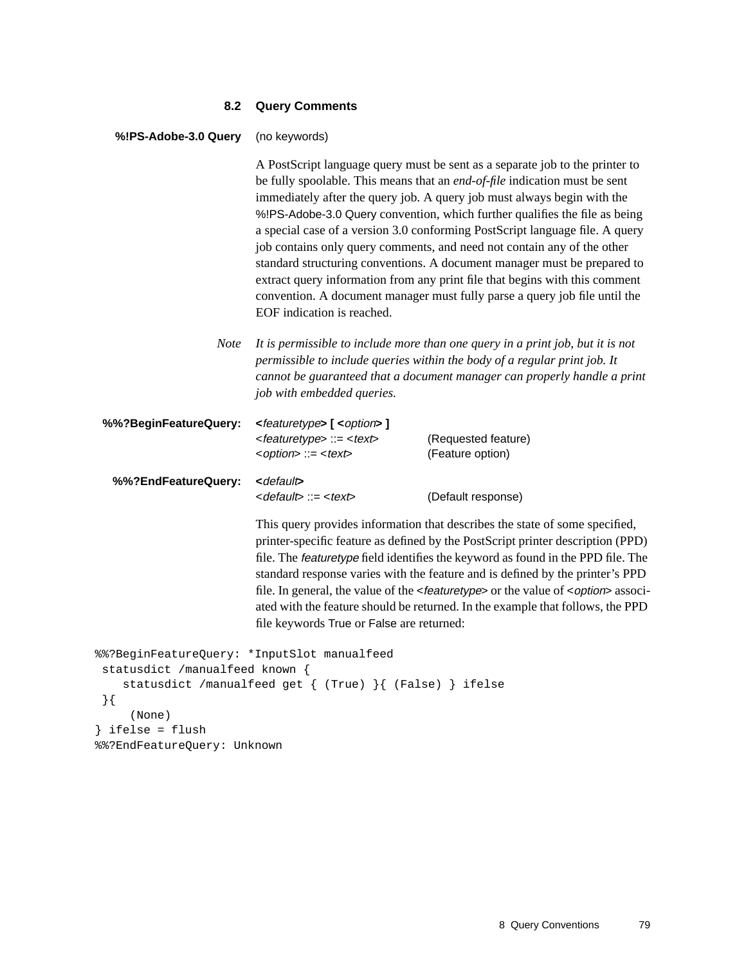#### **8.2 Query Comments**

#### **%!PS-Adobe-3.0 Query** (no keywords)

A PostScript language query must be sent as a separate job to the printer to be fully spoolable. This means that an *end-of-file* indication must be sent immediately after the query job. A query job must always begin with the %!PS-Adobe-3.0 Query convention, which further qualifies the file as being a special case of a version 3.0 conforming PostScript language file. A query job contains only query comments, and need not contain any of the other standard structuring conventions. A document manager must be prepared to extract query information from any print file that begins with this comment convention. A document manager must fully parse a query job file until the EOF indication is reached.

*Note It is permissible to include more than one query in a print job, but it is not permissible to include queries within the body of a regular print job. It cannot be guaranteed that a document manager can properly handle a print job with embedded queries.*

| %%?BeginFeatureQuery: | $\leq$ featuretype $\leq$ $\leq$ $\leq$ $\leq$ $\leq$ $\leq$ $\leq$ $\leq$ $\leq$ $\leq$ $\leq$ $\leq$ $\leq$ $\leq$ $\leq$ $\leq$ $\leq$ $\leq$ $\leq$ $\leq$ $\leq$ $\leq$ $\leq$ $\leq$ $\leq$ $\leq$ $\leq$ $\leq$ $\leq$ $\leq$ $\leq$ $\leq$ $\leq$ $\leq$<br>$<$ featuretype> ::= $<$ text><br>$\leq$ option $\geq$ ::= $\leq$ text $\geq$ | (Requested feature)<br>(Feature option) |
|-----------------------|---------------------------------------------------------------------------------------------------------------------------------------------------------------------------------------------------------------------------------------------------------------------------------------------------------------------------------------------------|-----------------------------------------|
| %%?EndFeatureQuery:   | <default><br/><math>\le</math>default<math>\ge</math>::= <math>\le</math>text<math>\ge</math></default>                                                                                                                                                                                                                                           | (Default response)                      |

This query provides information that describes the state of some specified, printer-specific feature as defined by the PostScript printer description (PPD) file. The featuretype field identifies the keyword as found in the PPD file. The standard response varies with the feature and is defined by the printer's PPD file. In general, the value of the *<featuretype>* or the value of *<option>* associated with the feature should be returned. In the example that follows, the PPD file keywords True or False are returned:

```
%%?BeginFeatureQuery: *InputSlot manualfeed
 statusdict /manualfeed known {
     statusdict /manualfeed get { (True) }{ (False) } ifelse
 }{
      (None)
} ifelse = flush
%%?EndFeatureQuery: Unknown
```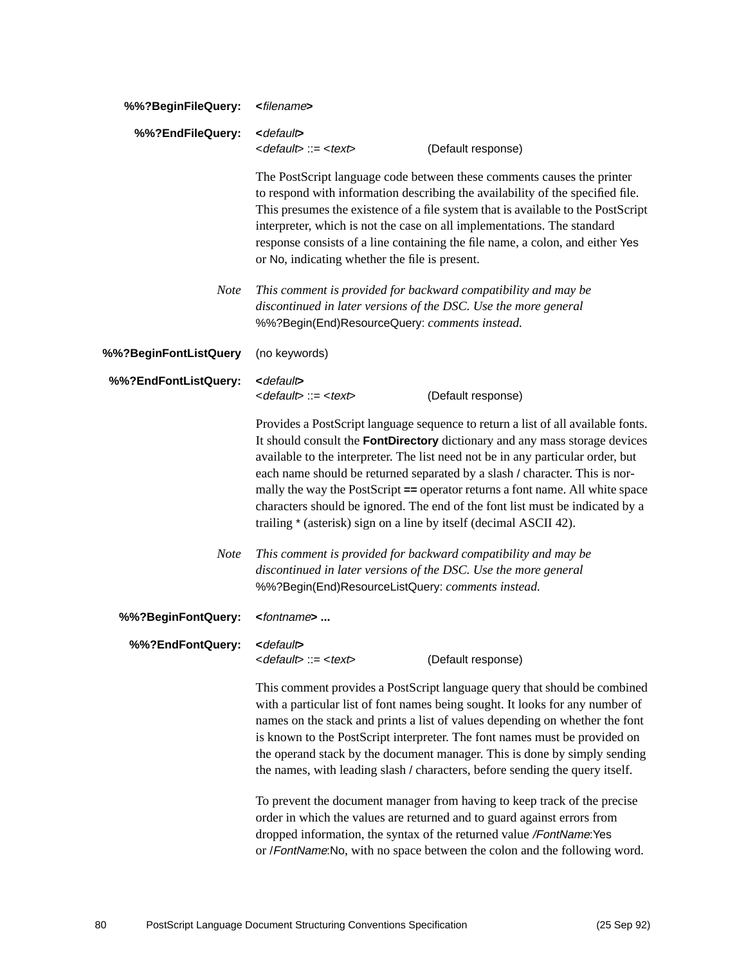| %%?BeginFileQuery:          | <filename></filename>                                                                                                                                                                                                                                                                                                                                                                                                                                                                                                                                                     |                                                                                                                                                                                                                                                                                                        |
|-----------------------------|---------------------------------------------------------------------------------------------------------------------------------------------------------------------------------------------------------------------------------------------------------------------------------------------------------------------------------------------------------------------------------------------------------------------------------------------------------------------------------------------------------------------------------------------------------------------------|--------------------------------------------------------------------------------------------------------------------------------------------------------------------------------------------------------------------------------------------------------------------------------------------------------|
| %%?EndFileQuery:            | <default><br/><math>&lt;</math> default<math>&gt; ::= &lt;</math>text<math>&gt;</math></default>                                                                                                                                                                                                                                                                                                                                                                                                                                                                          | (Default response)                                                                                                                                                                                                                                                                                     |
|                             | The PostScript language code between these comments causes the printer<br>to respond with information describing the availability of the specified file.<br>This presumes the existence of a file system that is available to the PostScript<br>interpreter, which is not the case on all implementations. The standard<br>response consists of a line containing the file name, a colon, and either Yes<br>or No, indicating whether the file is present.                                                                                                                |                                                                                                                                                                                                                                                                                                        |
| <b>Note</b>                 | %%?Begin(End)ResourceQuery: comments instead.                                                                                                                                                                                                                                                                                                                                                                                                                                                                                                                             | This comment is provided for backward compatibility and may be<br>discontinued in later versions of the DSC. Use the more general                                                                                                                                                                      |
| %%?BeginFontListQuery       | (no keywords)                                                                                                                                                                                                                                                                                                                                                                                                                                                                                                                                                             |                                                                                                                                                                                                                                                                                                        |
| %%?EndFontListQuery:        | <default><br/><default> ::= <text></text></default></default>                                                                                                                                                                                                                                                                                                                                                                                                                                                                                                             | (Default response)                                                                                                                                                                                                                                                                                     |
|                             | Provides a PostScript language sequence to return a list of all available fonts.<br>It should consult the FontDirectory dictionary and any mass storage devices<br>available to the interpreter. The list need not be in any particular order, but<br>each name should be returned separated by a slash / character. This is nor-<br>mally the way the PostScript == operator returns a font name. All white space<br>characters should be ignored. The end of the font list must be indicated by a<br>trailing * (asterisk) sign on a line by itself (decimal ASCII 42). |                                                                                                                                                                                                                                                                                                        |
| Note                        | This comment is provided for backward compatibility and may be<br>discontinued in later versions of the DSC. Use the more general<br>%%?Begin(End)ResourceListQuery: comments instead.                                                                                                                                                                                                                                                                                                                                                                                    |                                                                                                                                                                                                                                                                                                        |
| %%?BeginFontQuery:          | <fontname> </fontname>                                                                                                                                                                                                                                                                                                                                                                                                                                                                                                                                                    |                                                                                                                                                                                                                                                                                                        |
| %%?EndFontQuery: < default> | $\le$ default $\ge$ ::= $\le$ text $\ge$                                                                                                                                                                                                                                                                                                                                                                                                                                                                                                                                  | (Default response)                                                                                                                                                                                                                                                                                     |
|                             | This comment provides a PostScript language query that should be combined<br>with a particular list of font names being sought. It looks for any number of<br>names on the stack and prints a list of values depending on whether the font<br>is known to the PostScript interpreter. The font names must be provided on<br>the operand stack by the document manager. This is done by simply sending<br>the names, with leading slash / characters, before sending the query itself.                                                                                     |                                                                                                                                                                                                                                                                                                        |
|                             |                                                                                                                                                                                                                                                                                                                                                                                                                                                                                                                                                                           | To prevent the document manager from having to keep track of the precise<br>order in which the values are returned and to guard against errors from<br>dropped information, the syntax of the returned value /FontName:Yes<br>or /FontName:No, with no space between the colon and the following word. |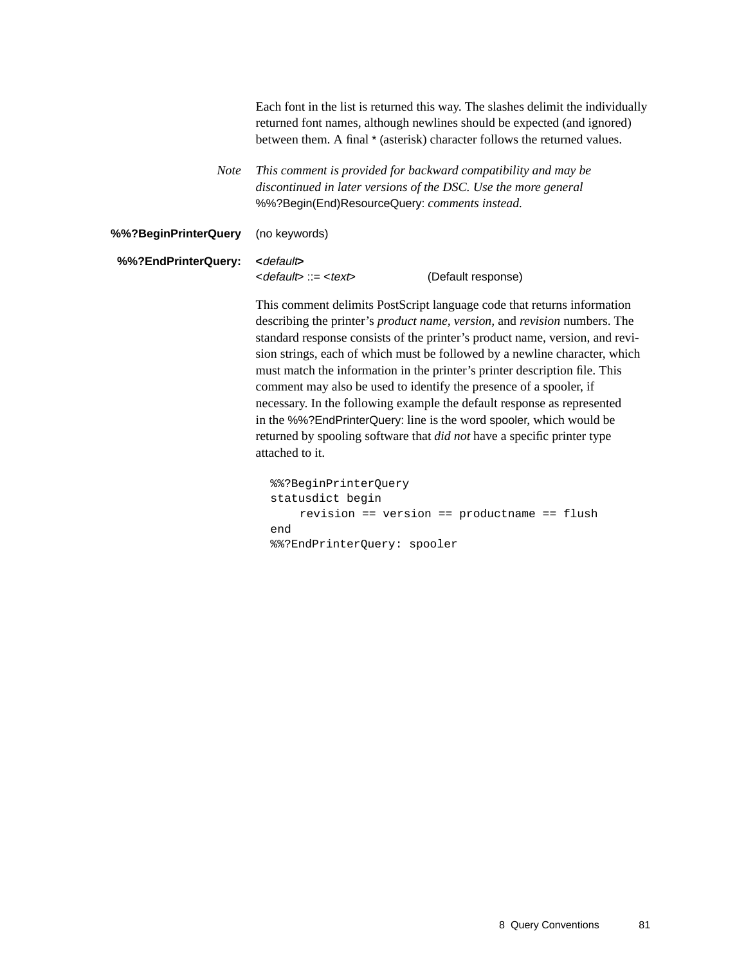|                      | Each font in the list is returned this way. The slashes delimit the individually<br>returned font names, although newlines should be expected (and ignored)<br>between them. A final * (asterisk) character follows the returned values.                                                                                                                                                                                                                                                                                                                                                                                                                                                                                                             |
|----------------------|------------------------------------------------------------------------------------------------------------------------------------------------------------------------------------------------------------------------------------------------------------------------------------------------------------------------------------------------------------------------------------------------------------------------------------------------------------------------------------------------------------------------------------------------------------------------------------------------------------------------------------------------------------------------------------------------------------------------------------------------------|
| <b>Note</b>          | This comment is provided for backward compatibility and may be<br>discontinued in later versions of the DSC. Use the more general<br>%%?Begin(End)ResourceQuery: comments instead.                                                                                                                                                                                                                                                                                                                                                                                                                                                                                                                                                                   |
| %%?BeginPrinterQuery | (no keywords)                                                                                                                                                                                                                                                                                                                                                                                                                                                                                                                                                                                                                                                                                                                                        |
| %%?EndPrinterQuery:  | <default><br/><math>\le</math>default<math>\ge</math>::= <math>\le</math>text<math>\ge</math><br/>(Default response)</default>                                                                                                                                                                                                                                                                                                                                                                                                                                                                                                                                                                                                                       |
|                      | This comment delimits PostScript language code that returns information<br>describing the printer's <i>product name</i> , <i>version</i> , and <i>revision</i> numbers. The<br>standard response consists of the printer's product name, version, and revi-<br>sion strings, each of which must be followed by a newline character, which<br>must match the information in the printer's printer description file. This<br>comment may also be used to identify the presence of a spooler, if<br>necessary. In the following example the default response as represented<br>in the %%?EndPrinterQuery: line is the word spooler, which would be<br>returned by spooling software that <i>did not</i> have a specific printer type<br>attached to it. |
|                      | %%?BeginPrinterQuery<br>statusdict begin<br>revision == version == productname == flush<br>end                                                                                                                                                                                                                                                                                                                                                                                                                                                                                                                                                                                                                                                       |

%%?EndPrinterQuery: spooler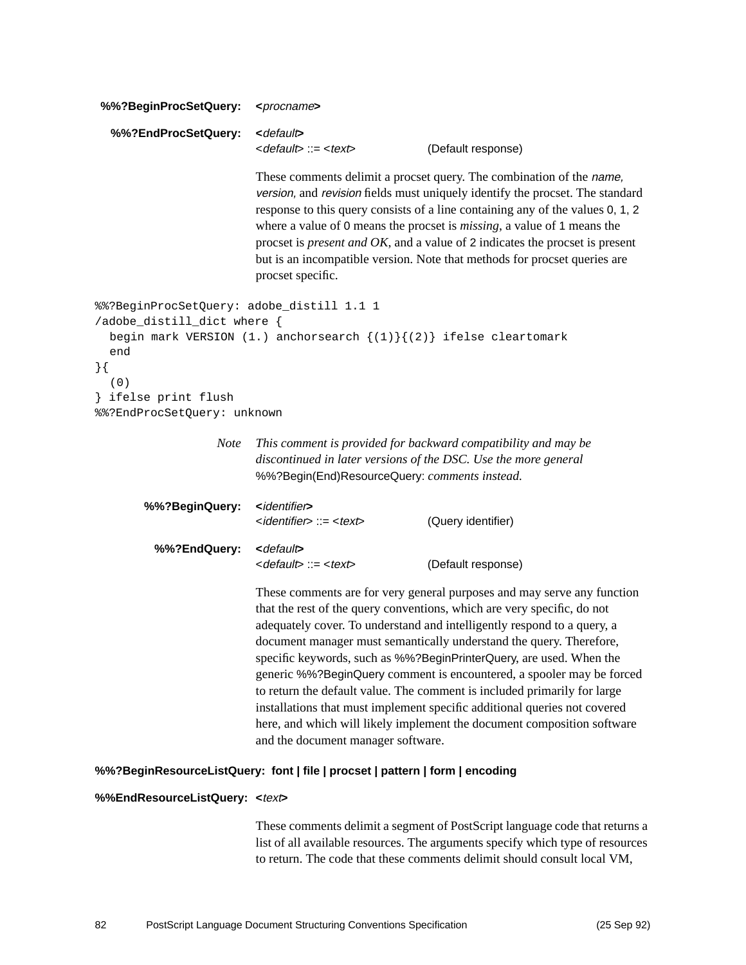| %%?BeginProcSetQuery:                                                                                                                               | <procname></procname>                                                                                   |                                                                                                                                                                                                                                                                                                                                                                                                                                                                                                         |
|-----------------------------------------------------------------------------------------------------------------------------------------------------|---------------------------------------------------------------------------------------------------------|---------------------------------------------------------------------------------------------------------------------------------------------------------------------------------------------------------------------------------------------------------------------------------------------------------------------------------------------------------------------------------------------------------------------------------------------------------------------------------------------------------|
| %%?EndProcSetQuery:                                                                                                                                 | <default><br/><math>\le</math>default<math>\ge</math>::= <math>\le</math>text<math>\ge</math></default> | (Default response)                                                                                                                                                                                                                                                                                                                                                                                                                                                                                      |
|                                                                                                                                                     | procset specific.                                                                                       | These comments delimit a procset query. The combination of the <i>name</i> ,<br>version, and revision fields must uniquely identify the procset. The standard<br>response to this query consists of a line containing any of the values 0, 1, 2<br>where a value of 0 means the procset is <i>missing</i> , a value of 1 means the<br>procset is <i>present and OK</i> , and a value of 2 indicates the procset is present<br>but is an incompatible version. Note that methods for procset queries are |
| %%?BeginProcSetQuery: adobe_distill 1.1 1<br>/adobe_distill_dict where {<br>end<br>$\{$<br>(0)<br>ifelse print flush<br>%%?EndProcSetQuery: unknown |                                                                                                         | begin mark VERSION (1.) anchorsearch $\{(1)\}\{(2)\}$ ifelse cleartomark                                                                                                                                                                                                                                                                                                                                                                                                                                |
|                                                                                                                                                     | $\mathbf{r}$ and $\mathbf{r}$                                                                           |                                                                                                                                                                                                                                                                                                                                                                                                                                                                                                         |

| <i>Note</i>    | This comment is provided for backward compatibility and may be<br>discontinued in later versions of the DSC. Use the more general<br>%%?Begin(End)ResourceQuery: comments instead. |                    |
|----------------|------------------------------------------------------------------------------------------------------------------------------------------------------------------------------------|--------------------|
| %%?BeqinQuery: | < <i>identifier</i> ><br>$\le$ <i>identifier</i> $\ge$ ::= $\le$ <i>text</i> $\ge$                                                                                                 | (Query identifier) |
| %%?EndQuery:   | <default><br/><math>\le</math>default<math>\ge</math>::= <math>\le</math>text<math>\ge</math></default>                                                                            | (Default response) |

These comments are for very general purposes and may serve any function that the rest of the query conventions, which are very specific, do not adequately cover. To understand and intelligently respond to a query, a document manager must semantically understand the query. Therefore, specific keywords, such as %%?BeginPrinterQuery, are used. When the generic %%?BeginQuery comment is encountered, a spooler may be forced to return the default value. The comment is included primarily for large installations that must implement specific additional queries not covered here, and which will likely implement the document composition software and the document manager software.

#### **%%?BeginResourceListQuery: font | file | procset | pattern | form | encoding**

#### **%%EndResourceListQuery: <**text**>**

These comments delimit a segment of PostScript language code that returns a list of all available resources. The arguments specify which type of resources to return. The code that these comments delimit should consult local VM,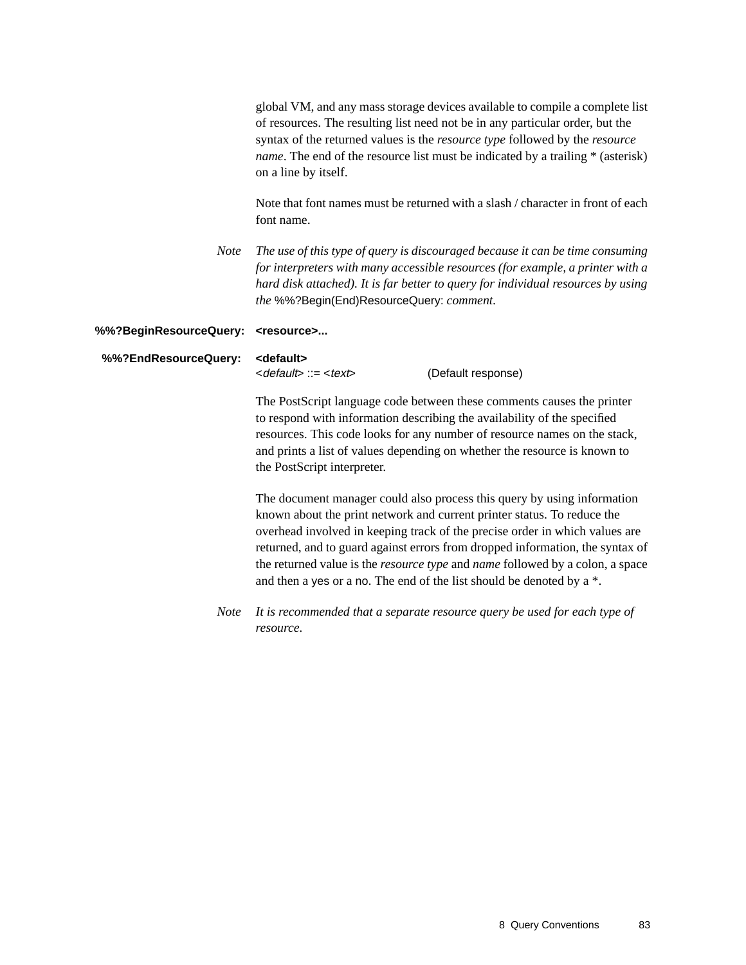global VM, and any mass storage devices available to compile a complete list of resources. The resulting list need not be in any particular order, but the syntax of the returned values is the *resource type* followed by the *resource name*. The end of the resource list must be indicated by a trailing \* (asterisk) on a line by itself.

Note that font names must be returned with a slash / character in front of each font name.

*Note The use of this type of query is discouraged because it can be time consuming for interpreters with many accessible resources (for example, a printer with a hard disk attached). It is far better to query for individual resources by using the* %%?Begin(End)ResourceQuery: *comment.*

#### **%%?BeginResourceQuery: <resource>...**

#### **%%?EndResourceQuery: <default>**

<default> ::= <text> (Default response)

The PostScript language code between these comments causes the printer to respond with information describing the availability of the specified resources. This code looks for any number of resource names on the stack, and prints a list of values depending on whether the resource is known to the PostScript interpreter.

The document manager could also process this query by using information known about the print network and current printer status. To reduce the overhead involved in keeping track of the precise order in which values are returned, and to guard against errors from dropped information, the syntax of the returned value is the *resource type* and *name* followed by a colon, a space and then a yes or a no. The end of the list should be denoted by a \*.

*Note It is recommended that a separate resource query be used for each type of resource.*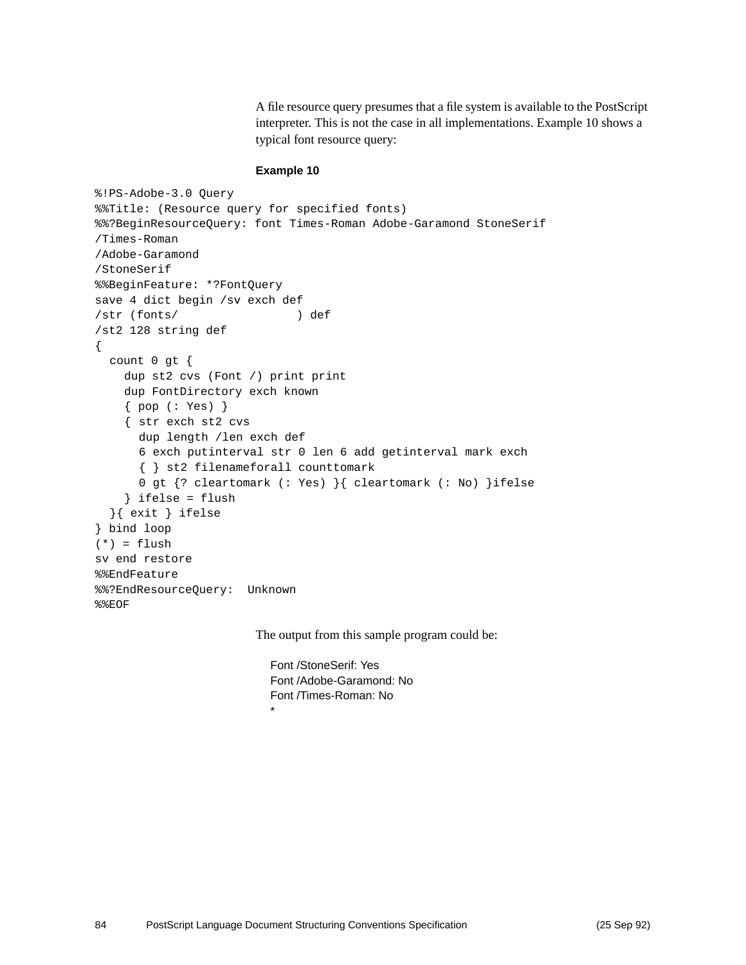A file resource query presumes that a file system is available to the PostScript interpreter. This is not the case in all implementations. Example 10 shows a typical font resource query:

#### **Example 10**

```
%!PS-Adobe-3.0 Query
%%Title: (Resource query for specified fonts)
%%?BeginResourceQuery: font Times-Roman Adobe-Garamond StoneSerif
/Times-Roman
/Adobe-Garamond
/StoneSerif
%%BeginFeature: *?FontQuery
save 4 dict begin /sv exch def
/str (fonts/ ) def
/st2 128 string def
{
  count 0 gt {
    dup st2 cvs (Font /) print print
    dup FontDirectory exch known
    { pop (: Yes) }
    { str exch st2 cvs
      dup length /len exch def
      6 exch putinterval str 0 len 6 add getinterval mark exch
      { } st2 filenameforall counttomark
      0 gt {? cleartomark (: Yes) }{ cleartomark (: No) }ifelse
    } ifelse = flush
  }{ exit } ifelse
} bind loop
(*) = \text{flux}sv end restore
%%EndFeature
%%?EndResourceQuery: Unknown
%%EOF
```
The output from this sample program could be:

Font /StoneSerif: Yes Font /Adobe-Garamond: No Font /Times-Roman: No \*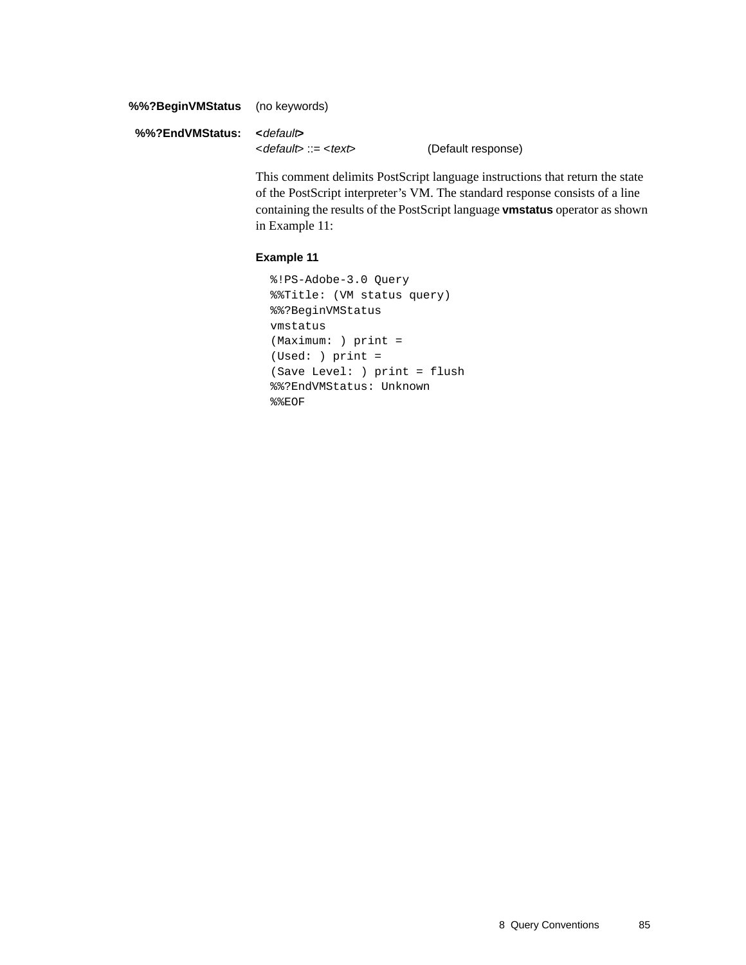#### **%%?BeginVMStatus** (no keywords)

### **%%?EndVMStatus: <**default**>**

<default> ::= <text> (Default response)

This comment delimits PostScript language instructions that return the state of the PostScript interpreter's VM. The standard response consists of a line containing the results of the PostScript language **vmstatus** operator as shown in Example 11:

#### **Example 11**

```
%!PS-Adobe-3.0 Query
%%Title: (VM status query)
%%?BeginVMStatus
vmstatus
(Maximum: ) print =
(Used: ) print =
(Save Level: ) print = flush
%%?EndVMStatus: Unknown
%%EOF
```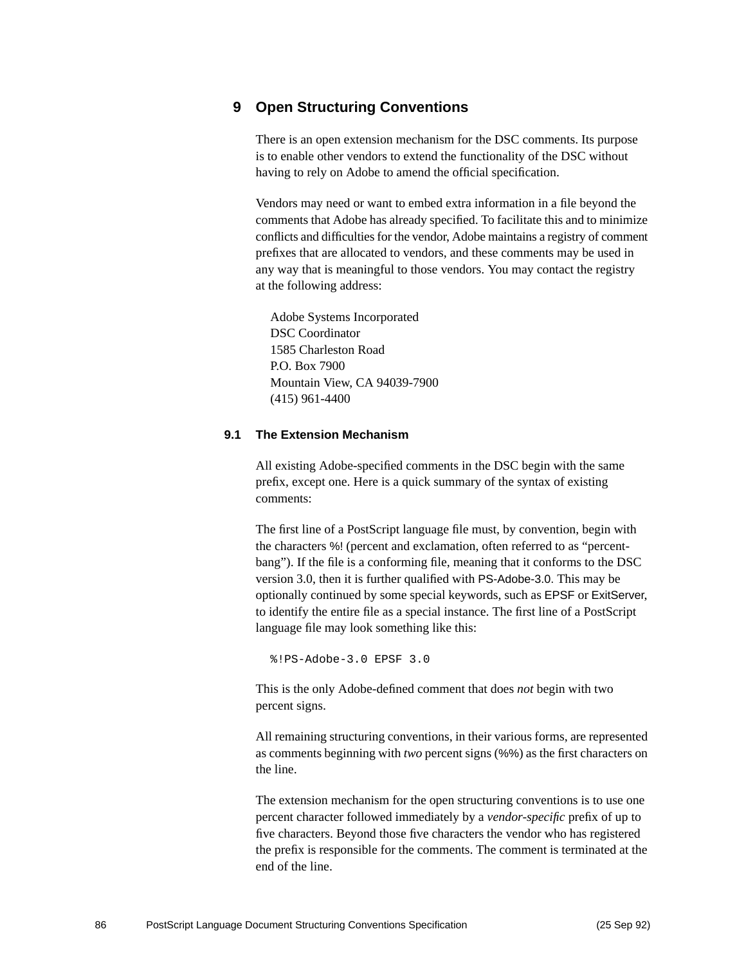# **9 Open Structuring Conventions**

There is an open extension mechanism for the DSC comments. Its purpose is to enable other vendors to extend the functionality of the DSC without having to rely on Adobe to amend the official specification.

Vendors may need or want to embed extra information in a file beyond the comments that Adobe has already specified. To facilitate this and to minimize conflicts and difficulties for the vendor, Adobe maintains a registry of comment prefixes that are allocated to vendors, and these comments may be used in any way that is meaningful to those vendors. You may contact the registry at the following address:

Adobe Systems Incorporated DSC Coordinator 1585 Charleston Road P.O. Box 7900 Mountain View, CA 94039-7900 (415) 961-4400

#### **9.1 The Extension Mechanism**

All existing Adobe-specified comments in the DSC begin with the same prefix, except one. Here is a quick summary of the syntax of existing comments:

The first line of a PostScript language file must, by convention, begin with the characters %! (percent and exclamation, often referred to as "percentbang"). If the file is a conforming file, meaning that it conforms to the DSC version 3.0, then it is further qualified with PS-Adobe-3.0. This may be optionally continued by some special keywords, such as EPSF or ExitServer, to identify the entire file as a special instance. The first line of a PostScript language file may look something like this:

```
%!PS-Adobe-3.0 EPSF 3.0
```
This is the only Adobe-defined comment that does *not* begin with two percent signs.

All remaining structuring conventions, in their various forms, are represented as comments beginning with *two* percent signs (%%) as the first characters on the line.

The extension mechanism for the open structuring conventions is to use one percent character followed immediately by a *vendor-specific* prefix of up to five characters. Beyond those five characters the vendor who has registered the prefix is responsible for the comments. The comment is terminated at the end of the line.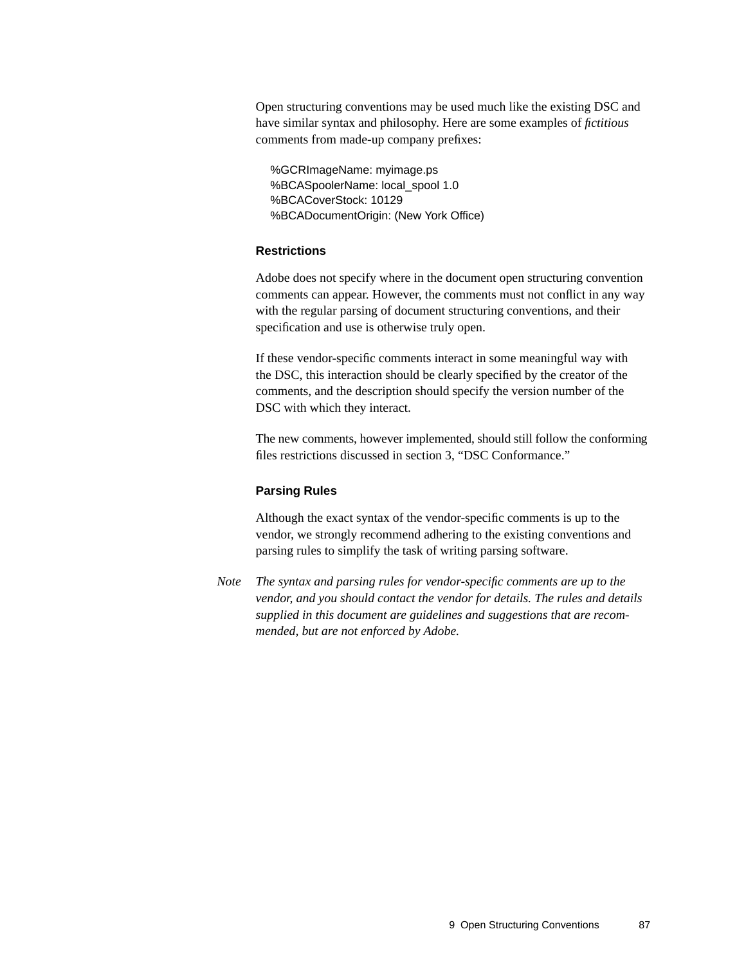Open structuring conventions may be used much like the existing DSC and have similar syntax and philosophy. Here are some examples of *fictitious* comments from made-up company prefixes:

%GCRImageName: myimage.ps %BCASpoolerName: local\_spool 1.0 %BCACoverStock: 10129 %BCADocumentOrigin: (New York Office)

#### **Restrictions**

Adobe does not specify where in the document open structuring convention comments can appear. However, the comments must not conflict in any way with the regular parsing of document structuring conventions, and their specification and use is otherwise truly open.

If these vendor-specific comments interact in some meaningful way with the DSC, this interaction should be clearly specified by the creator of the comments, and the description should specify the version number of the DSC with which they interact.

The new comments, however implemented, should still follow the conforming files restrictions discussed in section 3, "DSC Conformance."

#### **Parsing Rules**

Although the exact syntax of the vendor-specific comments is up to the vendor, we strongly recommend adhering to the existing conventions and parsing rules to simplify the task of writing parsing software.

*Note The syntax and parsing rules for vendor-specific comments are up to the vendor, and you should contact the vendor for details. The rules and details supplied in this document are guidelines and suggestions that are recommended, but are not enforced by Adobe.*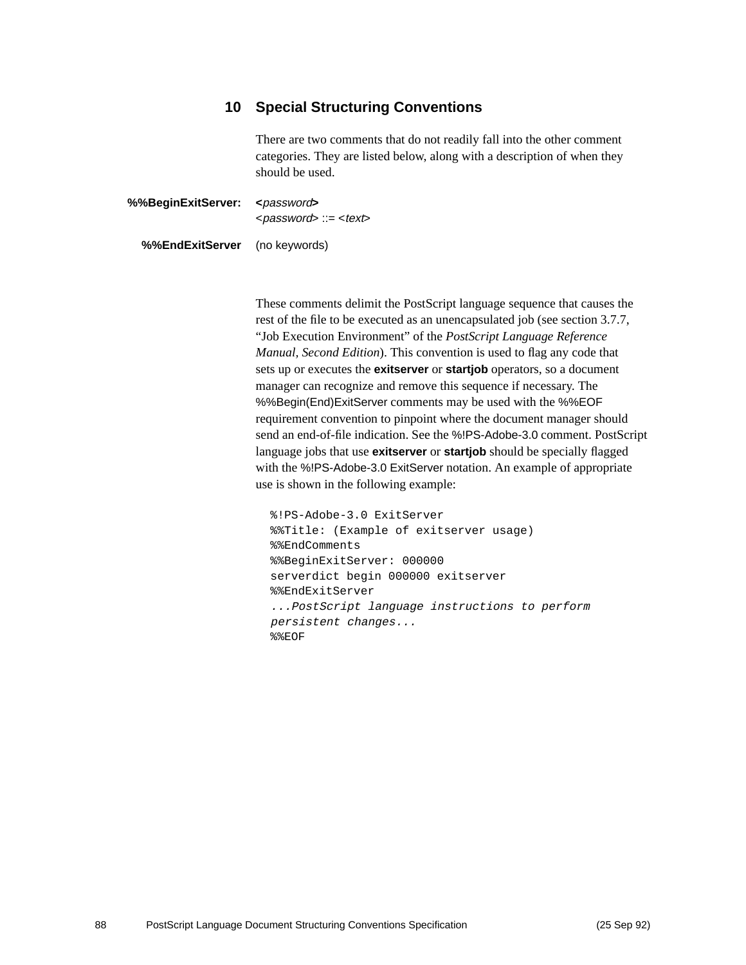## **10 Special Structuring Conventions**

There are two comments that do not readily fall into the other comment categories. They are listed below, along with a description of when they should be used.

| %%BeginExitServer: <password></password> | $<$ password> ::= <text></text> |
|------------------------------------------|---------------------------------|
| %%EndExitServer (no keywords)            |                                 |

These comments delimit the PostScript language sequence that causes the rest of the file to be executed as an unencapsulated job (see section 3.7.7, "Job Execution Environment" of the *PostScript Language Reference Manual, Second Edition*). This convention is used to flag any code that sets up or executes the **exitserver** or **startjob** operators, so a document manager can recognize and remove this sequence if necessary. The %%Begin(End)ExitServer comments may be used with the %%EOF requirement convention to pinpoint where the document manager should send an end-of-file indication. See the %!PS-Adobe-3.0 comment. PostScript language jobs that use **exitserver** or **startjob** should be specially flagged with the %!PS-Adobe-3.0 ExitServer notation. An example of appropriate use is shown in the following example:

```
%!PS-Adobe-3.0 ExitServer
%%Title: (Example of exitserver usage)
%%EndComments
%%BeginExitServer: 000000
serverdict begin 000000 exitserver
%%EndExitServer
...PostScript language instructions to perform
persistent changes...
%%EOF
```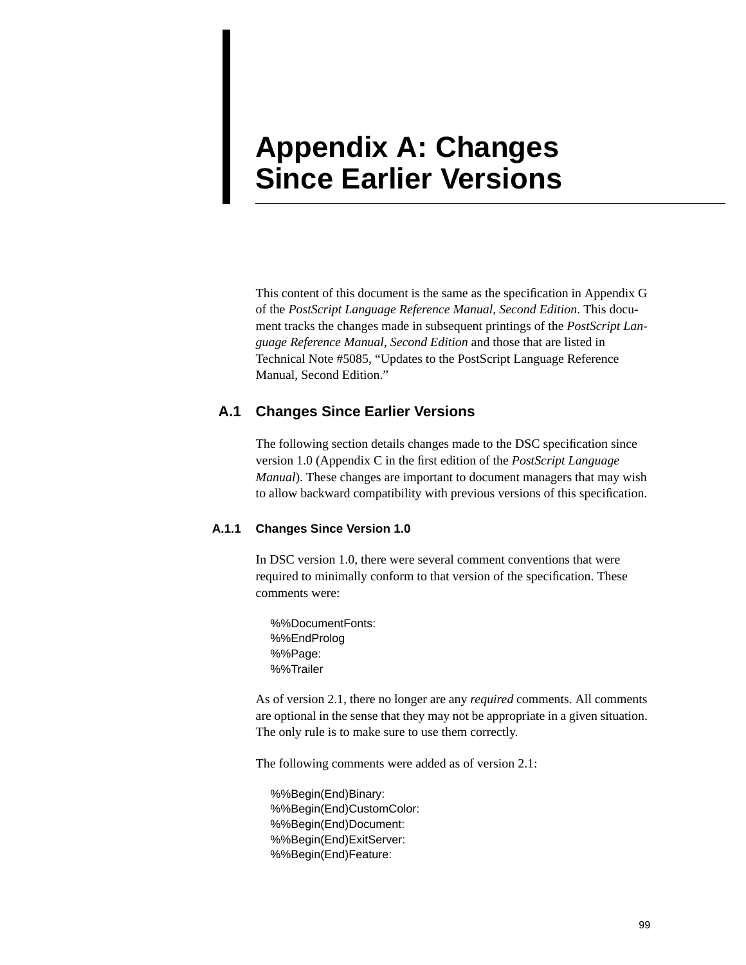# **Appendix A: Changes Since Earlier Versions**

This content of this document is the same as the specification in Appendix G of the *PostScript Language Reference Manual, Second Edition*. This document tracks the changes made in subsequent printings of the *PostScript Language Reference Manual, Second Edition* and those that are listed in Technical Note #5085, "Updates to the PostScript Language Reference Manual, Second Edition."

### **A.1 Changes Since Earlier Versions**

The following section details changes made to the DSC specification since version 1.0 (Appendix C in the first edition of the *PostScript Language Manual*). These changes are important to document managers that may wish to allow backward compatibility with previous versions of this specification.

### **A.1.1 Changes Since Version 1.0**

In DSC version 1.0, there were several comment conventions that were required to minimally conform to that version of the specification. These comments were:

%%DocumentFonts: %%EndProlog %%Page: %%Trailer

As of version 2.1, there no longer are any *required* comments. All comments are optional in the sense that they may not be appropriate in a given situation. The only rule is to make sure to use them correctly.

The following comments were added as of version 2.1:

%%Begin(End)Binary: %%Begin(End)CustomColor: %%Begin(End)Document: %%Begin(End)ExitServer: %%Begin(End)Feature: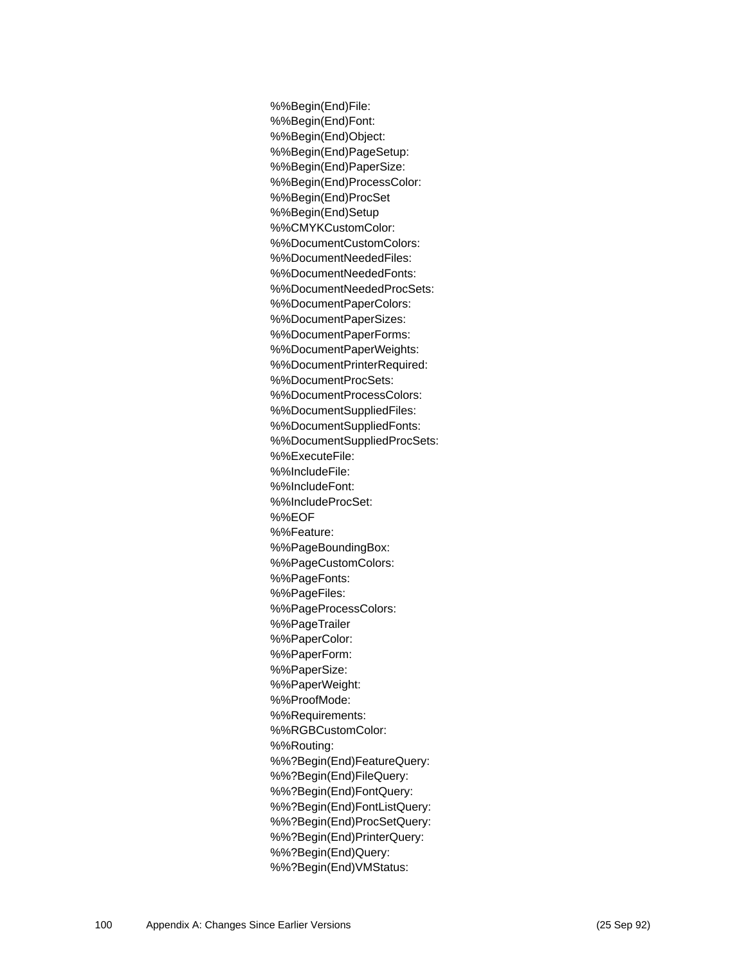%%Begin(End)File: %%Begin(End)Font: %%Begin(End)Object: %%Begin(End)PageSetup: %%Begin(End)PaperSize: %%Begin(End)ProcessColor: %%Begin(End)ProcSet %%Begin(End)Setup %%CMYKCustomColor: %%DocumentCustomColors: %%DocumentNeededFiles: %%DocumentNeededFonts: %%DocumentNeededProcSets: %%DocumentPaperColors: %%DocumentPaperSizes: %%DocumentPaperForms: %%DocumentPaperWeights: %%DocumentPrinterRequired: %%DocumentProcSets: %%DocumentProcessColors: %%DocumentSuppliedFiles: %%DocumentSuppliedFonts: %%DocumentSuppliedProcSets: %%ExecuteFile: %%IncludeFile: %%IncludeFont: %%IncludeProcSet: %%EOF %%Feature: %%PageBoundingBox: %%PageCustomColors: %%PageFonts: %%PageFiles: %%PageProcessColors: %%PageTrailer %%PaperColor: %%PaperForm: %%PaperSize: %%PaperWeight: %%ProofMode: %%Requirements: %%RGBCustomColor: %%Routing: %%?Begin(End)FeatureQuery: %%?Begin(End)FileQuery: %%?Begin(End)FontQuery: %%?Begin(End)FontListQuery: %%?Begin(End)ProcSetQuery: %%?Begin(End)PrinterQuery: %%?Begin(End)Query: %%?Begin(End)VMStatus: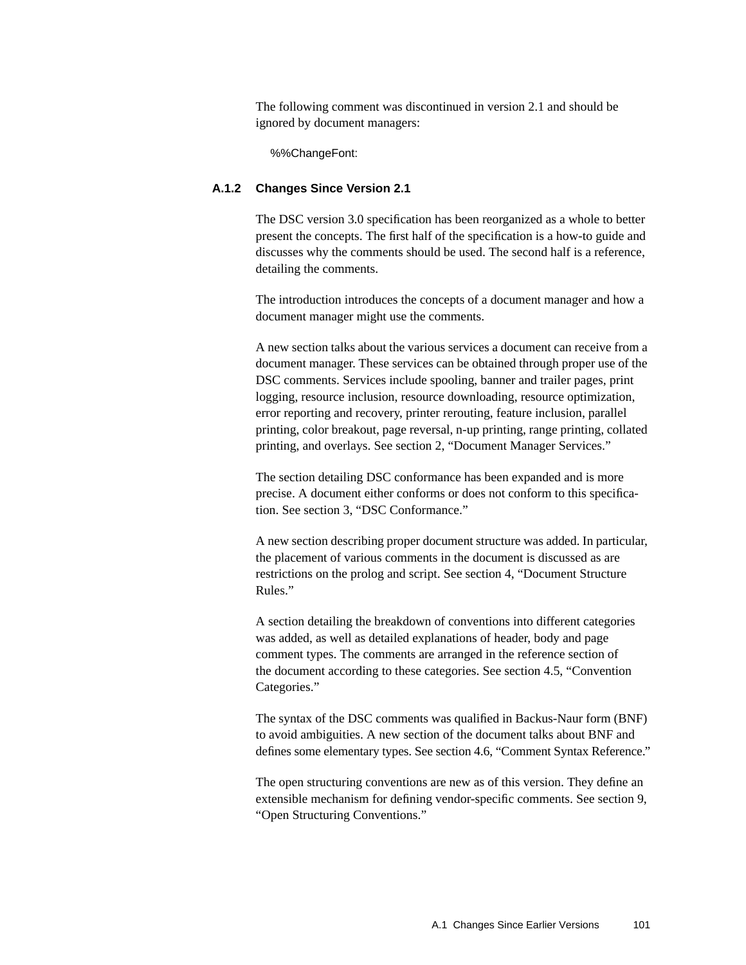The following comment was discontinued in version 2.1 and should be ignored by document managers:

%%ChangeFont:

#### **A.1.2 Changes Since Version 2.1**

The DSC version 3.0 specification has been reorganized as a whole to better present the concepts. The first half of the specification is a how-to guide and discusses why the comments should be used. The second half is a reference, detailing the comments.

The introduction introduces the concepts of a document manager and how a document manager might use the comments.

A new section talks about the various services a document can receive from a document manager. These services can be obtained through proper use of the DSC comments. Services include spooling, banner and trailer pages, print logging, resource inclusion, resource downloading, resource optimization, error reporting and recovery, printer rerouting, feature inclusion, parallel printing, color breakout, page reversal, n-up printing, range printing, collated printing, and overlays. See section 2, "Document Manager Services."

The section detailing DSC conformance has been expanded and is more precise. A document either conforms or does not conform to this specification. See section 3, "DSC Conformance."

A new section describing proper document structure was added. In particular, the placement of various comments in the document is discussed as are restrictions on the prolog and script. See section 4, "Document Structure Rules."

A section detailing the breakdown of conventions into different categories was added, as well as detailed explanations of header, body and page comment types. The comments are arranged in the reference section of the document according to these categories. See section 4.5, "Convention Categories."

The syntax of the DSC comments was qualified in Backus-Naur form (BNF) to avoid ambiguities. A new section of the document talks about BNF and defines some elementary types. See section 4.6, "Comment Syntax Reference."

The open structuring conventions are new as of this version. They define an extensible mechanism for defining vendor-specific comments. See section 9, "Open Structuring Conventions."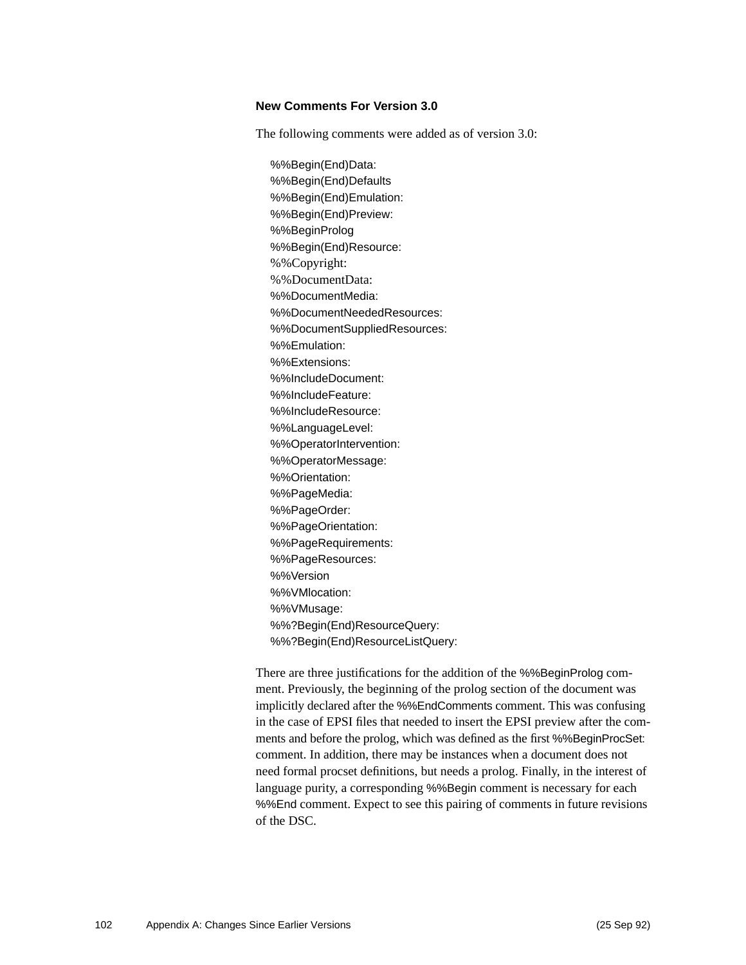#### **New Comments For Version 3.0**

The following comments were added as of version 3.0:

%%Begin(End)Data: %%Begin(End)Defaults %%Begin(End)Emulation: %%Begin(End)Preview: %%BeginProlog %%Begin(End)Resource: %%Copyright: %%DocumentData: %%DocumentMedia: %%DocumentNeededResources: %%DocumentSuppliedResources: %%Emulation: %%Extensions: %%IncludeDocument: %%IncludeFeature: %%IncludeResource: %%LanguageLevel: %%OperatorIntervention: %%OperatorMessage: %%Orientation: %%PageMedia: %%PageOrder: %%PageOrientation: %%PageRequirements: %%PageResources: %%Version %%VMlocation: %%VMusage: %%?Begin(End)ResourceQuery: %%?Begin(End)ResourceListQuery:

There are three justifications for the addition of the %%BeginProlog comment. Previously, the beginning of the prolog section of the document was implicitly declared after the %%EndComments comment. This was confusing in the case of EPSI files that needed to insert the EPSI preview after the comments and before the prolog, which was defined as the first %%BeginProcSet: comment. In addition, there may be instances when a document does not need formal procset definitions, but needs a prolog. Finally, in the interest of language purity, a corresponding %%Begin comment is necessary for each %%End comment. Expect to see this pairing of comments in future revisions of the DSC.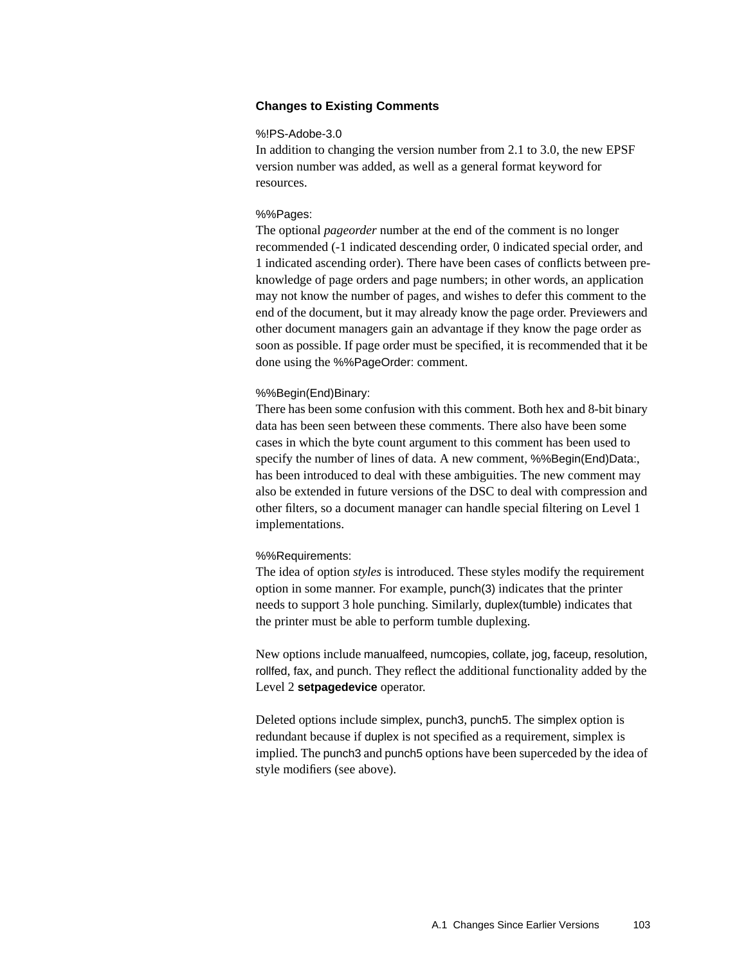#### **Changes to Existing Comments**

#### %!PS-Adobe-3.0

In addition to changing the version number from 2.1 to 3.0, the new EPSF version number was added, as well as a general format keyword for resources.

#### %%Pages:

The optional *pageorder* number at the end of the comment is no longer recommended (-1 indicated descending order, 0 indicated special order, and 1 indicated ascending order). There have been cases of conflicts between preknowledge of page orders and page numbers; in other words, an application may not know the number of pages, and wishes to defer this comment to the end of the document, but it may already know the page order. Previewers and other document managers gain an advantage if they know the page order as soon as possible. If page order must be specified, it is recommended that it be done using the %%PageOrder: comment.

#### %%Begin(End)Binary:

There has been some confusion with this comment. Both hex and 8-bit binary data has been seen between these comments. There also have been some cases in which the byte count argument to this comment has been used to specify the number of lines of data. A new comment, %%Begin(End)Data:, has been introduced to deal with these ambiguities. The new comment may also be extended in future versions of the DSC to deal with compression and other filters, so a document manager can handle special filtering on Level 1 implementations.

#### %%Requirements:

The idea of option *styles* is introduced. These styles modify the requirement option in some manner. For example, punch(3) indicates that the printer needs to support 3 hole punching. Similarly, duplex(tumble) indicates that the printer must be able to perform tumble duplexing.

New options include manualfeed, numcopies, collate, jog, faceup, resolution, rollfed, fax, and punch. They reflect the additional functionality added by the Level 2 **setpagedevice** operator.

Deleted options include simplex, punch3, punch5. The simplex option is redundant because if duplex is not specified as a requirement, simplex is implied. The punch3 and punch5 options have been superceded by the idea of style modifiers (see above).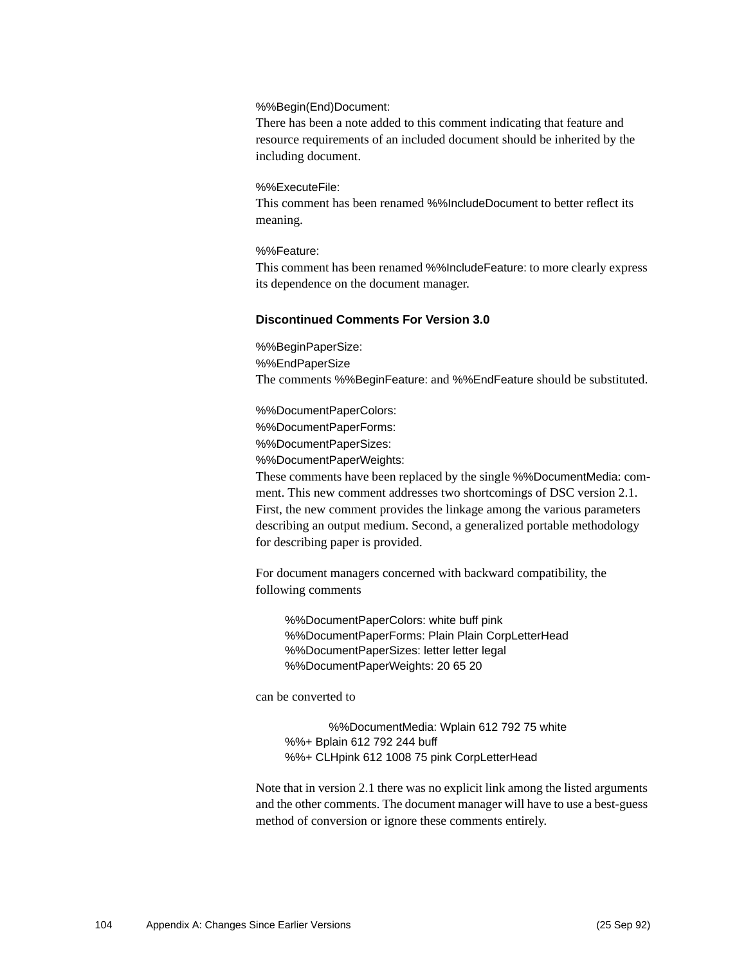#### %%Begin(End)Document:

There has been a note added to this comment indicating that feature and resource requirements of an included document should be inherited by the including document.

#### %%ExecuteFile:

This comment has been renamed %%IncludeDocument to better reflect its meaning.

#### %%Feature:

This comment has been renamed %%IncludeFeature: to more clearly express its dependence on the document manager.

#### **Discontinued Comments For Version 3.0**

%%BeginPaperSize: %%EndPaperSize The comments %%BeginFeature: and %%EndFeature should be substituted.

%%DocumentPaperColors: %%DocumentPaperForms: %%DocumentPaperSizes: %%DocumentPaperWeights:

These comments have been replaced by the single %%DocumentMedia: comment. This new comment addresses two shortcomings of DSC version 2.1. First, the new comment provides the linkage among the various parameters describing an output medium. Second, a generalized portable methodology for describing paper is provided.

For document managers concerned with backward compatibility, the following comments

%%DocumentPaperColors: white buff pink %%DocumentPaperForms: Plain Plain CorpLetterHead %%DocumentPaperSizes: letter letter legal %%DocumentPaperWeights: 20 65 20

can be converted to

%%DocumentMedia: Wplain 612 792 75 white %%+ Bplain 612 792 244 buff %%+ CLHpink 612 1008 75 pink CorpLetterHead

Note that in version 2.1 there was no explicit link among the listed arguments and the other comments. The document manager will have to use a best-guess method of conversion or ignore these comments entirely.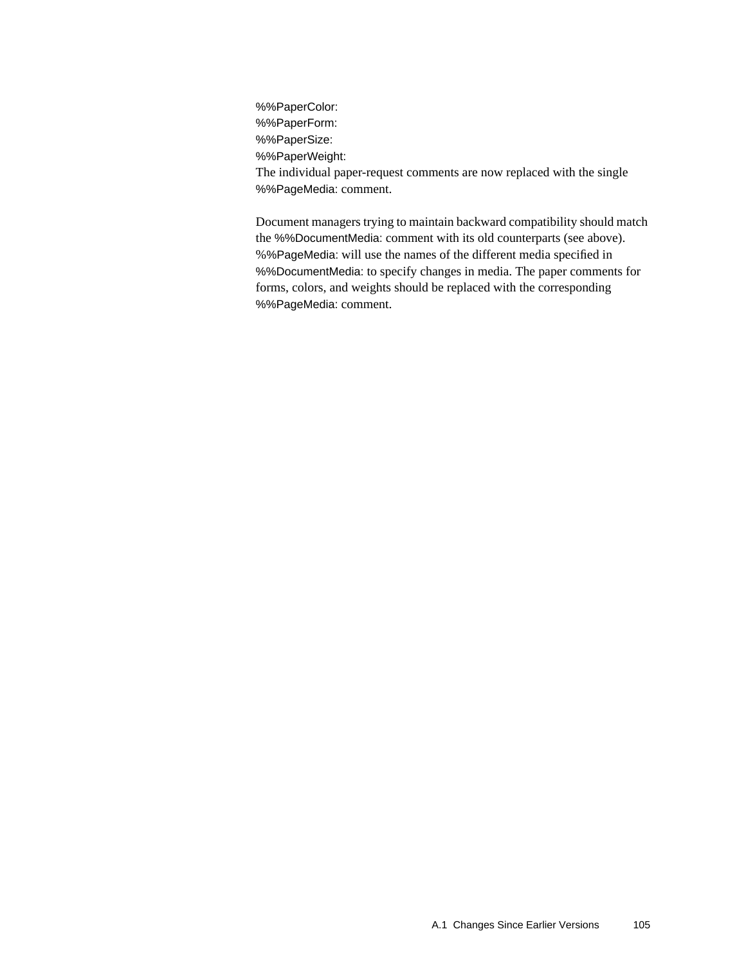%%PaperColor: %%PaperForm: %%PaperSize: %%PaperWeight: The individual paper-request comments are now replaced with the single %%PageMedia: comment.

Document managers trying to maintain backward compatibility should match the %%DocumentMedia: comment with its old counterparts (see above). %%PageMedia: will use the names of the different media specified in %%DocumentMedia: to specify changes in media. The paper comments for forms, colors, and weights should be replaced with the corresponding %%PageMedia: comment.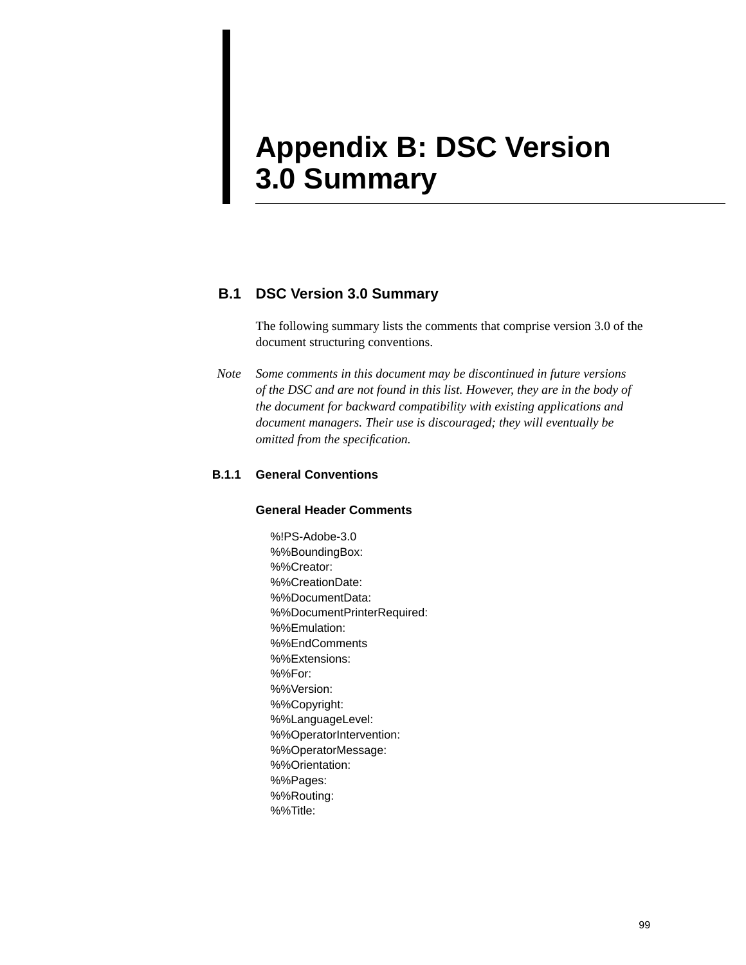# **Appendix B: DSC Version 3.0 Summary**

# **B.1 DSC Version 3.0 Summary**

The following summary lists the comments that comprise version 3.0 of the document structuring conventions.

*Note Some comments in this document may be discontinued in future versions of the DSC and are not found in this list. However, they are in the body of the document for backward compatibility with existing applications and document managers. Their use is discouraged; they will eventually be omitted from the specification.*

### **B.1.1 General Conventions**

### **General Header Comments**

%!PS-Adobe-3.0 %%BoundingBox: %%Creator: %%CreationDate: %%DocumentData: %%DocumentPrinterRequired: %%Emulation: %%EndComments %%Extensions: %%For: %%Version: %%Copyright: %%LanguageLevel: %%OperatorIntervention: %%OperatorMessage: %%Orientation: %%Pages: %%Routing: %%Title: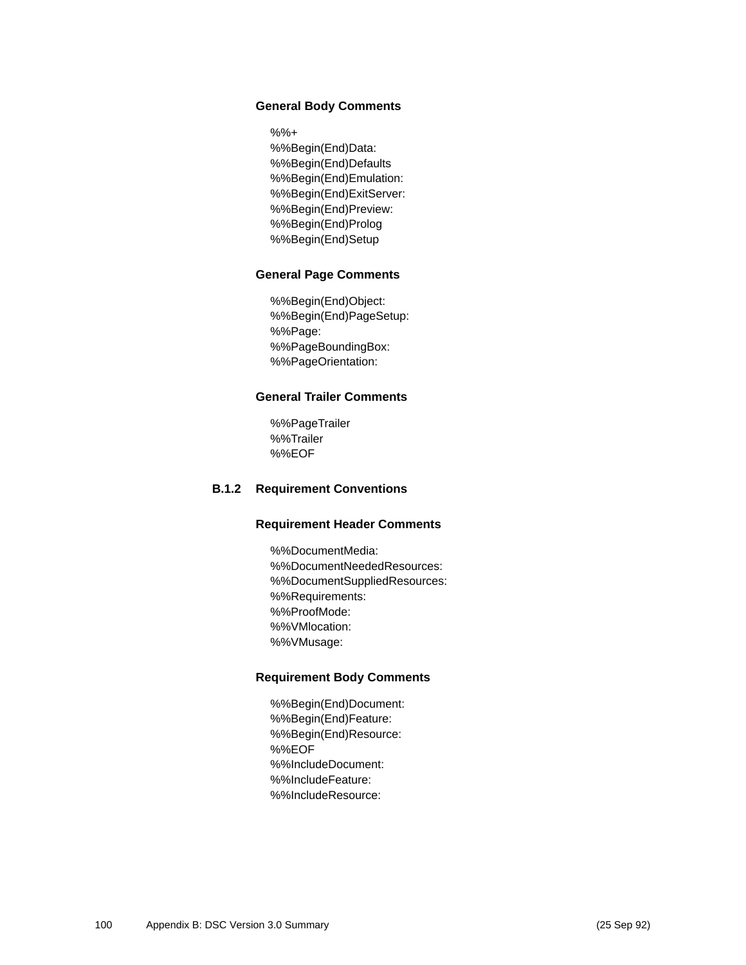#### **General Body Comments**

%%+ %%Begin(End)Data: %%Begin(End)Defaults %%Begin(End)Emulation: %%Begin(End)ExitServer: %%Begin(End)Preview: %%Begin(End)Prolog %%Begin(End)Setup

### **General Page Comments**

%%Begin(End)Object: %%Begin(End)PageSetup: %%Page: %%PageBoundingBox: %%PageOrientation:

### **General Trailer Comments**

%%PageTrailer %%Trailer %%EOF

#### **B.1.2 Requirement Conventions**

#### **Requirement Header Comments**

%%DocumentMedia: %%DocumentNeededResources: %%DocumentSuppliedResources: %%Requirements: %%ProofMode: %%VMlocation: %%VMusage:

#### **Requirement Body Comments**

%%Begin(End)Document: %%Begin(End)Feature: %%Begin(End)Resource: %%EOF %%IncludeDocument: %%IncludeFeature: %%IncludeResource: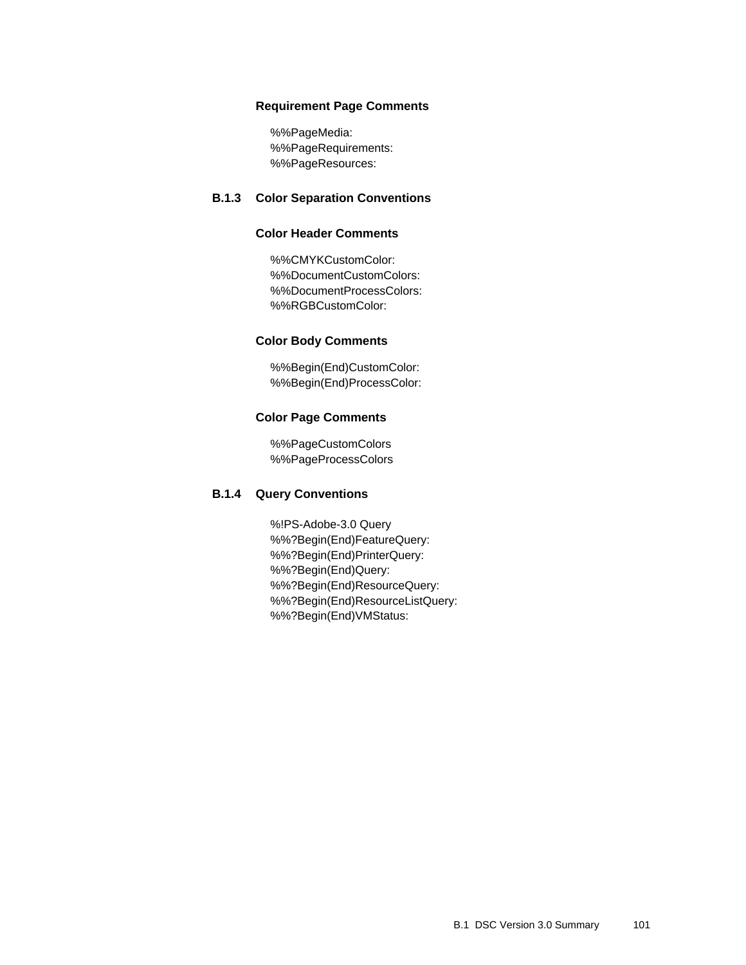#### **Requirement Page Comments**

%%PageMedia: %%PageRequirements: %%PageResources:

### **B.1.3 Color Separation Conventions**

#### **Color Header Comments**

%%CMYKCustomColor: %%DocumentCustomColors: %%DocumentProcessColors: %%RGBCustomColor:

### **Color Body Comments**

%%Begin(End)CustomColor: %%Begin(End)ProcessColor:

#### **Color Page Comments**

%%PageCustomColors %%PageProcessColors

#### **B.1.4 Query Conventions**

%!PS-Adobe-3.0 Query %%?Begin(End)FeatureQuery: %%?Begin(End)PrinterQuery: %%?Begin(End)Query: %%?Begin(End)ResourceQuery: %%?Begin(End)ResourceListQuery: %%?Begin(End)VMStatus: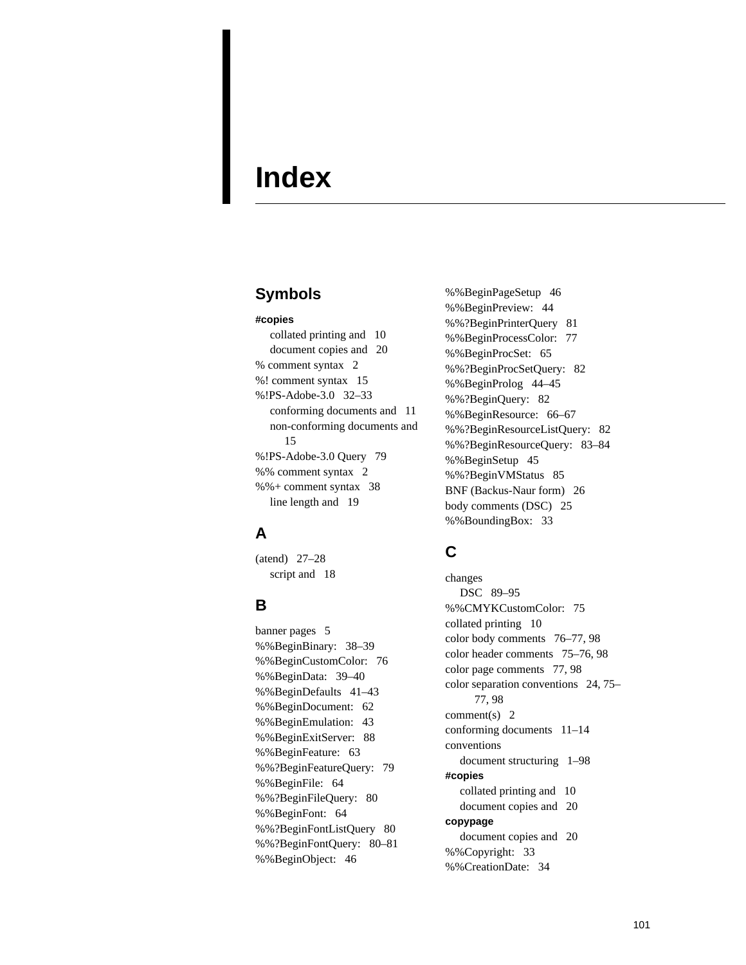# **Index**

# **Symbols**

#### **#copies**

collated printing and 10 document copies and 20 % comment syntax 2 %! comment syntax 15 %!PS-Adobe-3.0 32–33 conforming documents and 11 non-conforming documents and 15 %!PS-Adobe-3.0 Query 79 %% comment syntax 2 %%+ comment syntax 38 line length and 19

# **A**

(atend) 27–28 script and 18

# **B**

banner pages 5 %%BeginBinary: 38–39 %%BeginCustomColor: 76 %%BeginData: 39–40 %%BeginDefaults 41–43 %%BeginDocument: 62 %%BeginEmulation: 43 %%BeginExitServer: 88 %%BeginFeature: 63 %%?BeginFeatureQuery: 79 %%BeginFile: 64 %%?BeginFileQuery: 80 %%BeginFont: 64 %%?BeginFontListQuery 80 %%?BeginFontQuery: 80–81 %%BeginObject: 46

%%BeginPageSetup 46 %%BeginPreview: 44 %%?BeginPrinterQuery 81 %%BeginProcessColor: 77 %%BeginProcSet: 65 %%?BeginProcSetQuery: 82 %%BeginProlog 44–45 %%?BeginQuery: 82 %%BeginResource: 66–67 %%?BeginResourceListQuery: 82 %%?BeginResourceQuery: 83–84 %%BeginSetup 45 %%?BeginVMStatus 85 BNF (Backus-Naur form) 26 body comments (DSC) 25 %%BoundingBox: 33

# **C**

changes DSC 89–95 %%CMYKCustomColor: 75 collated printing 10 color body comments 76–77, 98 color header comments 75–76, 98 color page comments 77, 98 color separation conventions 24, 75– 77, 98 comment(s) 2 conforming documents 11–14 conventions document structuring 1–98 **#copies** collated printing and 10 document copies and 20 **copypage** document copies and 20 %%Copyright: 33 %%CreationDate: 34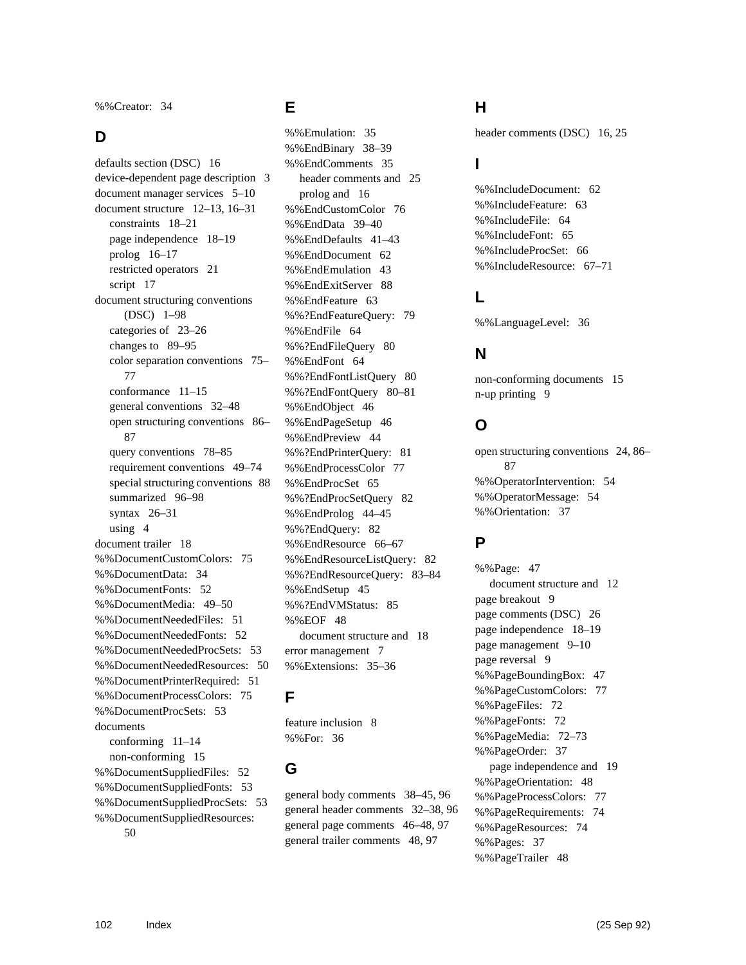%%Creator: 34

# **D**

defaults section (DSC) 16 device-dependent page description 3 document manager services 5–10 document structure 12–13, 16–31 constraints 18–21 page independence 18–19 prolog 16–17 restricted operators 21 script 17 document structuring conventions (DSC) 1–98 categories of 23–26 changes to 89–95 color separation conventions 75– 77 conformance 11–15 general conventions 32–48 open structuring conventions 86– 87 query conventions 78–85 requirement conventions 49–74 special structuring conventions 88 summarized 96–98 syntax 26–31 using 4 document trailer 18 %%DocumentCustomColors: 75 %%DocumentData: 34 %%DocumentFonts: 52 %%DocumentMedia: 49–50 %%DocumentNeededFiles: 51 %%DocumentNeededFonts: 52 %%DocumentNeededProcSets: 53 %%DocumentNeededResources: 50 %%DocumentPrinterRequired: 51 %%DocumentProcessColors: 75 %%DocumentProcSets: 53 documents conforming 11–14 non-conforming 15 %%DocumentSuppliedFiles: 52 %%DocumentSuppliedFonts: 53 %%DocumentSuppliedProcSets: 53 %%DocumentSuppliedResources: 50

# **E**

%%Emulation: 35 %%EndBinary 38–39 %%EndComments 35 header comments and 25 prolog and 16 %%EndCustomColor 76 %%EndData 39–40 %%EndDefaults 41–43 %%EndDocument 62 %%EndEmulation 43 %%EndExitServer 88 %%EndFeature 63 %%?EndFeatureQuery: 79 %%EndFile 64 %%?EndFileQuery 80 %%EndFont 64 %%?EndFontListQuery 80 %%?EndFontQuery 80–81 %%EndObject 46 %%EndPageSetup 46 %%EndPreview 44 %%?EndPrinterQuery: 81 %%EndProcessColor 77 %%EndProcSet 65 %%?EndProcSetQuery 82 %%EndProlog 44–45 %%?EndQuery: 82 %%EndResource 66–67 %%EndResourceListQuery: 82 %%?EndResourceQuery: 83–84 %%EndSetup 45 %%?EndVMStatus: 85 %%EOF 48 document structure and 18 error management 7 %%Extensions: 35–36

# **F**

feature inclusion 8 %%For: 36

# **G**

general body comments 38–45, 96 general header comments 32–38, 96 general page comments 46–48, 97 general trailer comments 48, 97

# **H**

header comments (DSC) 16, 25

# **I**

%%IncludeDocument: 62 %%IncludeFeature: 63 %%IncludeFile: 64 %%IncludeFont: 65 %%IncludeProcSet: 66 %%IncludeResource: 67–71

# **L**

%%LanguageLevel: 36

# **N**

non-conforming documents 15 n-up printing 9

# **O**

open structuring conventions 24, 86– 87 %%OperatorIntervention: 54 %%OperatorMessage: 54 %%Orientation: 37

# **P**

%%Page: 47 document structure and 12 page breakout 9 page comments (DSC) 26 page independence 18–19 page management 9–10 page reversal 9 %%PageBoundingBox: 47 %%PageCustomColors: 77 %%PageFiles: 72 %%PageFonts: 72 %%PageMedia: 72–73 %%PageOrder: 37 page independence and 19 %%PageOrientation: 48 %%PageProcessColors: 77 %%PageRequirements: 74 %%PageResources: 74 %%Pages: 37 %%PageTrailer 48